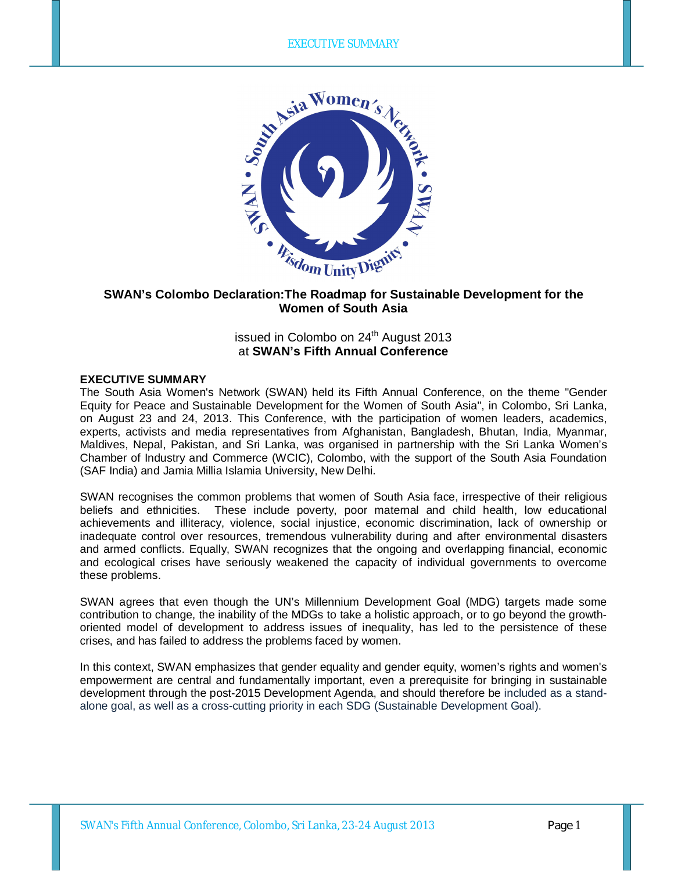

## **SWAN's Colombo Declaration:The Roadmap for Sustainable Development for the Women of South Asia**

# issued in Colombo on 24<sup>th</sup> August 2013 at **SWAN's Fifth Annual Conference**

#### **EXECUTIVE SUMMARY**

The South Asia Women's Network (SWAN) held its Fifth Annual Conference, on the theme "Gender Equity for Peace and Sustainable Development for the Women of South Asia", in Colombo, Sri Lanka, on August 23 and 24, 2013. This Conference, with the participation of women leaders, academics, experts, activists and media representatives from Afghanistan, Bangladesh, Bhutan, India, Myanmar, Maldives, Nepal, Pakistan, and Sri Lanka, was organised in partnership with the Sri Lanka Women's Chamber of Industry and Commerce (WCIC), Colombo, with the support of the South Asia Foundation (SAF India) and Jamia Millia Islamia University, New Delhi.

SWAN recognises the common problems that women of South Asia face, irrespective of their religious beliefs and ethnicities. These include poverty, poor maternal and child health, low educational achievements and illiteracy, violence, social injustice, economic discrimination, lack of ownership or inadequate control over resources, tremendous vulnerability during and after environmental disasters and armed conflicts. Equally, SWAN recognizes that the ongoing and overlapping financial, economic and ecological crises have seriously weakened the capacity of individual governments to overcome these problems.

SWAN agrees that even though the UN's Millennium Development Goal (MDG) targets made some contribution to change, the inability of the MDGs to take a holistic approach, or to go beyond the growthoriented model of development to address issues of inequality, has led to the persistence of these crises, and has failed to address the problems faced by women.

In this context, SWAN emphasizes that gender equality and gender equity, women's rights and women's empowerment are central and fundamentally important, even a prerequisite for bringing in sustainable development through the post-2015 Development Agenda, and should therefore be included as a standalone goal, as well as a cross-cutting priority in each SDG (Sustainable Development Goal).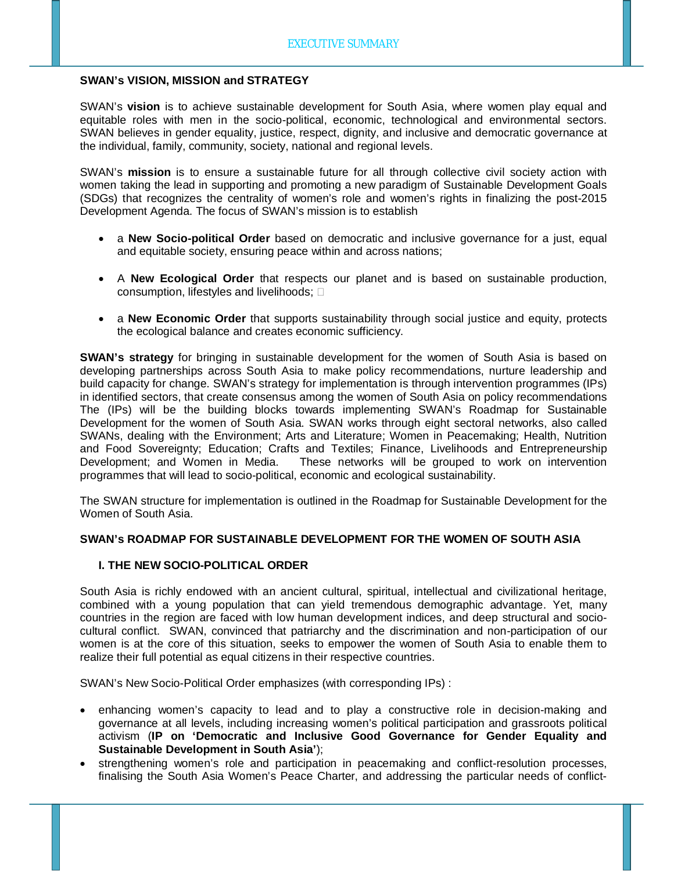#### **SWAN's VISION, MISSION and STRATEGY**

SWAN's **vision** is to achieve sustainable development for South Asia, where women play equal and equitable roles with men in the socio-political, economic, technological and environmental sectors. SWAN believes in gender equality, justice, respect, dignity, and inclusive and democratic governance at the individual, family, community, society, national and regional levels.

SWAN's **mission** is to ensure a sustainable future for all through collective civil society action with women taking the lead in supporting and promoting a new paradigm of Sustainable Development Goals (SDGs) that recognizes the centrality of women's role and women's rights in finalizing the post-2015 Development Agenda. The focus of SWAN's mission is to establish

- a **New Socio-political Order** based on democratic and inclusive governance for a just, equal and equitable society, ensuring peace within and across nations;
- A **New Ecological Order** that respects our planet and is based on sustainable production, consumption, lifestyles and livelihoods;
- a **New Economic Order** that supports sustainability through social justice and equity, protects the ecological balance and creates economic sufficiency.

**SWAN's strategy** for bringing in sustainable development for the women of South Asia is based on developing partnerships across South Asia to make policy recommendations, nurture leadership and build capacity for change. SWAN's strategy for implementation is through intervention programmes (IPs) in identified sectors, that create consensus among the women of South Asia on policy recommendations The (IPs) will be the building blocks towards implementing SWAN's Roadmap for Sustainable Development for the women of South Asia. SWAN works through eight sectoral networks, also called SWANs, dealing with the Environment; Arts and Literature; Women in Peacemaking; Health, Nutrition and Food Sovereignty; Education; Crafts and Textiles; Finance, Livelihoods and Entrepreneurship Development; and Women in Media. These networks will be grouped to work on intervention programmes that will lead to socio-political, economic and ecological sustainability.

The SWAN structure for implementation is outlined in the Roadmap for Sustainable Development for the Women of South Asia.

#### **SWAN's ROADMAP FOR SUSTAINABLE DEVELOPMENT FOR THE WOMEN OF SOUTH ASIA**

#### **I. THE NEW SOCIO-POLITICAL ORDER**

South Asia is richly endowed with an ancient cultural, spiritual, intellectual and civilizational heritage, combined with a young population that can yield tremendous demographic advantage. Yet, many countries in the region are faced with low human development indices, and deep structural and sociocultural conflict. SWAN, convinced that patriarchy and the discrimination and non-participation of our women is at the core of this situation, seeks to empower the women of South Asia to enable them to realize their full potential as equal citizens in their respective countries.

SWAN's New Socio-Political Order emphasizes (with corresponding IPs) :

- enhancing women's capacity to lead and to play a constructive role in decision-making and governance at all levels, including increasing women's political participation and grassroots political activism (**IP on 'Democratic and Inclusive Good Governance for Gender Equality and Sustainable Development in South Asia'**);
- strengthening women's role and participation in peacemaking and conflict-resolution processes, finalising the South Asia Women's Peace Charter, and addressing the particular needs of conflict-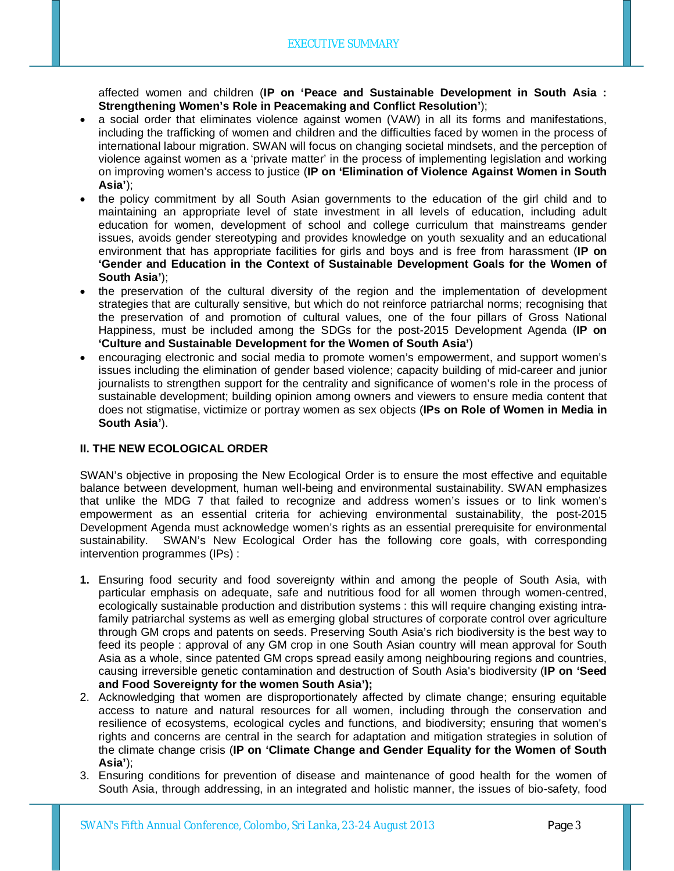affected women and children (**IP on 'Peace and Sustainable Development in South Asia : Strengthening Women's Role in Peacemaking and Conflict Resolution'**);

- a social order that eliminates violence against women (VAW) in all its forms and manifestations, including the trafficking of women and children and the difficulties faced by women in the process of international labour migration. SWAN will focus on changing societal mindsets, and the perception of violence against women as a 'private matter' in the process of implementing legislation and working on improving women's access to justice (**IP on 'Elimination of Violence Against Women in South Asia'**);
- the policy commitment by all South Asian governments to the education of the girl child and to maintaining an appropriate level of state investment in all levels of education, including adult education for women, development of school and college curriculum that mainstreams gender issues, avoids gender stereotyping and provides knowledge on youth sexuality and an educational environment that has appropriate facilities for girls and boys and is free from harassment (**IP on 'Gender and Education in the Context of Sustainable Development Goals for the Women of South Asia'**);
- the preservation of the cultural diversity of the region and the implementation of development strategies that are culturally sensitive, but which do not reinforce patriarchal norms; recognising that the preservation of and promotion of cultural values, one of the four pillars of Gross National Happiness, must be included among the SDGs for the post-2015 Development Agenda (**IP on 'Culture and Sustainable Development for the Women of South Asia'**)
- encouraging electronic and social media to promote women's empowerment, and support women's issues including the elimination of gender based violence; capacity building of mid-career and junior journalists to strengthen support for the centrality and significance of women's role in the process of sustainable development; building opinion among owners and viewers to ensure media content that does not stigmatise, victimize or portray women as sex objects (**IPs on Role of Women in Media in South Asia'**).

#### **II. THE NEW ECOLOGICAL ORDER**

SWAN's objective in proposing the New Ecological Order is to ensure the most effective and equitable balance between development, human well-being and environmental sustainability. SWAN emphasizes that unlike the MDG 7 that failed to recognize and address women's issues or to link women's empowerment as an essential criteria for achieving environmental sustainability, the post-2015 Development Agenda must acknowledge women's rights as an essential prerequisite for environmental sustainability. SWAN's New Ecological Order has the following core goals, with corresponding intervention programmes (IPs) :

- **1.** Ensuring food security and food sovereignty within and among the people of South Asia, with particular emphasis on adequate, safe and nutritious food for all women through women-centred, ecologically sustainable production and distribution systems : this will require changing existing intrafamily patriarchal systems as well as emerging global structures of corporate control over agriculture through GM crops and patents on seeds. Preserving South Asia's rich biodiversity is the best way to feed its people : approval of any GM crop in one South Asian country will mean approval for South Asia as a whole, since patented GM crops spread easily among neighbouring regions and countries, causing irreversible genetic contamination and destruction of South Asia's biodiversity (**IP on 'Seed and Food Sovereignty for the women South Asia');**
- 2. Acknowledging that women are disproportionately affected by climate change; ensuring equitable access to nature and natural resources for all women, including through the conservation and resilience of ecosystems, ecological cycles and functions, and biodiversity; ensuring that women's rights and concerns are central in the search for adaptation and mitigation strategies in solution of the climate change crisis (**IP on 'Climate Change and Gender Equality for the Women of South Asia'**);
- 3. Ensuring conditions for prevention of disease and maintenance of good health for the women of South Asia, through addressing, in an integrated and holistic manner, the issues of bio-safety, food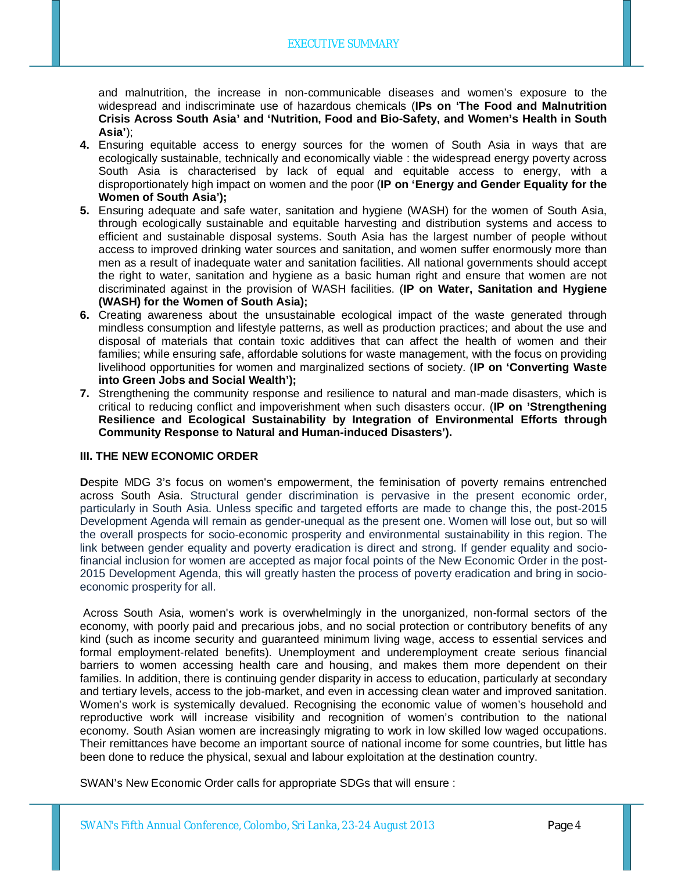and malnutrition, the increase in non-communicable diseases and women's exposure to the widespread and indiscriminate use of hazardous chemicals (**IPs on 'The Food and Malnutrition Crisis Across South Asia' and 'Nutrition, Food and Bio-Safety, and Women's Health in South Asia'**);

- **4.** Ensuring equitable access to energy sources for the women of South Asia in ways that are ecologically sustainable, technically and economically viable : the widespread energy poverty across South Asia is characterised by lack of equal and equitable access to energy, with a disproportionately high impact on women and the poor (**IP on 'Energy and Gender Equality for the Women of South Asia');**
- **5.** Ensuring adequate and safe water, sanitation and hygiene (WASH) for the women of South Asia, through ecologically sustainable and equitable harvesting and distribution systems and access to efficient and sustainable disposal systems. South Asia has the largest number of people without access to improved drinking water sources and sanitation, and women suffer enormously more than men as a result of inadequate water and sanitation facilities. All national governments should accept the right to water, sanitation and hygiene as a basic human right and ensure that women are not discriminated against in the provision of WASH facilities. (**IP on Water, Sanitation and Hygiene (WASH) for the Women of South Asia);**
- **6.** Creating awareness about the unsustainable ecological impact of the waste generated through mindless consumption and lifestyle patterns, as well as production practices; and about the use and disposal of materials that contain toxic additives that can affect the health of women and their families; while ensuring safe, affordable solutions for waste management, with the focus on providing livelihood opportunities for women and marginalized sections of society. (**IP on 'Converting Waste into Green Jobs and Social Wealth');**
- **7.** Strengthening the community response and resilience to natural and man-made disasters, which is critical to reducing conflict and impoverishment when such disasters occur. (**IP on 'Strengthening Resilience and Ecological Sustainability by Integration of Environmental Efforts through Community Response to Natural and Human-induced Disasters').**

#### **III. THE NEW ECONOMIC ORDER**

**Despite MDG 3's focus on women's empowerment, the feminisation of poverty remains entrenched** across South Asia. Structural gender discrimination is pervasive in the present economic order, particularly in South Asia. Unless specific and targeted efforts are made to change this, the post-2015 Development Agenda will remain as gender-unequal as the present one. Women will lose out, but so will the overall prospects for socio-economic prosperity and environmental sustainability in this region. The link between gender equality and poverty eradication is direct and strong. If gender equality and sociofinancial inclusion for women are accepted as major focal points of the New Economic Order in the post-2015 Development Agenda, this will greatly hasten the process of poverty eradication and bring in socioeconomic prosperity for all.

 Across South Asia, women's work is overwhelmingly in the unorganized, non-formal sectors of the economy, with poorly paid and precarious jobs, and no social protection or contributory benefits of any kind (such as income security and guaranteed minimum living wage, access to essential services and formal employment-related benefits). Unemployment and underemployment create serious financial barriers to women accessing health care and housing, and makes them more dependent on their families. In addition, there is continuing gender disparity in access to education, particularly at secondary and tertiary levels, access to the job-market, and even in accessing clean water and improved sanitation. Women's work is systemically devalued. Recognising the economic value of women's household and reproductive work will increase visibility and recognition of women's contribution to the national economy. South Asian women are increasingly migrating to work in low skilled low waged occupations. Their remittances have become an important source of national income for some countries, but little has been done to reduce the physical, sexual and labour exploitation at the destination country.

SWAN's New Economic Order calls for appropriate SDGs that will ensure :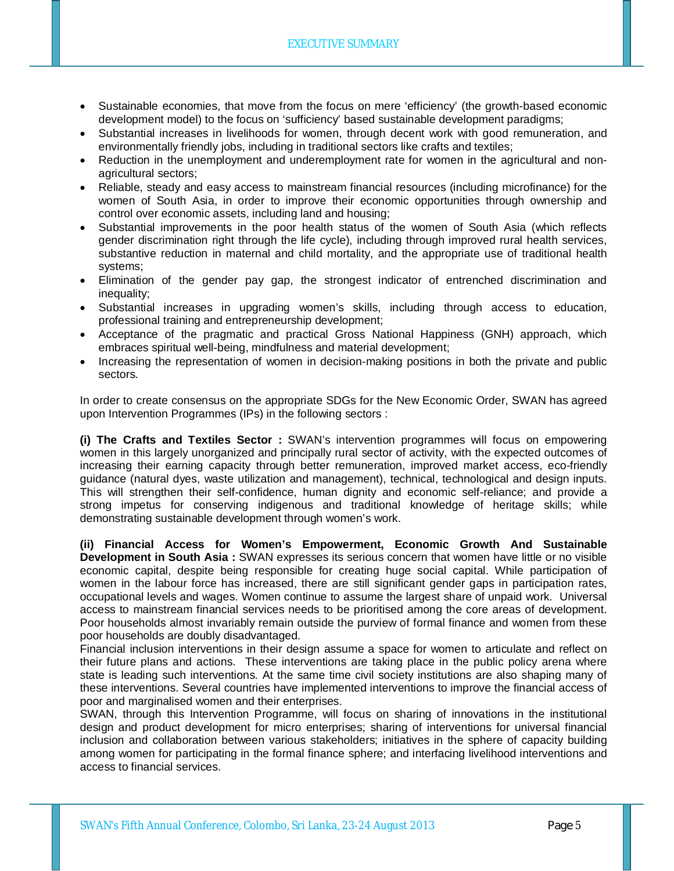- Sustainable economies, that move from the focus on mere 'efficiency' (the growth-based economic development model) to the focus on 'sufficiency' based sustainable development paradigms;
- Substantial increases in livelihoods for women, through decent work with good remuneration, and environmentally friendly jobs, including in traditional sectors like crafts and textiles;
- Reduction in the unemployment and underemployment rate for women in the agricultural and nonagricultural sectors;
- Reliable, steady and easy access to mainstream financial resources (including microfinance) for the women of South Asia, in order to improve their economic opportunities through ownership and control over economic assets, including land and housing;
- Substantial improvements in the poor health status of the women of South Asia (which reflects gender discrimination right through the life cycle), including through improved rural health services, substantive reduction in maternal and child mortality, and the appropriate use of traditional health systems;
- Elimination of the gender pay gap, the strongest indicator of entrenched discrimination and inequality;
- Substantial increases in upgrading women's skills, including through access to education, professional training and entrepreneurship development;
- Acceptance of the pragmatic and practical Gross National Happiness (GNH) approach, which embraces spiritual well-being, mindfulness and material development;
- Increasing the representation of women in decision-making positions in both the private and public sectors.

In order to create consensus on the appropriate SDGs for the New Economic Order, SWAN has agreed upon Intervention Programmes (IPs) in the following sectors :

**(i) The Crafts and Textiles Sector :** SWAN's intervention programmes will focus on empowering women in this largely unorganized and principally rural sector of activity, with the expected outcomes of increasing their earning capacity through better remuneration, improved market access, eco-friendly guidance (natural dyes, waste utilization and management), technical, technological and design inputs. This will strengthen their self-confidence, human dignity and economic self-reliance; and provide a strong impetus for conserving indigenous and traditional knowledge of heritage skills; while demonstrating sustainable development through women's work.

**(ii) Financial Access for Women's Empowerment, Economic Growth And Sustainable Development in South Asia :** SWAN expresses its serious concern that women have little or no visible economic capital, despite being responsible for creating huge social capital. While participation of women in the labour force has increased, there are still significant gender gaps in participation rates, occupational levels and wages. Women continue to assume the largest share of unpaid work. Universal access to mainstream financial services needs to be prioritised among the core areas of development. Poor households almost invariably remain outside the purview of formal finance and women from these poor households are doubly disadvantaged.

Financial inclusion interventions in their design assume a space for women to articulate and reflect on their future plans and actions. These interventions are taking place in the public policy arena where state is leading such interventions. At the same time civil society institutions are also shaping many of these interventions. Several countries have implemented interventions to improve the financial access of poor and marginalised women and their enterprises.

SWAN, through this Intervention Programme, will focus on sharing of innovations in the institutional design and product development for micro enterprises; sharing of interventions for universal financial inclusion and collaboration between various stakeholders; initiatives in the sphere of capacity building among women for participating in the formal finance sphere; and interfacing livelihood interventions and access to financial services.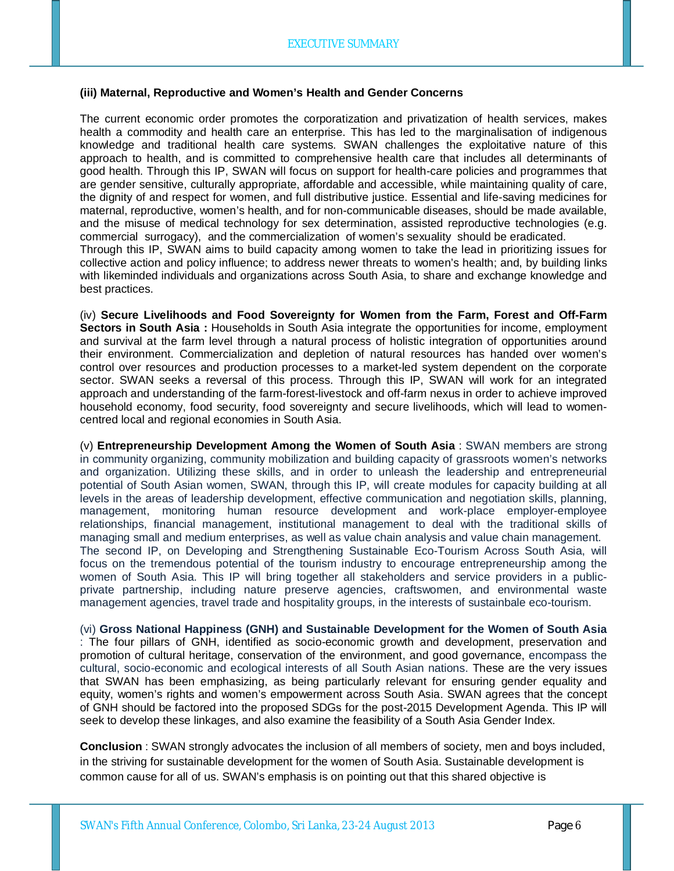#### **(iii) Maternal, Reproductive and Women's Health and Gender Concerns**

The current economic order promotes the corporatization and privatization of health services, makes health a commodity and health care an enterprise. This has led to the marginalisation of indigenous knowledge and traditional health care systems. SWAN challenges the exploitative nature of this approach to health, and is committed to comprehensive health care that includes all determinants of good health. Through this IP, SWAN will focus on support for health-care policies and programmes that are gender sensitive, culturally appropriate, affordable and accessible, while maintaining quality of care, the dignity of and respect for women, and full distributive justice. Essential and life-saving medicines for maternal, reproductive, women's health, and for non-communicable diseases, should be made available, and the misuse of medical technology for sex determination, assisted reproductive technologies (e.g. commercial surrogacy), and the commercialization of women's sexuality should be eradicated. Through this IP, SWAN aims to build capacity among women to take the lead in prioritizing issues for collective action and policy influence; to address newer threats to women's health; and, by building links with likeminded individuals and organizations across South Asia, to share and exchange knowledge and best practices.

(iv) **Secure Livelihoods and Food Sovereignty for Women from the Farm, Forest and Off-Farm Sectors in South Asia :** Households in South Asia integrate the opportunities for income, employment and survival at the farm level through a natural process of holistic integration of opportunities around their environment. Commercialization and depletion of natural resources has handed over women's control over resources and production processes to a market-led system dependent on the corporate sector. SWAN seeks a reversal of this process. Through this IP, SWAN will work for an integrated approach and understanding of the farm-forest-livestock and off-farm nexus in order to achieve improved household economy, food security, food sovereignty and secure livelihoods, which will lead to womencentred local and regional economies in South Asia.

(v) **Entrepreneurship Development Among the Women of South Asia** : SWAN members are strong in community organizing, community mobilization and building capacity of grassroots women's networks and organization. Utilizing these skills, and in order to unleash the leadership and entrepreneurial potential of South Asian women, SWAN, through this IP, will create modules for capacity building at all levels in the areas of leadership development, effective communication and negotiation skills, planning, management, monitoring human resource development and work-place employer-employee relationships, financial management, institutional management to deal with the traditional skills of managing small and medium enterprises, as well as value chain analysis and value chain management. The second IP, on Developing and Strengthening Sustainable Eco-Tourism Across South Asia, will focus on the tremendous potential of the tourism industry to encourage entrepreneurship among the women of South Asia. This IP will bring together all stakeholders and service providers in a publicprivate partnership, including nature preserve agencies, craftswomen, and environmental waste management agencies, travel trade and hospitality groups, in the interests of sustainbale eco-tourism.

(vi) **Gross National Happiness (GNH) and Sustainable Development for the Women of South Asia** : The four pillars of GNH, identified as socio-economic growth and development, preservation and promotion of cultural heritage, conservation of the environment, and good governance, encompass the cultural, socio-economic and ecological interests of all South Asian nations. These are the very issues that SWAN has been emphasizing, as being particularly relevant for ensuring gender equality and equity, women's rights and women's empowerment across South Asia. SWAN agrees that the concept of GNH should be factored into the proposed SDGs for the post-2015 Development Agenda. This IP will seek to develop these linkages, and also examine the feasibility of a South Asia Gender Index.

**Conclusion** : SWAN strongly advocates the inclusion of all members of society, men and boys included, in the striving for sustainable development for the women of South Asia. Sustainable development is common cause for all of us. SWAN's emphasis is on pointing out that this shared objective is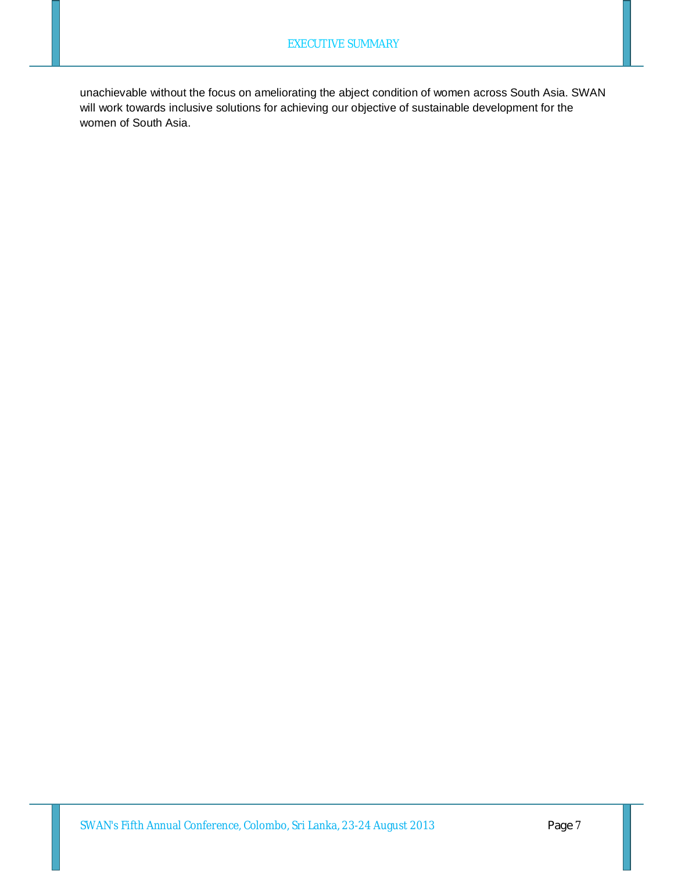unachievable without the focus on ameliorating the abject condition of women across South Asia. SWAN will work towards inclusive solutions for achieving our objective of sustainable development for the women of South Asia.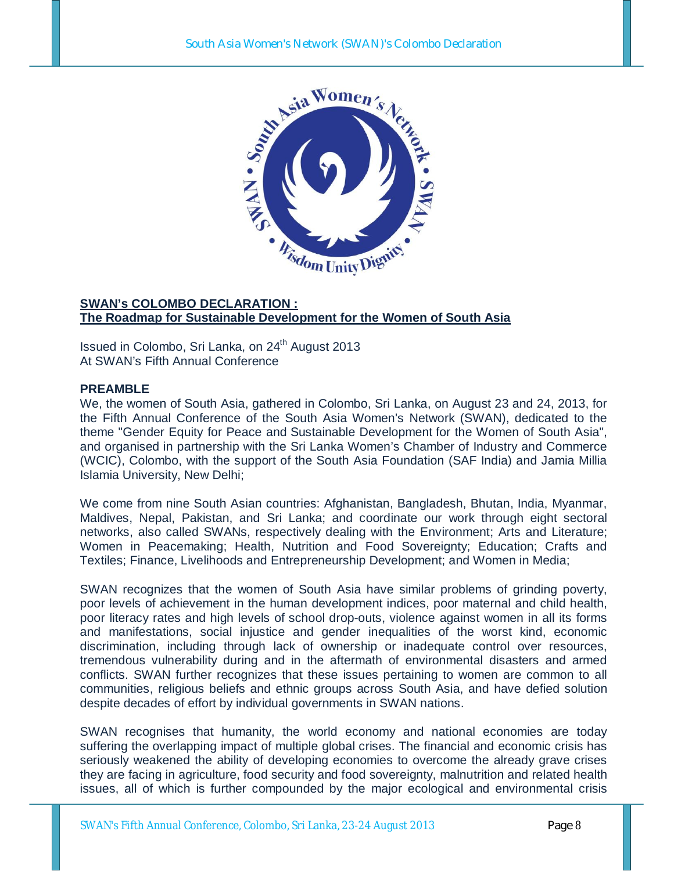

## **SWAN's COLOMBO DECLARATION : The Roadmap for Sustainable Development for the Women of South Asia**

Issued in Colombo, Sri Lanka, on 24<sup>th</sup> August 2013 At SWAN's Fifth Annual Conference

### **PREAMBLE**

We, the women of South Asia, gathered in Colombo, Sri Lanka, on August 23 and 24, 2013, for the Fifth Annual Conference of the South Asia Women's Network (SWAN), dedicated to the theme "Gender Equity for Peace and Sustainable Development for the Women of South Asia", and organised in partnership with the Sri Lanka Women's Chamber of Industry and Commerce (WCIC), Colombo, with the support of the South Asia Foundation (SAF India) and Jamia Millia Islamia University, New Delhi;

We come from nine South Asian countries: Afghanistan, Bangladesh, Bhutan, India, Myanmar, Maldives, Nepal, Pakistan, and Sri Lanka; and coordinate our work through eight sectoral networks, also called SWANs, respectively dealing with the Environment; Arts and Literature; Women in Peacemaking; Health, Nutrition and Food Sovereignty; Education; Crafts and Textiles; Finance, Livelihoods and Entrepreneurship Development; and Women in Media;

SWAN recognizes that the women of South Asia have similar problems of grinding poverty, poor levels of achievement in the human development indices, poor maternal and child health, poor literacy rates and high levels of school drop-outs, violence against women in all its forms and manifestations, social injustice and gender inequalities of the worst kind, economic discrimination, including through lack of ownership or inadequate control over resources, tremendous vulnerability during and in the aftermath of environmental disasters and armed conflicts. SWAN further recognizes that these issues pertaining to women are common to all communities, religious beliefs and ethnic groups across South Asia, and have defied solution despite decades of effort by individual governments in SWAN nations.

SWAN recognises that humanity, the world economy and national economies are today suffering the overlapping impact of multiple global crises. The financial and economic crisis has seriously weakened the ability of developing economies to overcome the already grave crises they are facing in agriculture, food security and food sovereignty, malnutrition and related health issues, all of which is further compounded by the major ecological and environmental crisis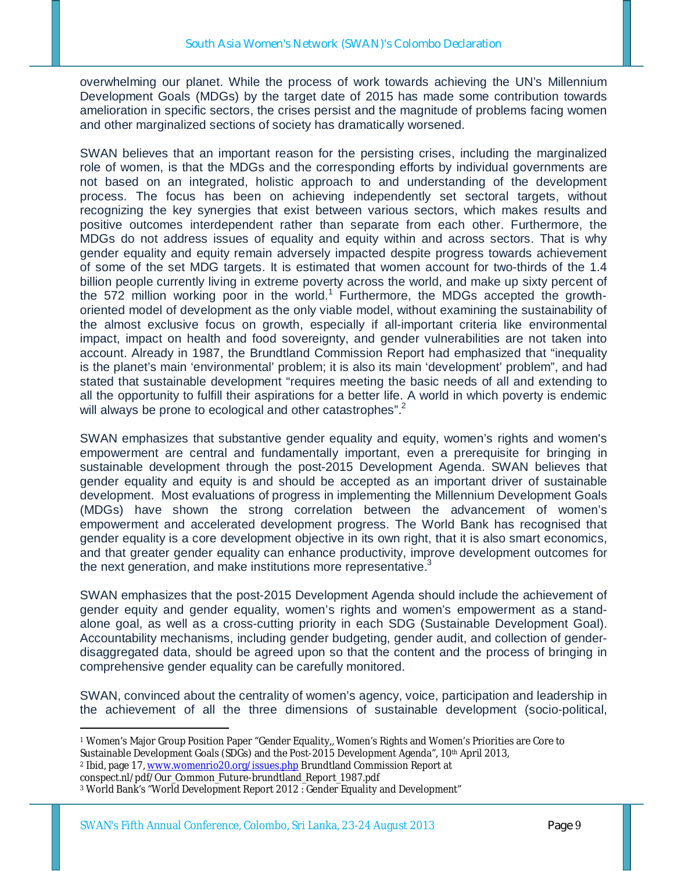overwhelming our planet. While the process of work towards achieving the UN's Millennium Development Goals (MDGs) by the target date of 2015 has made some contribution towards amelioration in specific sectors, the crises persist and the magnitude of problems facing women and other marginalized sections of society has dramatically worsened.

SWAN believes that an important reason for the persisting crises, including the marginalized role of women, is that the MDGs and the corresponding efforts by individual governments are not based on an integrated, holistic approach to and understanding of the development process. The focus has been on achieving independently set sectoral targets, without recognizing the key synergies that exist between various sectors, which makes results and positive outcomes interdependent rather than separate from each other. Furthermore, the MDGs do not address issues of equality and equity within and across sectors. That is why gender equality and equity remain adversely impacted despite progress towards achievement of some of the set MDG targets. It is estimated that women account for two-thirds of the 1.4 billion people currently living in extreme poverty across the world, and make up sixty percent of the 572 million working poor in the world.<sup>1</sup> Furthermore, the MDGs accepted the growthoriented model of development as the only viable model, without examining the sustainability of the almost exclusive focus on growth, especially if all-important criteria like environmental impact, impact on health and food sovereignty, and gender vulnerabilities are not taken into account. Already in 1987, the Brundtland Commission Report had emphasized that "inequality is the planet's main 'environmental' problem; it is also its main 'development' problem", and had stated that sustainable development "requires meeting the basic needs of all and extending to all the opportunity to fulfill their aspirations for a better life. A world in which poverty is endemic will always be prone to ecological and other catastrophes".<sup>2</sup>

SWAN emphasizes that substantive gender equality and equity, women's rights and women's empowerment are central and fundamentally important, even a prerequisite for bringing in sustainable development through the post-2015 Development Agenda. SWAN believes that gender equality and equity is and should be accepted as an important driver of sustainable development. Most evaluations of progress in implementing the Millennium Development Goals (MDGs) have shown the strong correlation between the advancement of women's empowerment and accelerated development progress. The World Bank has recognised that gender equality is a core development objective in its own right, that it is also smart economics, and that greater gender equality can enhance productivity, improve development outcomes for the next generation, and make institutions more representative.<sup>3</sup>

SWAN emphasizes that the post-2015 Development Agenda should include the achievement of gender equity and gender equality, women's rights and women's empowerment as a standalone goal, as well as a cross-cutting priority in each SDG (Sustainable Development Goal). Accountability mechanisms, including gender budgeting, gender audit, and collection of genderdisaggregated data, should be agreed upon so that the content and the process of bringing in comprehensive gender equality can be carefully monitored.

SWAN, convinced about the centrality of women's agency, voice, participation and leadership in the achievement of all the three dimensions of sustainable development (socio-political,

-<sup>1</sup> Women's Major Group Position Paper "Gender Equality,, Women's Rights and Women's Priorities are Core to Sustainable Development Goals (SDGs) and the Post-2015 Development Agenda", 10<sup>th</sup> April 2013,

<sup>2</sup> Ibid, page 17, www.womenrio20.org/issues.php Brundtland Commission Report at

conspect.nl/pdf/Our\_Common\_Future-brundtland\_Report\_1987.pdf

<sup>3</sup> World Bank's "World Development Report 2012 : Gender Equality and Development"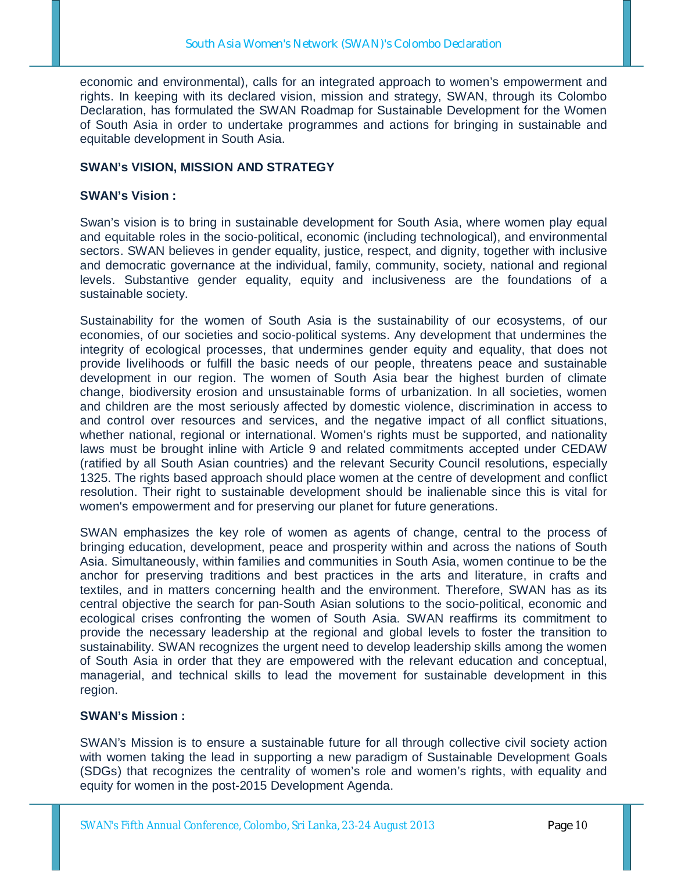economic and environmental), calls for an integrated approach to women's empowerment and rights. In keeping with its declared vision, mission and strategy, SWAN, through its Colombo Declaration, has formulated the SWAN Roadmap for Sustainable Development for the Women of South Asia in order to undertake programmes and actions for bringing in sustainable and equitable development in South Asia.

## **SWAN's VISION, MISSION AND STRATEGY**

### **SWAN's Vision :**

Swan's vision is to bring in sustainable development for South Asia, where women play equal and equitable roles in the socio-political, economic (including technological), and environmental sectors. SWAN believes in gender equality, justice, respect, and dignity, together with inclusive and democratic governance at the individual, family, community, society, national and regional levels. Substantive gender equality, equity and inclusiveness are the foundations of a sustainable society.

Sustainability for the women of South Asia is the sustainability of our ecosystems, of our economies, of our societies and socio-political systems. Any development that undermines the integrity of ecological processes, that undermines gender equity and equality, that does not provide livelihoods or fulfill the basic needs of our people, threatens peace and sustainable development in our region. The women of South Asia bear the highest burden of climate change, biodiversity erosion and unsustainable forms of urbanization. In all societies, women and children are the most seriously affected by domestic violence, discrimination in access to and control over resources and services, and the negative impact of all conflict situations, whether national, regional or international. Women's rights must be supported, and nationality laws must be brought inline with Article 9 and related commitments accepted under CEDAW (ratified by all South Asian countries) and the relevant Security Council resolutions, especially 1325. The rights based approach should place women at the centre of development and conflict resolution. Their right to sustainable development should be inalienable since this is vital for women's empowerment and for preserving our planet for future generations.

SWAN emphasizes the key role of women as agents of change, central to the process of bringing education, development, peace and prosperity within and across the nations of South Asia. Simultaneously, within families and communities in South Asia, women continue to be the anchor for preserving traditions and best practices in the arts and literature, in crafts and textiles, and in matters concerning health and the environment. Therefore, SWAN has as its central objective the search for pan-South Asian solutions to the socio-political, economic and ecological crises confronting the women of South Asia. SWAN reaffirms its commitment to provide the necessary leadership at the regional and global levels to foster the transition to sustainability. SWAN recognizes the urgent need to develop leadership skills among the women of South Asia in order that they are empowered with the relevant education and conceptual, managerial, and technical skills to lead the movement for sustainable development in this region.

### **SWAN's Mission :**

SWAN's Mission is to ensure a sustainable future for all through collective civil society action with women taking the lead in supporting a new paradigm of Sustainable Development Goals (SDGs) that recognizes the centrality of women's role and women's rights, with equality and equity for women in the post-2015 Development Agenda.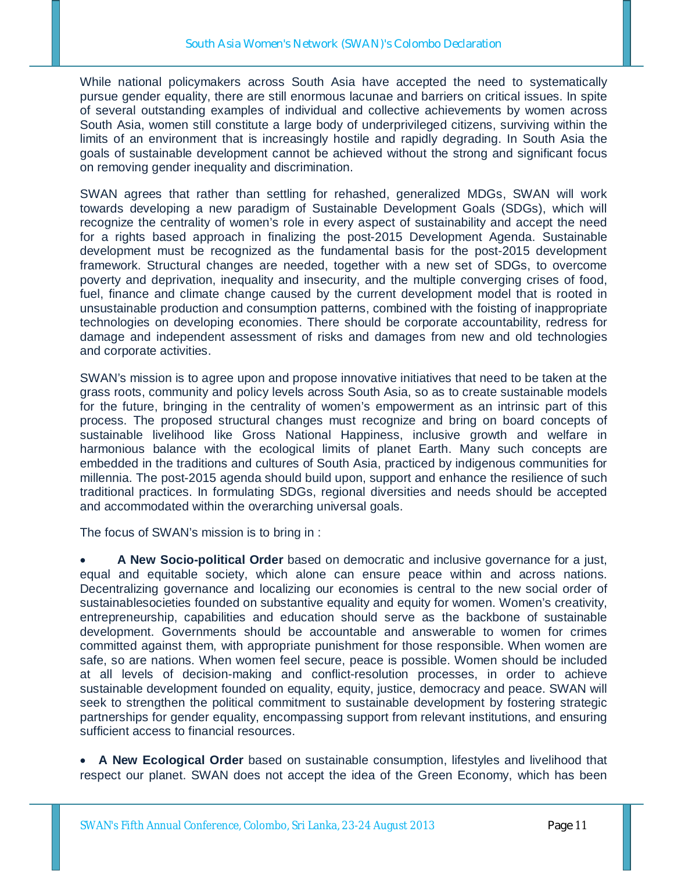While national policymakers across South Asia have accepted the need to systematically pursue gender equality, there are still enormous lacunae and barriers on critical issues. In spite of several outstanding examples of individual and collective achievements by women across South Asia, women still constitute a large body of underprivileged citizens, surviving within the limits of an environment that is increasingly hostile and rapidly degrading. In South Asia the goals of sustainable development cannot be achieved without the strong and significant focus on removing gender inequality and discrimination.

SWAN agrees that rather than settling for rehashed, generalized MDGs, SWAN will work towards developing a new paradigm of Sustainable Development Goals (SDGs), which will recognize the centrality of women's role in every aspect of sustainability and accept the need for a rights based approach in finalizing the post-2015 Development Agenda. Sustainable development must be recognized as the fundamental basis for the post-2015 development framework. Structural changes are needed, together with a new set of SDGs, to overcome poverty and deprivation, inequality and insecurity, and the multiple converging crises of food, fuel, finance and climate change caused by the current development model that is rooted in unsustainable production and consumption patterns, combined with the foisting of inappropriate technologies on developing economies. There should be corporate accountability, redress for damage and independent assessment of risks and damages from new and old technologies and corporate activities.

SWAN's mission is to agree upon and propose innovative initiatives that need to be taken at the grass roots, community and policy levels across South Asia, so as to create sustainable models for the future, bringing in the centrality of women's empowerment as an intrinsic part of this process. The proposed structural changes must recognize and bring on board concepts of sustainable livelihood like Gross National Happiness, inclusive growth and welfare in harmonious balance with the ecological limits of planet Earth. Many such concepts are embedded in the traditions and cultures of South Asia, practiced by indigenous communities for millennia. The post-2015 agenda should build upon, support and enhance the resilience of such traditional practices. In formulating SDGs, regional diversities and needs should be accepted and accommodated within the overarching universal goals.

The focus of SWAN's mission is to bring in :

 **A New Socio-political Order** based on democratic and inclusive governance for a just, equal and equitable society, which alone can ensure peace within and across nations. Decentralizing governance and localizing our economies is central to the new social order of sustainablesocieties founded on substantive equality and equity for women. Women's creativity, entrepreneurship, capabilities and education should serve as the backbone of sustainable development. Governments should be accountable and answerable to women for crimes committed against them, with appropriate punishment for those responsible. When women are safe, so are nations. When women feel secure, peace is possible. Women should be included at all levels of decision-making and conflict-resolution processes, in order to achieve sustainable development founded on equality, equity, justice, democracy and peace. SWAN will seek to strengthen the political commitment to sustainable development by fostering strategic partnerships for gender equality, encompassing support from relevant institutions, and ensuring sufficient access to financial resources.

 **A New Ecological Order** based on sustainable consumption, lifestyles and livelihood that respect our planet. SWAN does not accept the idea of the Green Economy, which has been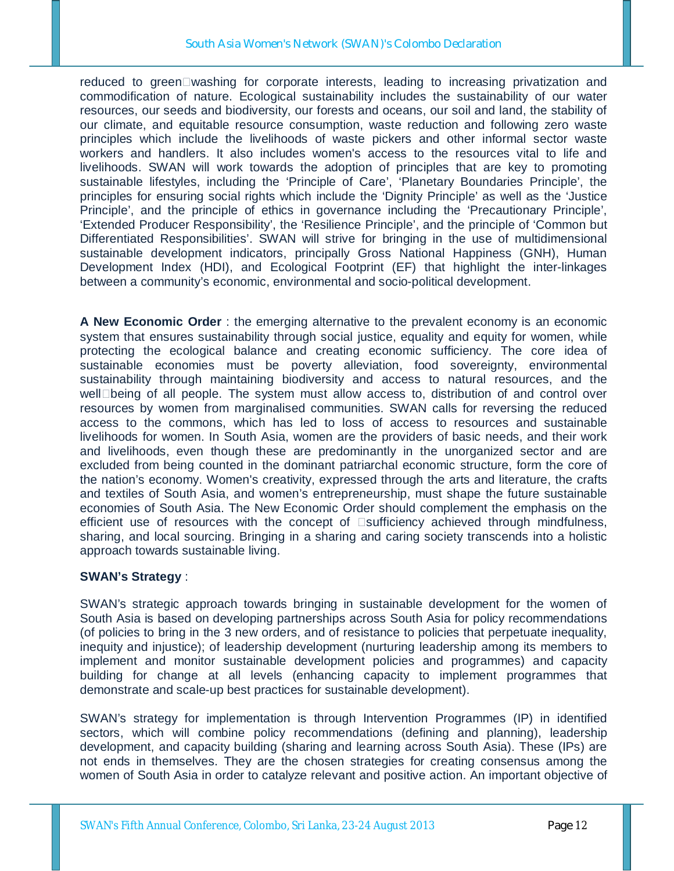reduced to greenDwashing for corporate interests, leading to increasing privatization and commodification of nature. Ecological sustainability includes the sustainability of our water resources, our seeds and biodiversity, our forests and oceans, our soil and land, the stability of our climate, and equitable resource consumption, waste reduction and following zero waste principles which include the livelihoods of waste pickers and other informal sector waste workers and handlers. It also includes women's access to the resources vital to life and livelihoods. SWAN will work towards the adoption of principles that are key to promoting sustainable lifestyles, including the 'Principle of Care', 'Planetary Boundaries Principle', the principles for ensuring social rights which include the 'Dignity Principle' as well as the 'Justice Principle', and the principle of ethics in governance including the 'Precautionary Principle', 'Extended Producer Responsibility', the 'Resilience Principle', and the principle of 'Common but Differentiated Responsibilities'. SWAN will strive for bringing in the use of multidimensional sustainable development indicators, principally Gross National Happiness (GNH), Human Development Index (HDI), and Ecological Footprint (EF) that highlight the inter-linkages between a community's economic, environmental and socio-political development.

**A New Economic Order** : the emerging alternative to the prevalent economy is an economic system that ensures sustainability through social justice, equality and equity for women, while protecting the ecological balance and creating economic sufficiency. The core idea of sustainable economies must be poverty alleviation, food sovereignty, environmental sustainability through maintaining biodiversity and access to natural resources, and the well $\square$ being of all people. The system must allow access to, distribution of and control over resources by women from marginalised communities. SWAN calls for reversing the reduced access to the commons, which has led to loss of access to resources and sustainable livelihoods for women. In South Asia, women are the providers of basic needs, and their work and livelihoods, even though these are predominantly in the unorganized sector and are excluded from being counted in the dominant patriarchal economic structure, form the core of the nation's economy. Women's creativity, expressed through the arts and literature, the crafts and textiles of South Asia, and women's entrepreneurship, must shape the future sustainable economies of South Asia. The New Economic Order should complement the emphasis on the efficient use of resources with the concept of  $\square$ sufficiency achieved through mindfulness, sharing, and local sourcing. Bringing in a sharing and caring society transcends into a holistic approach towards sustainable living.

### **SWAN's Strategy** :

SWAN's strategic approach towards bringing in sustainable development for the women of South Asia is based on developing partnerships across South Asia for policy recommendations (of policies to bring in the 3 new orders, and of resistance to policies that perpetuate inequality, inequity and injustice); of leadership development (nurturing leadership among its members to implement and monitor sustainable development policies and programmes) and capacity building for change at all levels (enhancing capacity to implement programmes that demonstrate and scale-up best practices for sustainable development).

SWAN's strategy for implementation is through Intervention Programmes (IP) in identified sectors, which will combine policy recommendations (defining and planning), leadership development, and capacity building (sharing and learning across South Asia). These (IPs) are not ends in themselves. They are the chosen strategies for creating consensus among the women of South Asia in order to catalyze relevant and positive action. An important objective of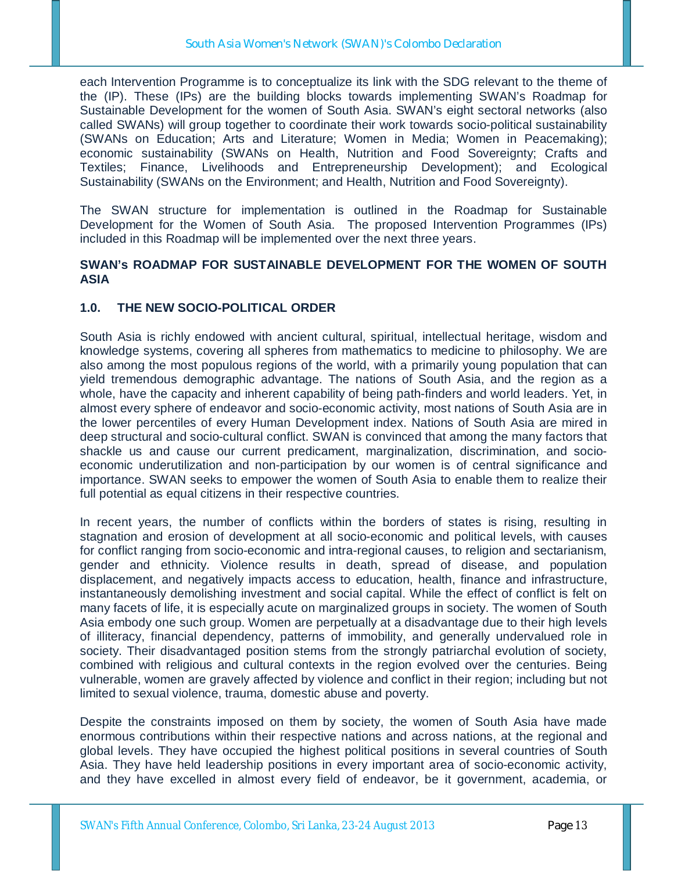each Intervention Programme is to conceptualize its link with the SDG relevant to the theme of the (IP). These (IPs) are the building blocks towards implementing SWAN's Roadmap for Sustainable Development for the women of South Asia. SWAN's eight sectoral networks (also called SWANs) will group together to coordinate their work towards socio-political sustainability (SWANs on Education; Arts and Literature; Women in Media; Women in Peacemaking); economic sustainability (SWANs on Health, Nutrition and Food Sovereignty; Crafts and Textiles; Finance, Livelihoods and Entrepreneurship Development); and Ecological Sustainability (SWANs on the Environment; and Health, Nutrition and Food Sovereignty).

The SWAN structure for implementation is outlined in the Roadmap for Sustainable Development for the Women of South Asia. The proposed Intervention Programmes (IPs) included in this Roadmap will be implemented over the next three years.

### **SWAN's ROADMAP FOR SUSTAINABLE DEVELOPMENT FOR THE WOMEN OF SOUTH ASIA**

### **1.0. THE NEW SOCIO-POLITICAL ORDER**

South Asia is richly endowed with ancient cultural, spiritual, intellectual heritage, wisdom and knowledge systems, covering all spheres from mathematics to medicine to philosophy. We are also among the most populous regions of the world, with a primarily young population that can yield tremendous demographic advantage. The nations of South Asia, and the region as a whole, have the capacity and inherent capability of being path-finders and world leaders. Yet, in almost every sphere of endeavor and socio-economic activity, most nations of South Asia are in the lower percentiles of every Human Development index. Nations of South Asia are mired in deep structural and socio-cultural conflict. SWAN is convinced that among the many factors that shackle us and cause our current predicament, marginalization, discrimination, and socioeconomic underutilization and non-participation by our women is of central significance and importance. SWAN seeks to empower the women of South Asia to enable them to realize their full potential as equal citizens in their respective countries.

In recent years, the number of conflicts within the borders of states is rising, resulting in stagnation and erosion of development at all socio-economic and political levels, with causes for conflict ranging from socio-economic and intra-regional causes, to religion and sectarianism, gender and ethnicity. Violence results in death, spread of disease, and population displacement, and negatively impacts access to education, health, finance and infrastructure, instantaneously demolishing investment and social capital. While the effect of conflict is felt on many facets of life, it is especially acute on marginalized groups in society. The women of South Asia embody one such group. Women are perpetually at a disadvantage due to their high levels of illiteracy, financial dependency, patterns of immobility, and generally undervalued role in society. Their disadvantaged position stems from the strongly patriarchal evolution of society, combined with religious and cultural contexts in the region evolved over the centuries. Being vulnerable, women are gravely affected by violence and conflict in their region; including but not limited to sexual violence, trauma, domestic abuse and poverty.

Despite the constraints imposed on them by society, the women of South Asia have made enormous contributions within their respective nations and across nations, at the regional and global levels. They have occupied the highest political positions in several countries of South Asia. They have held leadership positions in every important area of socio-economic activity, and they have excelled in almost every field of endeavor, be it government, academia, or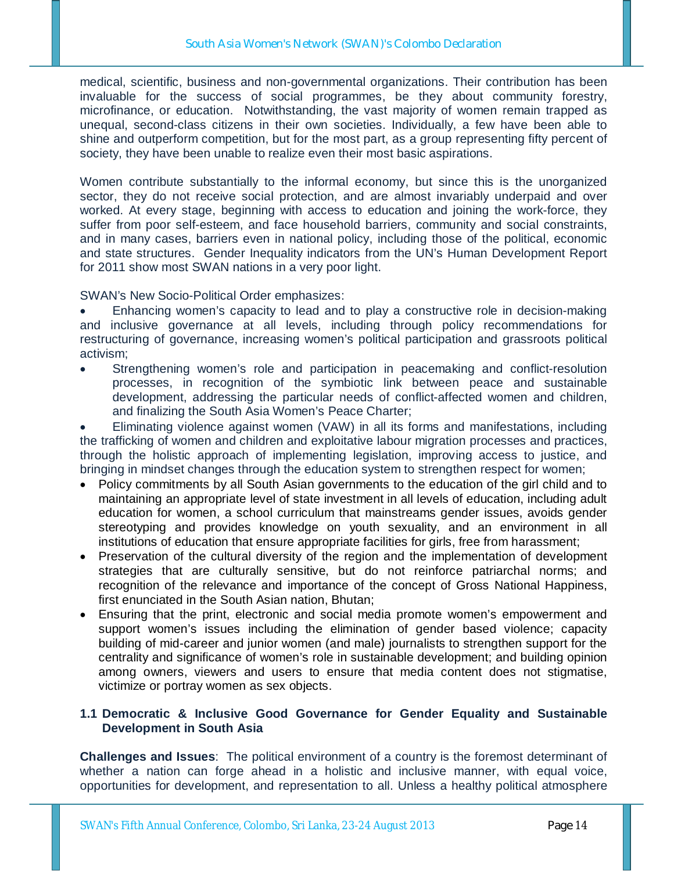medical, scientific, business and non-governmental organizations. Their contribution has been invaluable for the success of social programmes, be they about community forestry, microfinance, or education. Notwithstanding, the vast majority of women remain trapped as unequal, second-class citizens in their own societies. Individually, a few have been able to shine and outperform competition, but for the most part, as a group representing fifty percent of society, they have been unable to realize even their most basic aspirations.

Women contribute substantially to the informal economy, but since this is the unorganized sector, they do not receive social protection, and are almost invariably underpaid and over worked. At every stage, beginning with access to education and joining the work-force, they suffer from poor self-esteem, and face household barriers, community and social constraints, and in many cases, barriers even in national policy, including those of the political, economic and state structures. Gender Inequality indicators from the UN's Human Development Report for 2011 show most SWAN nations in a very poor light.

SWAN's New Socio-Political Order emphasizes:

 Enhancing women's capacity to lead and to play a constructive role in decision-making and inclusive governance at all levels, including through policy recommendations for restructuring of governance, increasing women's political participation and grassroots political activism;

 Strengthening women's role and participation in peacemaking and conflict-resolution processes, in recognition of the symbiotic link between peace and sustainable development, addressing the particular needs of conflict-affected women and children, and finalizing the South Asia Women's Peace Charter;

 Eliminating violence against women (VAW) in all its forms and manifestations, including the trafficking of women and children and exploitative labour migration processes and practices, through the holistic approach of implementing legislation, improving access to justice, and bringing in mindset changes through the education system to strengthen respect for women;

- Policy commitments by all South Asian governments to the education of the girl child and to maintaining an appropriate level of state investment in all levels of education, including adult education for women, a school curriculum that mainstreams gender issues, avoids gender stereotyping and provides knowledge on youth sexuality, and an environment in all institutions of education that ensure appropriate facilities for girls, free from harassment;
- Preservation of the cultural diversity of the region and the implementation of development strategies that are culturally sensitive, but do not reinforce patriarchal norms; and recognition of the relevance and importance of the concept of Gross National Happiness, first enunciated in the South Asian nation, Bhutan;
- Ensuring that the print, electronic and social media promote women's empowerment and support women's issues including the elimination of gender based violence; capacity building of mid-career and junior women (and male) journalists to strengthen support for the centrality and significance of women's role in sustainable development; and building opinion among owners, viewers and users to ensure that media content does not stigmatise, victimize or portray women as sex objects.

## **1.1 Democratic & Inclusive Good Governance for Gender Equality and Sustainable Development in South Asia**

**Challenges and Issues**: The political environment of a country is the foremost determinant of whether a nation can forge ahead in a holistic and inclusive manner, with equal voice, opportunities for development, and representation to all. Unless a healthy political atmosphere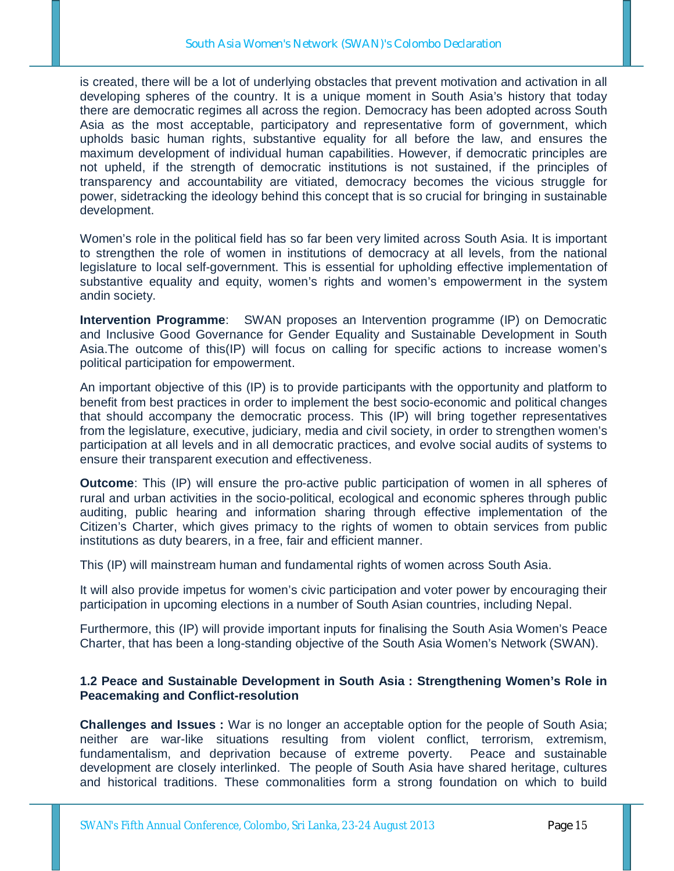is created, there will be a lot of underlying obstacles that prevent motivation and activation in all developing spheres of the country. It is a unique moment in South Asia's history that today there are democratic regimes all across the region. Democracy has been adopted across South Asia as the most acceptable, participatory and representative form of government, which upholds basic human rights, substantive equality for all before the law, and ensures the maximum development of individual human capabilities. However, if democratic principles are not upheld, if the strength of democratic institutions is not sustained, if the principles of transparency and accountability are vitiated, democracy becomes the vicious struggle for power, sidetracking the ideology behind this concept that is so crucial for bringing in sustainable development.

Women's role in the political field has so far been very limited across South Asia. It is important to strengthen the role of women in institutions of democracy at all levels, from the national legislature to local self-government. This is essential for upholding effective implementation of substantive equality and equity, women's rights and women's empowerment in the system andin society.

**Intervention Programme**: SWAN proposes an Intervention programme (IP) on Democratic and Inclusive Good Governance for Gender Equality and Sustainable Development in South Asia.The outcome of this(IP) will focus on calling for specific actions to increase women's political participation for empowerment.

An important objective of this (IP) is to provide participants with the opportunity and platform to benefit from best practices in order to implement the best socio-economic and political changes that should accompany the democratic process. This (IP) will bring together representatives from the legislature, executive, judiciary, media and civil society, in order to strengthen women's participation at all levels and in all democratic practices, and evolve social audits of systems to ensure their transparent execution and effectiveness.

**Outcome**: This (IP) will ensure the pro-active public participation of women in all spheres of rural and urban activities in the socio-political, ecological and economic spheres through public auditing, public hearing and information sharing through effective implementation of the Citizen's Charter, which gives primacy to the rights of women to obtain services from public institutions as duty bearers, in a free, fair and efficient manner.

This (IP) will mainstream human and fundamental rights of women across South Asia.

It will also provide impetus for women's civic participation and voter power by encouraging their participation in upcoming elections in a number of South Asian countries, including Nepal.

Furthermore, this (IP) will provide important inputs for finalising the South Asia Women's Peace Charter, that has been a long-standing objective of the South Asia Women's Network (SWAN).

## **1.2 Peace and Sustainable Development in South Asia : Strengthening Women's Role in Peacemaking and Conflict-resolution**

**Challenges and Issues :** War is no longer an acceptable option for the people of South Asia; neither are war-like situations resulting from violent conflict, terrorism, extremism, fundamentalism, and deprivation because of extreme poverty. Peace and sustainable development are closely interlinked. The people of South Asia have shared heritage, cultures and historical traditions. These commonalities form a strong foundation on which to build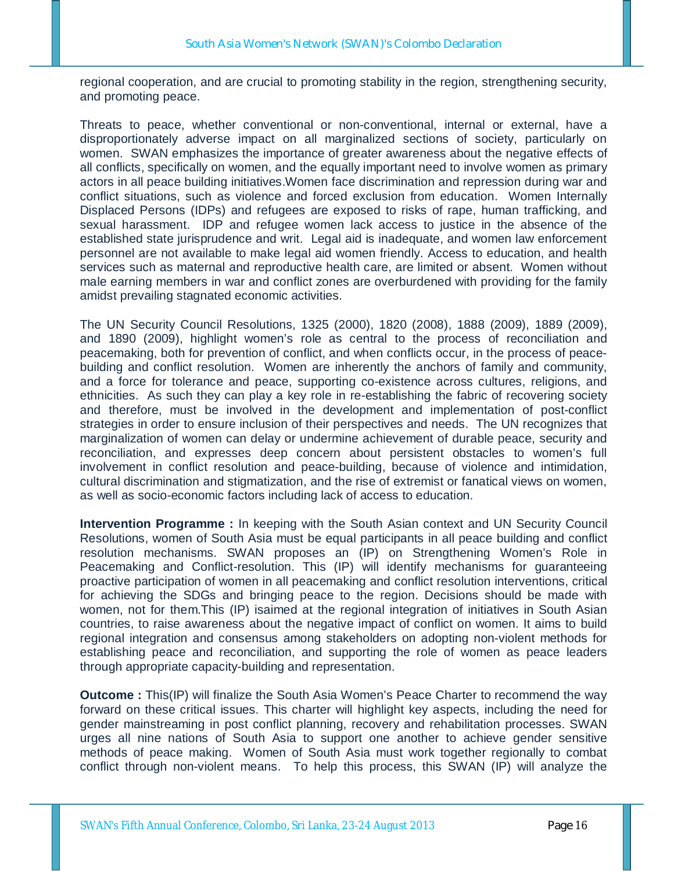regional cooperation, and are crucial to promoting stability in the region, strengthening security, and promoting peace.

Threats to peace, whether conventional or non-conventional, internal or external, have a disproportionately adverse impact on all marginalized sections of society, particularly on women. SWAN emphasizes the importance of greater awareness about the negative effects of all conflicts, specifically on women, and the equally important need to involve women as primary actors in all peace building initiatives.Women face discrimination and repression during war and conflict situations, such as violence and forced exclusion from education. Women Internally Displaced Persons (IDPs) and refugees are exposed to risks of rape, human trafficking, and sexual harassment. IDP and refugee women lack access to justice in the absence of the established state jurisprudence and writ. Legal aid is inadequate, and women law enforcement personnel are not available to make legal aid women friendly. Access to education, and health services such as maternal and reproductive health care, are limited or absent. Women without male earning members in war and conflict zones are overburdened with providing for the family amidst prevailing stagnated economic activities.

The UN Security Council Resolutions, 1325 (2000), 1820 (2008), 1888 (2009), 1889 (2009), and 1890 (2009), highlight women's role as central to the process of reconciliation and peacemaking, both for prevention of conflict, and when conflicts occur, in the process of peacebuilding and conflict resolution. Women are inherently the anchors of family and community, and a force for tolerance and peace, supporting co-existence across cultures, religions, and ethnicities. As such they can play a key role in re-establishing the fabric of recovering society and therefore, must be involved in the development and implementation of post-conflict strategies in order to ensure inclusion of their perspectives and needs. The UN recognizes that marginalization of women can delay or undermine achievement of durable peace, security and reconciliation, and expresses deep concern about persistent obstacles to women's full involvement in conflict resolution and peace-building, because of violence and intimidation, cultural discrimination and stigmatization, and the rise of extremist or fanatical views on women, as well as socio-economic factors including lack of access to education.

**Intervention Programme :** In keeping with the South Asian context and UN Security Council Resolutions, women of South Asia must be equal participants in all peace building and conflict resolution mechanisms. SWAN proposes an (IP) on Strengthening Women's Role in Peacemaking and Conflict-resolution. This (IP) will identify mechanisms for guaranteeing proactive participation of women in all peacemaking and conflict resolution interventions, critical for achieving the SDGs and bringing peace to the region. Decisions should be made with women, not for them.This (IP) isaimed at the regional integration of initiatives in South Asian countries, to raise awareness about the negative impact of conflict on women. It aims to build regional integration and consensus among stakeholders on adopting non-violent methods for establishing peace and reconciliation, and supporting the role of women as peace leaders through appropriate capacity-building and representation.

**Outcome :** This(IP) will finalize the South Asia Women's Peace Charter to recommend the way forward on these critical issues. This charter will highlight key aspects, including the need for gender mainstreaming in post conflict planning, recovery and rehabilitation processes. SWAN urges all nine nations of South Asia to support one another to achieve gender sensitive methods of peace making. Women of South Asia must work together regionally to combat conflict through non-violent means. To help this process, this SWAN (IP) will analyze the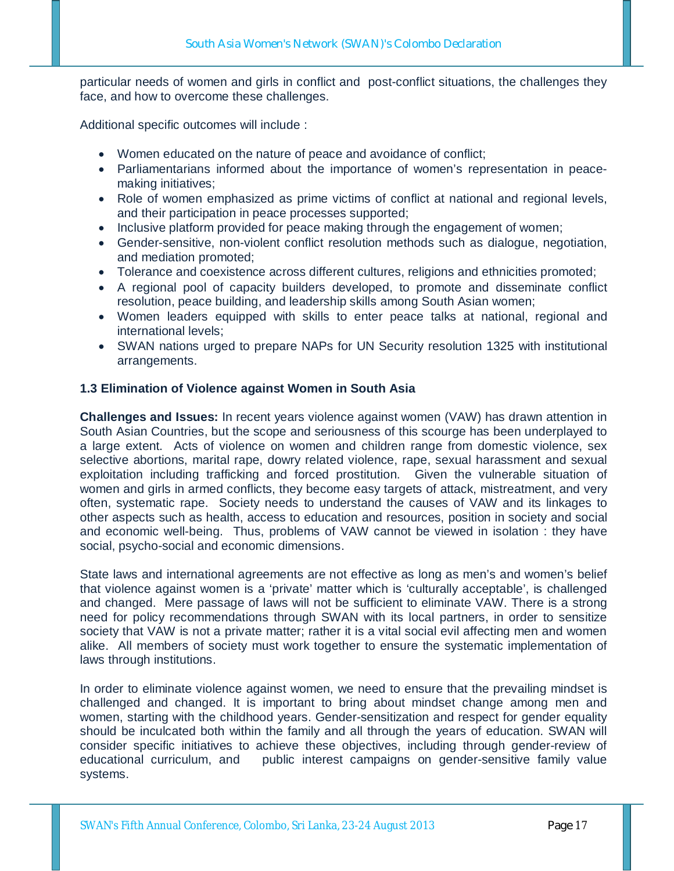particular needs of women and girls in conflict and post-conflict situations, the challenges they face, and how to overcome these challenges.

Additional specific outcomes will include :

- Women educated on the nature of peace and avoidance of conflict;
- Parliamentarians informed about the importance of women's representation in peacemaking initiatives;
- Role of women emphasized as prime victims of conflict at national and regional levels, and their participation in peace processes supported;
- Inclusive platform provided for peace making through the engagement of women;
- Gender-sensitive, non-violent conflict resolution methods such as dialogue, negotiation, and mediation promoted;
- Tolerance and coexistence across different cultures, religions and ethnicities promoted;
- A regional pool of capacity builders developed, to promote and disseminate conflict resolution, peace building, and leadership skills among South Asian women;
- Women leaders equipped with skills to enter peace talks at national, regional and international levels;
- SWAN nations urged to prepare NAPs for UN Security resolution 1325 with institutional arrangements.

### **1.3 Elimination of Violence against Women in South Asia**

**Challenges and Issues:** In recent years violence against women (VAW) has drawn attention in South Asian Countries, but the scope and seriousness of this scourge has been underplayed to a large extent. Acts of violence on women and children range from domestic violence, sex selective abortions, marital rape, dowry related violence, rape, sexual harassment and sexual exploitation including trafficking and forced prostitution. Given the vulnerable situation of women and girls in armed conflicts, they become easy targets of attack, mistreatment, and very often, systematic rape. Society needs to understand the causes of VAW and its linkages to other aspects such as health, access to education and resources, position in society and social and economic well-being. Thus, problems of VAW cannot be viewed in isolation : they have social, psycho-social and economic dimensions.

State laws and international agreements are not effective as long as men's and women's belief that violence against women is a 'private' matter which is 'culturally acceptable', is challenged and changed. Mere passage of laws will not be sufficient to eliminate VAW. There is a strong need for policy recommendations through SWAN with its local partners, in order to sensitize society that VAW is not a private matter; rather it is a vital social evil affecting men and women alike. All members of society must work together to ensure the systematic implementation of laws through institutions.

In order to eliminate violence against women, we need to ensure that the prevailing mindset is challenged and changed. It is important to bring about mindset change among men and women, starting with the childhood years. Gender-sensitization and respect for gender equality should be inculcated both within the family and all through the years of education. SWAN will consider specific initiatives to achieve these objectives, including through gender-review of educational curriculum, and public interest campaigns on gender-sensitive family value systems.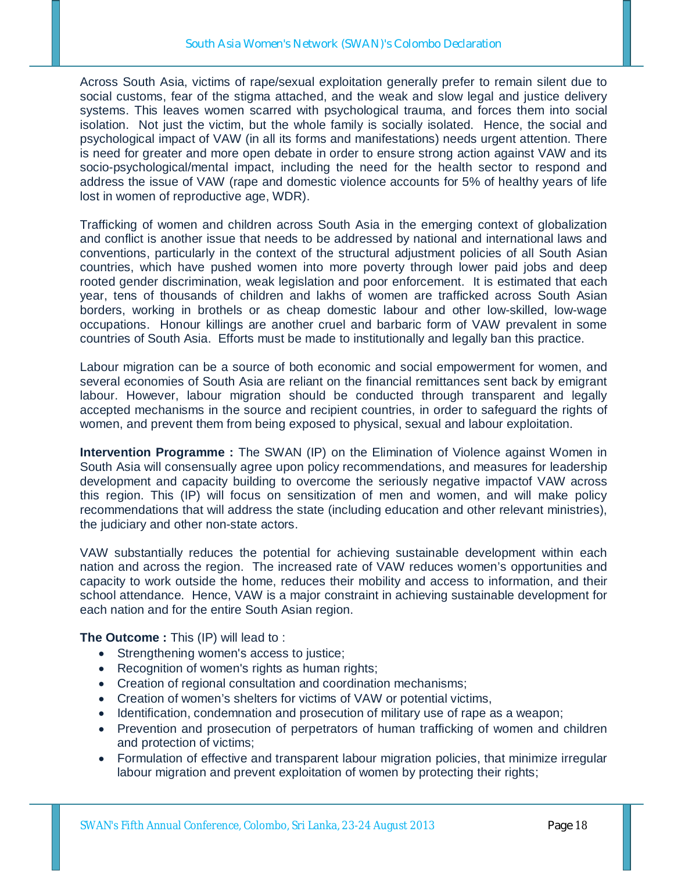Across South Asia, victims of rape/sexual exploitation generally prefer to remain silent due to social customs, fear of the stigma attached, and the weak and slow legal and justice delivery systems. This leaves women scarred with psychological trauma, and forces them into social isolation. Not just the victim, but the whole family is socially isolated. Hence, the social and psychological impact of VAW (in all its forms and manifestations) needs urgent attention. There is need for greater and more open debate in order to ensure strong action against VAW and its socio-psychological/mental impact, including the need for the health sector to respond and address the issue of VAW (rape and domestic violence accounts for 5% of healthy years of life lost in women of reproductive age, WDR).

Trafficking of women and children across South Asia in the emerging context of globalization and conflict is another issue that needs to be addressed by national and international laws and conventions, particularly in the context of the structural adjustment policies of all South Asian countries, which have pushed women into more poverty through lower paid jobs and deep rooted gender discrimination, weak legislation and poor enforcement. It is estimated that each year, tens of thousands of children and lakhs of women are trafficked across South Asian borders, working in brothels or as cheap domestic labour and other low-skilled, low-wage occupations. Honour killings are another cruel and barbaric form of VAW prevalent in some countries of South Asia. Efforts must be made to institutionally and legally ban this practice.

Labour migration can be a source of both economic and social empowerment for women, and several economies of South Asia are reliant on the financial remittances sent back by emigrant labour. However, labour migration should be conducted through transparent and legally accepted mechanisms in the source and recipient countries, in order to safeguard the rights of women, and prevent them from being exposed to physical, sexual and labour exploitation.

**Intervention Programme :** The SWAN (IP) on the Elimination of Violence against Women in South Asia will consensually agree upon policy recommendations, and measures for leadership development and capacity building to overcome the seriously negative impactof VAW across this region. This (IP) will focus on sensitization of men and women, and will make policy recommendations that will address the state (including education and other relevant ministries), the judiciary and other non-state actors.

VAW substantially reduces the potential for achieving sustainable development within each nation and across the region. The increased rate of VAW reduces women's opportunities and capacity to work outside the home, reduces their mobility and access to information, and their school attendance. Hence, VAW is a major constraint in achieving sustainable development for each nation and for the entire South Asian region.

**The Outcome :** This (IP) will lead to :

- Strengthening women's access to justice;
- Recognition of women's rights as human rights;
- Creation of regional consultation and coordination mechanisms;
- Creation of women's shelters for victims of VAW or potential victims,
- Identification, condemnation and prosecution of military use of rape as a weapon;
- Prevention and prosecution of perpetrators of human trafficking of women and children and protection of victims;
- Formulation of effective and transparent labour migration policies, that minimize irregular labour migration and prevent exploitation of women by protecting their rights;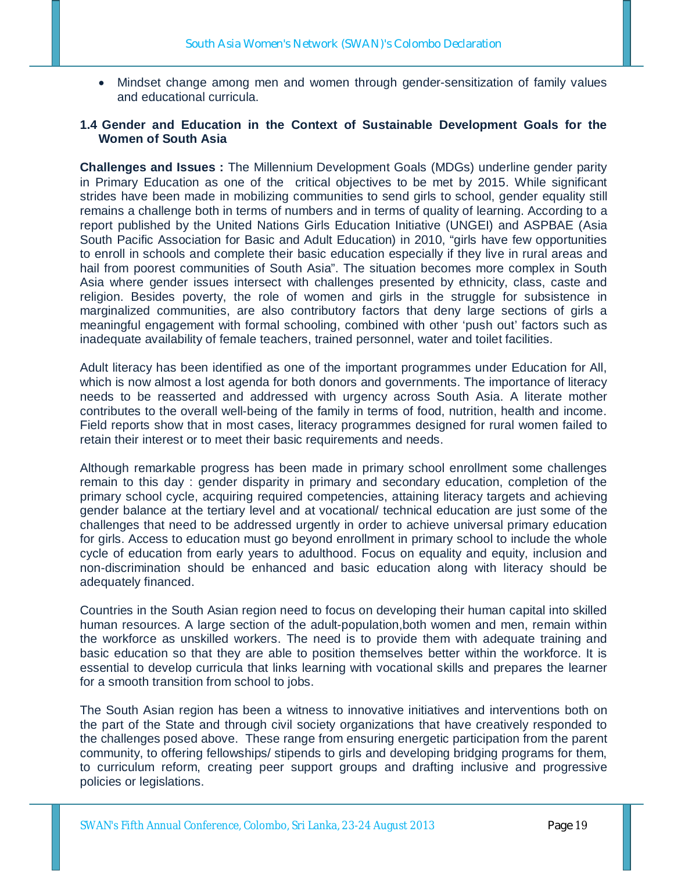Mindset change among men and women through gender-sensitization of family values and educational curricula.

### **1.4 Gender and Education in the Context of Sustainable Development Goals for the Women of South Asia**

**Challenges and Issues :** The Millennium Development Goals (MDGs) underline gender parity in Primary Education as one of the critical objectives to be met by 2015. While significant strides have been made in mobilizing communities to send girls to school, gender equality still remains a challenge both in terms of numbers and in terms of quality of learning. According to a report published by the United Nations Girls Education Initiative (UNGEI) and ASPBAE (Asia South Pacific Association for Basic and Adult Education) in 2010, "girls have few opportunities to enroll in schools and complete their basic education especially if they live in rural areas and hail from poorest communities of South Asia". The situation becomes more complex in South Asia where gender issues intersect with challenges presented by ethnicity, class, caste and religion. Besides poverty, the role of women and girls in the struggle for subsistence in marginalized communities, are also contributory factors that deny large sections of girls a meaningful engagement with formal schooling, combined with other 'push out' factors such as inadequate availability of female teachers, trained personnel, water and toilet facilities.

Adult literacy has been identified as one of the important programmes under Education for All, which is now almost a lost agenda for both donors and governments. The importance of literacy needs to be reasserted and addressed with urgency across South Asia. A literate mother contributes to the overall well-being of the family in terms of food, nutrition, health and income. Field reports show that in most cases, literacy programmes designed for rural women failed to retain their interest or to meet their basic requirements and needs.

Although remarkable progress has been made in primary school enrollment some challenges remain to this day : gender disparity in primary and secondary education, completion of the primary school cycle, acquiring required competencies, attaining literacy targets and achieving gender balance at the tertiary level and at vocational/ technical education are just some of the challenges that need to be addressed urgently in order to achieve universal primary education for girls. Access to education must go beyond enrollment in primary school to include the whole cycle of education from early years to adulthood. Focus on equality and equity, inclusion and non-discrimination should be enhanced and basic education along with literacy should be adequately financed.

Countries in the South Asian region need to focus on developing their human capital into skilled human resources. A large section of the adult-population,both women and men, remain within the workforce as unskilled workers. The need is to provide them with adequate training and basic education so that they are able to position themselves better within the workforce. It is essential to develop curricula that links learning with vocational skills and prepares the learner for a smooth transition from school to jobs.

The South Asian region has been a witness to innovative initiatives and interventions both on the part of the State and through civil society organizations that have creatively responded to the challenges posed above. These range from ensuring energetic participation from the parent community, to offering fellowships/ stipends to girls and developing bridging programs for them, to curriculum reform, creating peer support groups and drafting inclusive and progressive policies or legislations.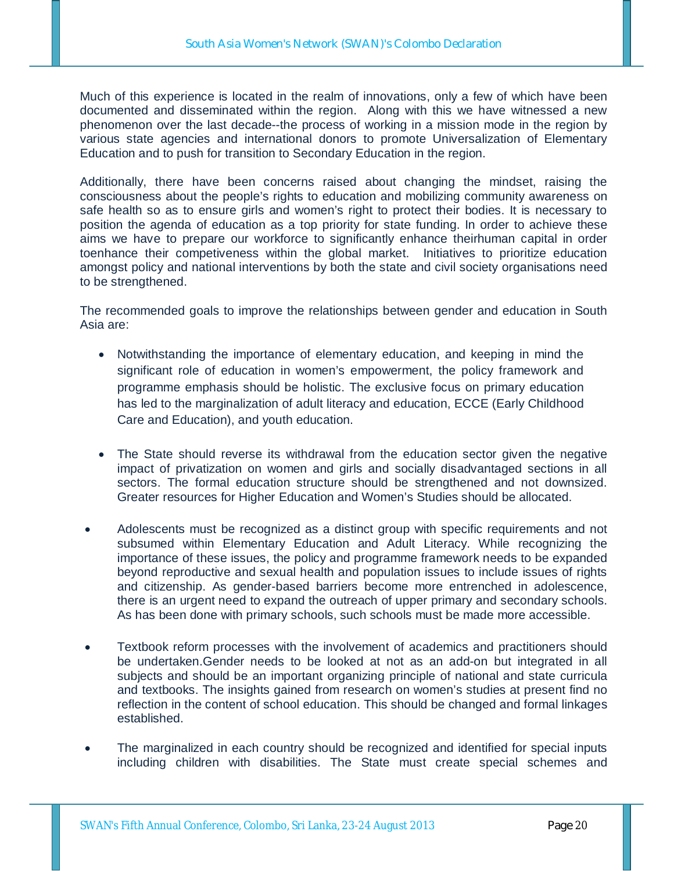Much of this experience is located in the realm of innovations, only a few of which have been documented and disseminated within the region. Along with this we have witnessed a new phenomenon over the last decade--the process of working in a mission mode in the region by various state agencies and international donors to promote Universalization of Elementary Education and to push for transition to Secondary Education in the region.

Additionally, there have been concerns raised about changing the mindset, raising the consciousness about the people's rights to education and mobilizing community awareness on safe health so as to ensure girls and women's right to protect their bodies. It is necessary to position the agenda of education as a top priority for state funding. In order to achieve these aims we have to prepare our workforce to significantly enhance theirhuman capital in order toenhance their competiveness within the global market. Initiatives to prioritize education amongst policy and national interventions by both the state and civil society organisations need to be strengthened.

The recommended goals to improve the relationships between gender and education in South Asia are:

- Notwithstanding the importance of elementary education, and keeping in mind the significant role of education in women's empowerment, the policy framework and programme emphasis should be holistic. The exclusive focus on primary education has led to the marginalization of adult literacy and education, ECCE (Early Childhood Care and Education), and youth education.
- The State should reverse its withdrawal from the education sector given the negative impact of privatization on women and girls and socially disadvantaged sections in all sectors. The formal education structure should be strengthened and not downsized. Greater resources for Higher Education and Women's Studies should be allocated.
- Adolescents must be recognized as a distinct group with specific requirements and not subsumed within Elementary Education and Adult Literacy. While recognizing the importance of these issues, the policy and programme framework needs to be expanded beyond reproductive and sexual health and population issues to include issues of rights and citizenship. As gender-based barriers become more entrenched in adolescence, there is an urgent need to expand the outreach of upper primary and secondary schools. As has been done with primary schools, such schools must be made more accessible.
- Textbook reform processes with the involvement of academics and practitioners should be undertaken.Gender needs to be looked at not as an add-on but integrated in all subjects and should be an important organizing principle of national and state curricula and textbooks. The insights gained from research on women's studies at present find no reflection in the content of school education. This should be changed and formal linkages established.
- The marginalized in each country should be recognized and identified for special inputs including children with disabilities. The State must create special schemes and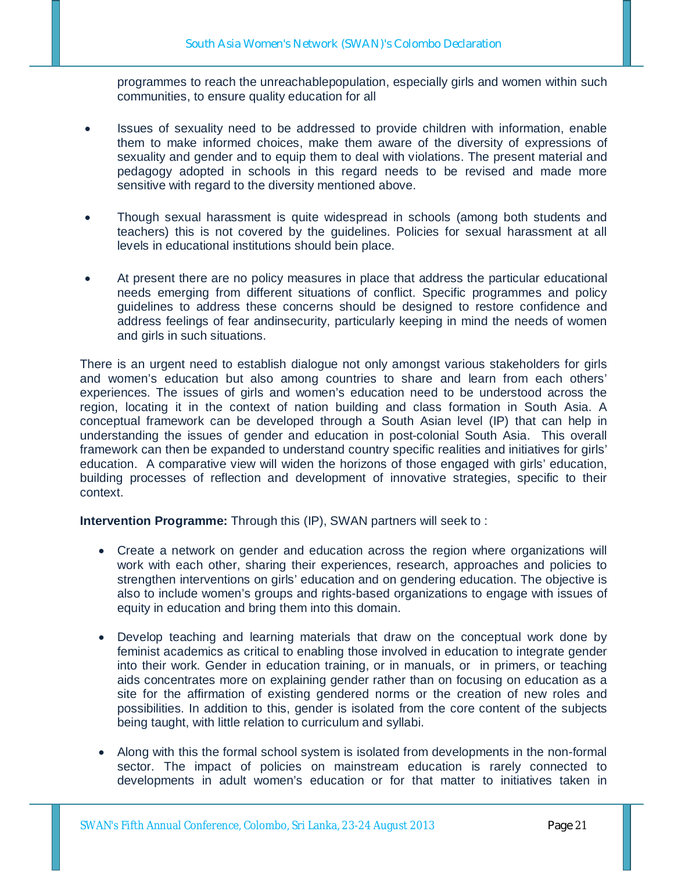programmes to reach the unreachablepopulation, especially girls and women within such communities, to ensure quality education for all

- Issues of sexuality need to be addressed to provide children with information, enable them to make informed choices, make them aware of the diversity of expressions of sexuality and gender and to equip them to deal with violations. The present material and pedagogy adopted in schools in this regard needs to be revised and made more sensitive with regard to the diversity mentioned above.
- Though sexual harassment is quite widespread in schools (among both students and teachers) this is not covered by the guidelines. Policies for sexual harassment at all levels in educational institutions should bein place.
- At present there are no policy measures in place that address the particular educational needs emerging from different situations of conflict. Specific programmes and policy guidelines to address these concerns should be designed to restore confidence and address feelings of fear andinsecurity, particularly keeping in mind the needs of women and girls in such situations.

There is an urgent need to establish dialogue not only amongst various stakeholders for girls and women's education but also among countries to share and learn from each others' experiences. The issues of girls and women's education need to be understood across the region, locating it in the context of nation building and class formation in South Asia. A conceptual framework can be developed through a South Asian level (IP) that can help in understanding the issues of gender and education in post-colonial South Asia. This overall framework can then be expanded to understand country specific realities and initiatives for girls' education. A comparative view will widen the horizons of those engaged with girls' education, building processes of reflection and development of innovative strategies, specific to their context.

**Intervention Programme:** Through this (IP), SWAN partners will seek to:

- Create a network on gender and education across the region where organizations will work with each other, sharing their experiences, research, approaches and policies to strengthen interventions on girls' education and on gendering education. The objective is also to include women's groups and rights-based organizations to engage with issues of equity in education and bring them into this domain.
- Develop teaching and learning materials that draw on the conceptual work done by feminist academics as critical to enabling those involved in education to integrate gender into their work. Gender in education training, or in manuals, or in primers, or teaching aids concentrates more on explaining gender rather than on focusing on education as a site for the affirmation of existing gendered norms or the creation of new roles and possibilities. In addition to this, gender is isolated from the core content of the subjects being taught, with little relation to curriculum and syllabi.
- Along with this the formal school system is isolated from developments in the non-formal sector. The impact of policies on mainstream education is rarely connected to developments in adult women's education or for that matter to initiatives taken in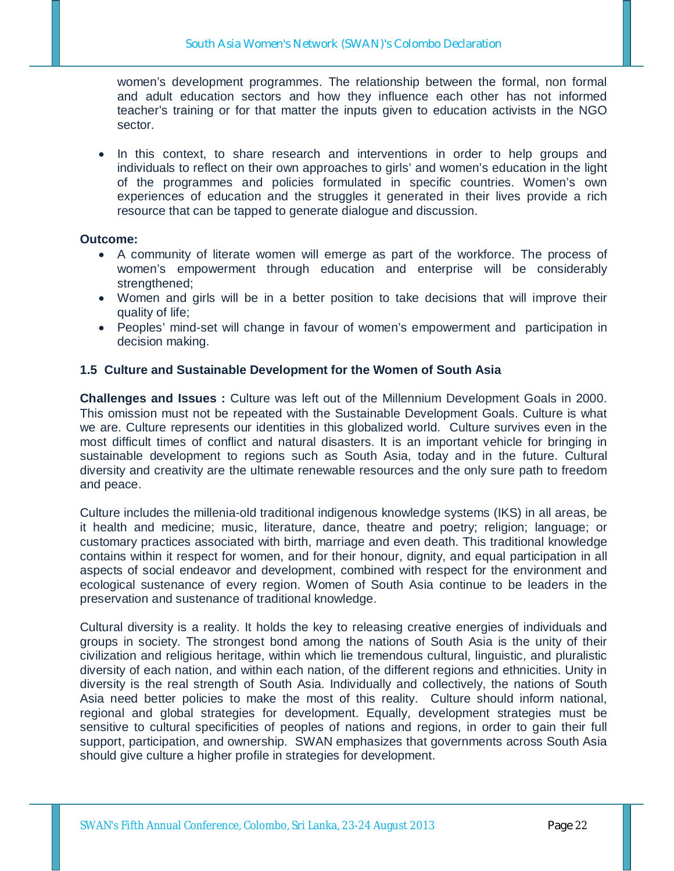women's development programmes. The relationship between the formal, non formal and adult education sectors and how they influence each other has not informed teacher's training or for that matter the inputs given to education activists in the NGO sector.

In this context, to share research and interventions in order to help groups and individuals to reflect on their own approaches to girls' and women's education in the light of the programmes and policies formulated in specific countries. Women's own experiences of education and the struggles it generated in their lives provide a rich resource that can be tapped to generate dialogue and discussion.

#### **Outcome:**

- A community of literate women will emerge as part of the workforce. The process of women's empowerment through education and enterprise will be considerably strengthened;
- Women and girls will be in a better position to take decisions that will improve their quality of life;
- Peoples' mind-set will change in favour of women's empowerment and participation in decision making.

### **1.5 Culture and Sustainable Development for the Women of South Asia**

**Challenges and Issues :** Culture was left out of the Millennium Development Goals in 2000. This omission must not be repeated with the Sustainable Development Goals. Culture is what we are. Culture represents our identities in this globalized world. Culture survives even in the most difficult times of conflict and natural disasters. It is an important vehicle for bringing in sustainable development to regions such as South Asia, today and in the future. Cultural diversity and creativity are the ultimate renewable resources and the only sure path to freedom and peace.

Culture includes the millenia-old traditional indigenous knowledge systems (IKS) in all areas, be it health and medicine; music, literature, dance, theatre and poetry; religion; language; or customary practices associated with birth, marriage and even death. This traditional knowledge contains within it respect for women, and for their honour, dignity, and equal participation in all aspects of social endeavor and development, combined with respect for the environment and ecological sustenance of every region. Women of South Asia continue to be leaders in the preservation and sustenance of traditional knowledge.

Cultural diversity is a reality. It holds the key to releasing creative energies of individuals and groups in society. The strongest bond among the nations of South Asia is the unity of their civilization and religious heritage, within which lie tremendous cultural, linguistic, and pluralistic diversity of each nation, and within each nation, of the different regions and ethnicities. Unity in diversity is the real strength of South Asia. Individually and collectively, the nations of South Asia need better policies to make the most of this reality. Culture should inform national, regional and global strategies for development. Equally, development strategies must be sensitive to cultural specificities of peoples of nations and regions, in order to gain their full support, participation, and ownership. SWAN emphasizes that governments across South Asia should give culture a higher profile in strategies for development.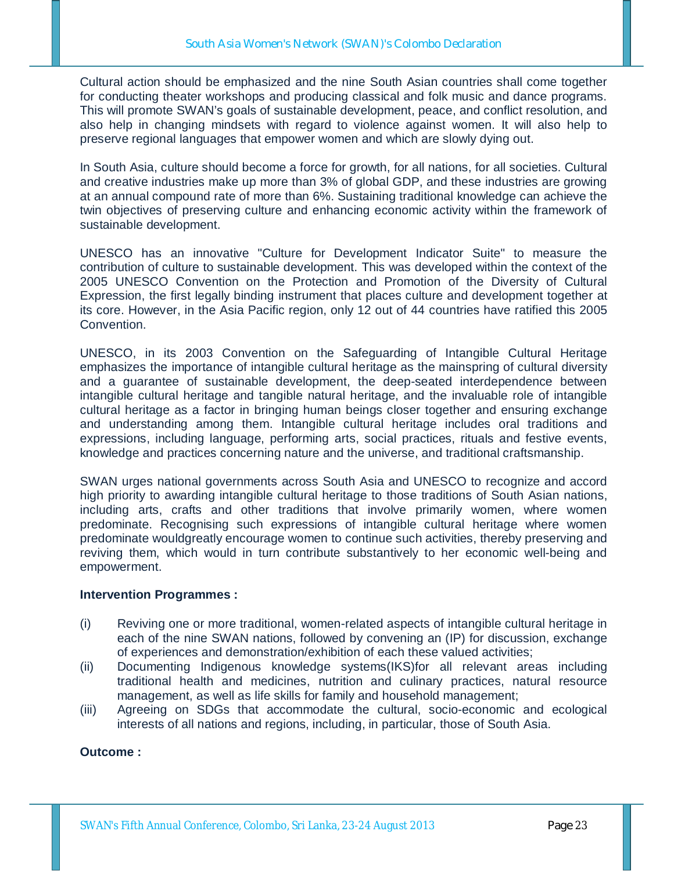Cultural action should be emphasized and the nine South Asian countries shall come together for conducting theater workshops and producing classical and folk music and dance programs. This will promote SWAN's goals of sustainable development, peace, and conflict resolution, and also help in changing mindsets with regard to violence against women. It will also help to preserve regional languages that empower women and which are slowly dying out.

In South Asia, culture should become a force for growth, for all nations, for all societies. Cultural and creative industries make up more than 3% of global GDP, and these industries are growing at an annual compound rate of more than 6%. Sustaining traditional knowledge can achieve the twin objectives of preserving culture and enhancing economic activity within the framework of sustainable development.

UNESCO has an innovative "Culture for Development Indicator Suite" to measure the contribution of culture to sustainable development. This was developed within the context of the 2005 UNESCO Convention on the Protection and Promotion of the Diversity of Cultural Expression, the first legally binding instrument that places culture and development together at its core. However, in the Asia Pacific region, only 12 out of 44 countries have ratified this 2005 Convention.

UNESCO, in its 2003 Convention on the Safeguarding of Intangible Cultural Heritage emphasizes the importance of intangible cultural heritage as the mainspring of cultural diversity and a guarantee of sustainable development, the deep-seated interdependence between intangible cultural heritage and tangible natural heritage, and the invaluable role of intangible cultural heritage as a factor in bringing human beings closer together and ensuring exchange and understanding among them. Intangible cultural heritage includes oral traditions and expressions, including language, performing arts, social practices, rituals and festive events, knowledge and practices concerning nature and the universe, and traditional craftsmanship.

SWAN urges national governments across South Asia and UNESCO to recognize and accord high priority to awarding intangible cultural heritage to those traditions of South Asian nations, including arts, crafts and other traditions that involve primarily women, where women predominate. Recognising such expressions of intangible cultural heritage where women predominate wouldgreatly encourage women to continue such activities, thereby preserving and reviving them, which would in turn contribute substantively to her economic well-being and empowerment.

### **Intervention Programmes :**

- (i) Reviving one or more traditional, women-related aspects of intangible cultural heritage in each of the nine SWAN nations, followed by convening an (IP) for discussion, exchange of experiences and demonstration/exhibition of each these valued activities;
- (ii) Documenting Indigenous knowledge systems(IKS)for all relevant areas including traditional health and medicines, nutrition and culinary practices, natural resource management, as well as life skills for family and household management;
- (iii) Agreeing on SDGs that accommodate the cultural, socio-economic and ecological interests of all nations and regions, including, in particular, those of South Asia.

### **Outcome :**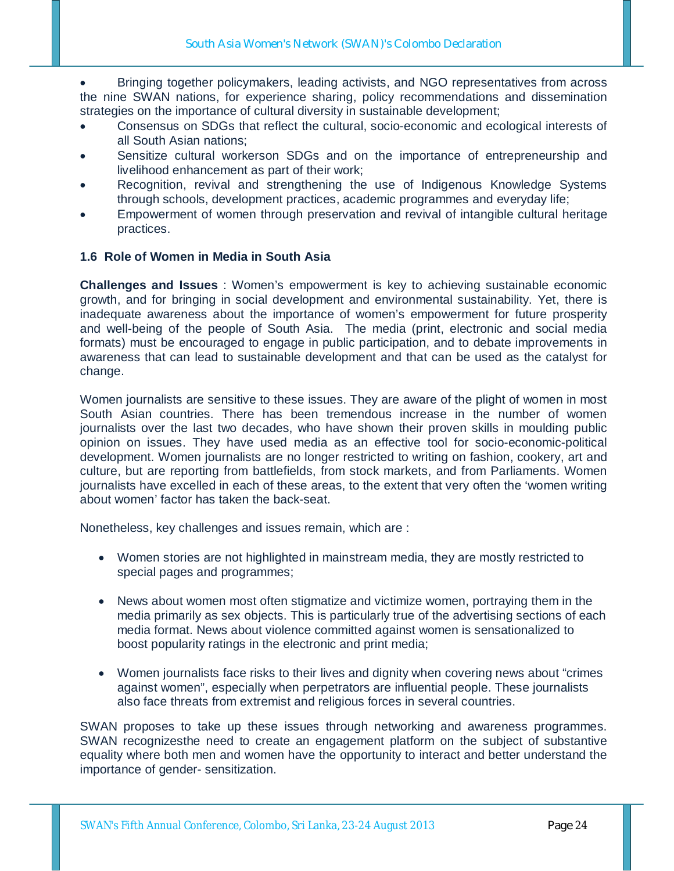Bringing together policymakers, leading activists, and NGO representatives from across the nine SWAN nations, for experience sharing, policy recommendations and dissemination strategies on the importance of cultural diversity in sustainable development;

- Consensus on SDGs that reflect the cultural, socio-economic and ecological interests of all South Asian nations;
- Sensitize cultural workerson SDGs and on the importance of entrepreneurship and livelihood enhancement as part of their work;
- Recognition, revival and strengthening the use of Indigenous Knowledge Systems through schools, development practices, academic programmes and everyday life;
- Empowerment of women through preservation and revival of intangible cultural heritage practices.

### **1.6 Role of Women in Media in South Asia**

**Challenges and Issues** : Women's empowerment is key to achieving sustainable economic growth, and for bringing in social development and environmental sustainability. Yet, there is inadequate awareness about the importance of women's empowerment for future prosperity and well-being of the people of South Asia. The media (print, electronic and social media formats) must be encouraged to engage in public participation, and to debate improvements in awareness that can lead to sustainable development and that can be used as the catalyst for change.

Women journalists are sensitive to these issues. They are aware of the plight of women in most South Asian countries. There has been tremendous increase in the number of women journalists over the last two decades, who have shown their proven skills in moulding public opinion on issues. They have used media as an effective tool for socio-economic-political development. Women journalists are no longer restricted to writing on fashion, cookery, art and culture, but are reporting from battlefields, from stock markets, and from Parliaments. Women journalists have excelled in each of these areas, to the extent that very often the 'women writing about women' factor has taken the back-seat.

Nonetheless, key challenges and issues remain, which are :

- Women stories are not highlighted in mainstream media, they are mostly restricted to special pages and programmes;
- News about women most often stigmatize and victimize women, portraying them in the media primarily as sex objects. This is particularly true of the advertising sections of each media format. News about violence committed against women is sensationalized to boost popularity ratings in the electronic and print media;
- Women journalists face risks to their lives and dignity when covering news about "crimes against women", especially when perpetrators are influential people. These journalists also face threats from extremist and religious forces in several countries.

SWAN proposes to take up these issues through networking and awareness programmes. SWAN recognizesthe need to create an engagement platform on the subject of substantive equality where both men and women have the opportunity to interact and better understand the importance of gender- sensitization.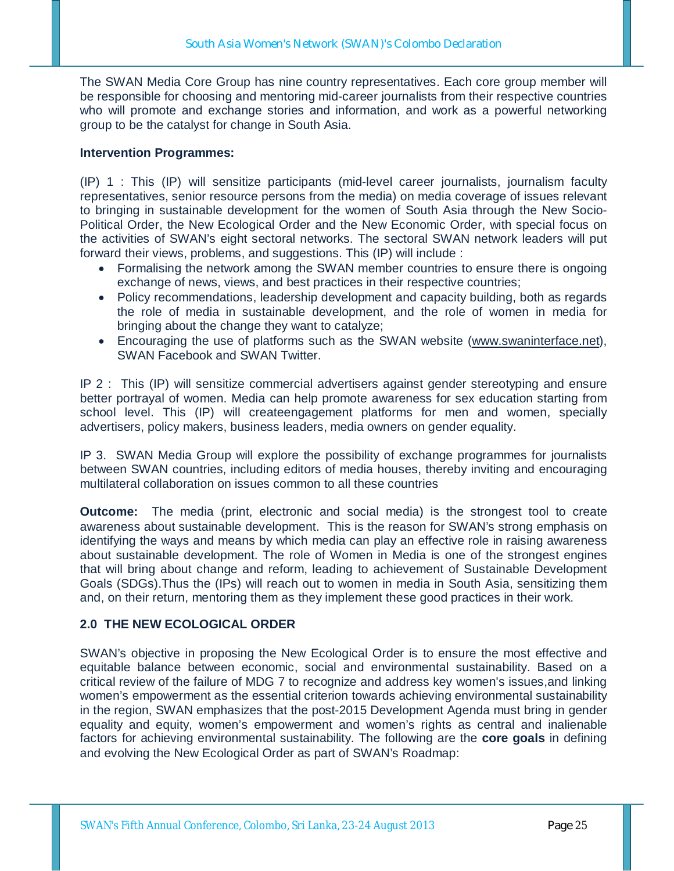The SWAN Media Core Group has nine country representatives. Each core group member will be responsible for choosing and mentoring mid-career journalists from their respective countries who will promote and exchange stories and information, and work as a powerful networking group to be the catalyst for change in South Asia.

### **Intervention Programmes:**

(IP) 1 : This (IP) will sensitize participants (mid-level career journalists, journalism faculty representatives, senior resource persons from the media) on media coverage of issues relevant to bringing in sustainable development for the women of South Asia through the New Socio-Political Order, the New Ecological Order and the New Economic Order, with special focus on the activities of SWAN's eight sectoral networks. The sectoral SWAN network leaders will put forward their views, problems, and suggestions. This (IP) will include :

- Formalising the network among the SWAN member countries to ensure there is ongoing exchange of news, views, and best practices in their respective countries;
- Policy recommendations, leadership development and capacity building, both as regards the role of media in sustainable development, and the role of women in media for bringing about the change they want to catalyze;
- Encouraging the use of platforms such as the SWAN website (www.swaninterface.net), SWAN Facebook and SWAN Twitter.

IP 2 : This (IP) will sensitize commercial advertisers against gender stereotyping and ensure better portrayal of women. Media can help promote awareness for sex education starting from school level. This (IP) will createengagement platforms for men and women, specially advertisers, policy makers, business leaders, media owners on gender equality.

IP 3. SWAN Media Group will explore the possibility of exchange programmes for journalists between SWAN countries, including editors of media houses, thereby inviting and encouraging multilateral collaboration on issues common to all these countries

**Outcome:** The media (print, electronic and social media) is the strongest tool to create awareness about sustainable development. This is the reason for SWAN's strong emphasis on identifying the ways and means by which media can play an effective role in raising awareness about sustainable development. The role of Women in Media is one of the strongest engines that will bring about change and reform, leading to achievement of Sustainable Development Goals (SDGs).Thus the (IPs) will reach out to women in media in South Asia, sensitizing them and, on their return, mentoring them as they implement these good practices in their work.

## **2.0 THE NEW ECOLOGICAL ORDER**

SWAN's objective in proposing the New Ecological Order is to ensure the most effective and equitable balance between economic, social and environmental sustainability. Based on a critical review of the failure of MDG 7 to recognize and address key women's issues,and linking women's empowerment as the essential criterion towards achieving environmental sustainability in the region, SWAN emphasizes that the post-2015 Development Agenda must bring in gender equality and equity, women's empowerment and women's rights as central and inalienable factors for achieving environmental sustainability. The following are the **core goals** in defining and evolving the New Ecological Order as part of SWAN's Roadmap: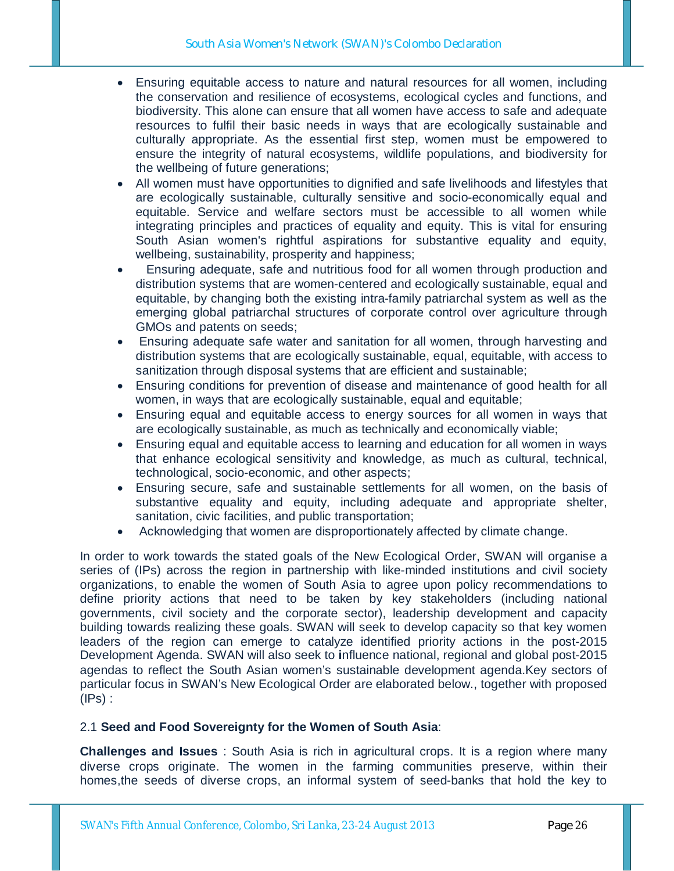- Ensuring equitable access to nature and natural resources for all women, including the conservation and resilience of ecosystems, ecological cycles and functions, and biodiversity. This alone can ensure that all women have access to safe and adequate resources to fulfil their basic needs in ways that are ecologically sustainable and culturally appropriate. As the essential first step, women must be empowered to ensure the integrity of natural ecosystems, wildlife populations, and biodiversity for the wellbeing of future generations;
- All women must have opportunities to dignified and safe livelihoods and lifestyles that are ecologically sustainable, culturally sensitive and socio-economically equal and equitable. Service and welfare sectors must be accessible to all women while integrating principles and practices of equality and equity. This is vital for ensuring South Asian women's rightful aspirations for substantive equality and equity, wellbeing, sustainability, prosperity and happiness;
- Ensuring adequate, safe and nutritious food for all women through production and distribution systems that are women-centered and ecologically sustainable, equal and equitable, by changing both the existing intra-family patriarchal system as well as the emerging global patriarchal structures of corporate control over agriculture through GMOs and patents on seeds;
- Ensuring adequate safe water and sanitation for all women, through harvesting and distribution systems that are ecologically sustainable, equal, equitable, with access to sanitization through disposal systems that are efficient and sustainable;
- Ensuring conditions for prevention of disease and maintenance of good health for all women, in ways that are ecologically sustainable, equal and equitable;
- Ensuring equal and equitable access to energy sources for all women in ways that are ecologically sustainable, as much as technically and economically viable;
- Ensuring equal and equitable access to learning and education for all women in ways that enhance ecological sensitivity and knowledge, as much as cultural, technical, technological, socio-economic, and other aspects;
- Ensuring secure, safe and sustainable settlements for all women, on the basis of substantive equality and equity, including adequate and appropriate shelter, sanitation, civic facilities, and public transportation;
- Acknowledging that women are disproportionately affected by climate change.

In order to work towards the stated goals of the New Ecological Order, SWAN will organise a series of (IPs) across the region in partnership with like-minded institutions and civil society organizations, to enable the women of South Asia to agree upon policy recommendations to define priority actions that need to be taken by key stakeholders (including national governments, civil society and the corporate sector), leadership development and capacity building towards realizing these goals. SWAN will seek to develop capacity so that key women leaders of the region can emerge to catalyze identified priority actions in the post-2015 Development Agenda. SWAN will also seek to **i**nfluence national, regional and global post-2015 agendas to reflect the South Asian women's sustainable development agenda.Key sectors of particular focus in SWAN's New Ecological Order are elaborated below., together with proposed  $(IPs)$ :

### 2.1 **Seed and Food Sovereignty for the Women of South Asia**:

**Challenges and Issues** : South Asia is rich in agricultural crops. It is a region where many diverse crops originate. The women in the farming communities preserve, within their homes,the seeds of diverse crops, an informal system of seed-banks that hold the key to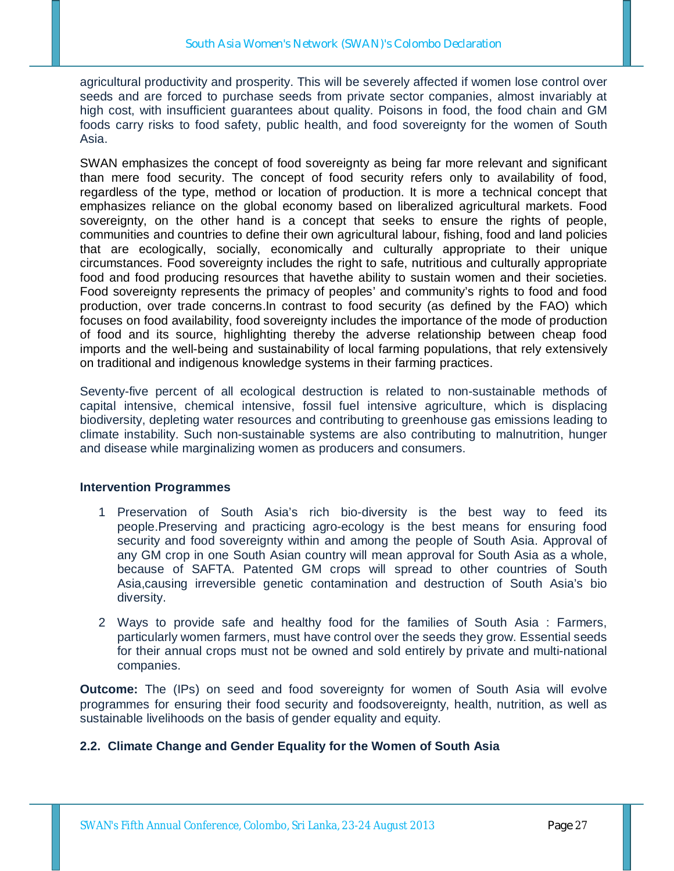agricultural productivity and prosperity. This will be severely affected if women lose control over seeds and are forced to purchase seeds from private sector companies, almost invariably at high cost, with insufficient guarantees about quality. Poisons in food, the food chain and GM foods carry risks to food safety, public health, and food sovereignty for the women of South Asia.

SWAN emphasizes the concept of food sovereignty as being far more relevant and significant than mere food security. The concept of food security refers only to availability of food, regardless of the type, method or location of production. It is more a technical concept that emphasizes reliance on the global economy based on liberalized agricultural markets. Food sovereignty, on the other hand is a concept that seeks to ensure the rights of people, communities and countries to define their own agricultural labour, fishing, food and land policies that are ecologically, socially, economically and culturally appropriate to their unique circumstances. Food sovereignty includes the right to safe, nutritious and culturally appropriate food and food producing resources that havethe ability to sustain women and their societies. Food sovereignty represents the primacy of peoples' and community's rights to food and food production, over trade concerns.In contrast to food security (as defined by the FAO) which focuses on food availability, food sovereignty includes the importance of the mode of production of food and its source, highlighting thereby the adverse relationship between cheap food imports and the well-being and sustainability of local farming populations, that rely extensively on traditional and indigenous knowledge systems in their farming practices.

Seventy-five percent of all ecological destruction is related to non-sustainable methods of capital intensive, chemical intensive, fossil fuel intensive agriculture, which is displacing biodiversity, depleting water resources and contributing to greenhouse gas emissions leading to climate instability. Such non-sustainable systems are also contributing to malnutrition, hunger and disease while marginalizing women as producers and consumers.

### **Intervention Programmes**

- 1 Preservation of South Asia's rich bio-diversity is the best way to feed its people.Preserving and practicing agro-ecology is the best means for ensuring food security and food sovereignty within and among the people of South Asia. Approval of any GM crop in one South Asian country will mean approval for South Asia as a whole, because of SAFTA. Patented GM crops will spread to other countries of South Asia,causing irreversible genetic contamination and destruction of South Asia's bio diversity.
- 2 Ways to provide safe and healthy food for the families of South Asia : Farmers, particularly women farmers, must have control over the seeds they grow. Essential seeds for their annual crops must not be owned and sold entirely by private and multi-national companies.

**Outcome:** The (IPs) on seed and food sovereignty for women of South Asia will evolve programmes for ensuring their food security and foodsovereignty, health, nutrition, as well as sustainable livelihoods on the basis of gender equality and equity.

## **2.2. Climate Change and Gender Equality for the Women of South Asia**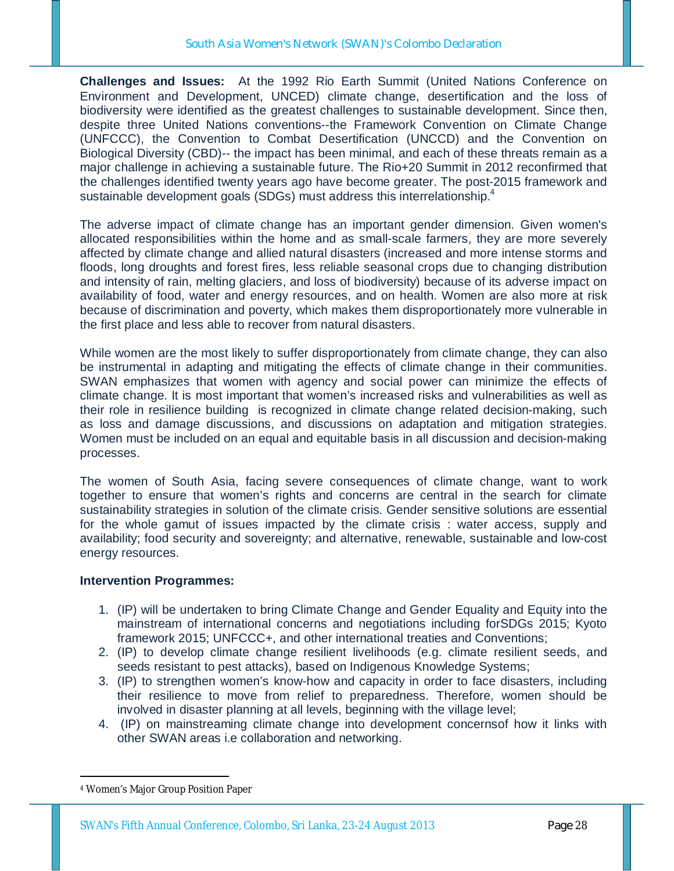**Challenges and Issues:** At the 1992 Rio Earth Summit (United Nations Conference on Environment and Development, UNCED) climate change, desertification and the loss of biodiversity were identified as the greatest challenges to sustainable development. Since then, despite three United Nations conventions--the Framework Convention on Climate Change (UNFCCC), the Convention to Combat Desertification (UNCCD) and the Convention on Biological Diversity (CBD)-- the impact has been minimal, and each of these threats remain as a major challenge in achieving a sustainable future. The Rio+20 Summit in 2012 reconfirmed that the challenges identified twenty years ago have become greater. The post-2015 framework and sustainable development goals (SDGs) must address this interrelationship.<sup>4</sup>

The adverse impact of climate change has an important gender dimension. Given women's allocated responsibilities within the home and as small-scale farmers, they are more severely affected by climate change and allied natural disasters (increased and more intense storms and floods, long droughts and forest fires, less reliable seasonal crops due to changing distribution and intensity of rain, melting glaciers, and loss of biodiversity) because of its adverse impact on availability of food, water and energy resources, and on health. Women are also more at risk because of discrimination and poverty, which makes them disproportionately more vulnerable in the first place and less able to recover from natural disasters.

While women are the most likely to suffer disproportionately from climate change, they can also be instrumental in adapting and mitigating the effects of climate change in their communities. SWAN emphasizes that women with agency and social power can minimize the effects of climate change. It is most important that women's increased risks and vulnerabilities as well as their role in resilience building is recognized in climate change related decision-making, such as loss and damage discussions, and discussions on adaptation and mitigation strategies. Women must be included on an equal and equitable basis in all discussion and decision-making processes.

The women of South Asia, facing severe consequences of climate change, want to work together to ensure that women's rights and concerns are central in the search for climate sustainability strategies in solution of the climate crisis. Gender sensitive solutions are essential for the whole gamut of issues impacted by the climate crisis : water access, supply and availability; food security and sovereignty; and alternative, renewable, sustainable and low-cost energy resources.

### **Intervention Programmes:**

- 1. (IP) will be undertaken to bring Climate Change and Gender Equality and Equity into the mainstream of international concerns and negotiations including forSDGs 2015; Kyoto framework 2015; UNFCCC+, and other international treaties and Conventions;
- 2. (IP) to develop climate change resilient livelihoods (e.g. climate resilient seeds, and seeds resistant to pest attacks), based on Indigenous Knowledge Systems;
- 3. (IP) to strengthen women's know-how and capacity in order to face disasters, including their resilience to move from relief to preparedness. Therefore, women should be involved in disaster planning at all levels, beginning with the village level;
- 4. (IP) on mainstreaming climate change into development concernsof how it links with other SWAN areas i.e collaboration and networking.

<sup>-</sup>4 Women's Major Group Position Paper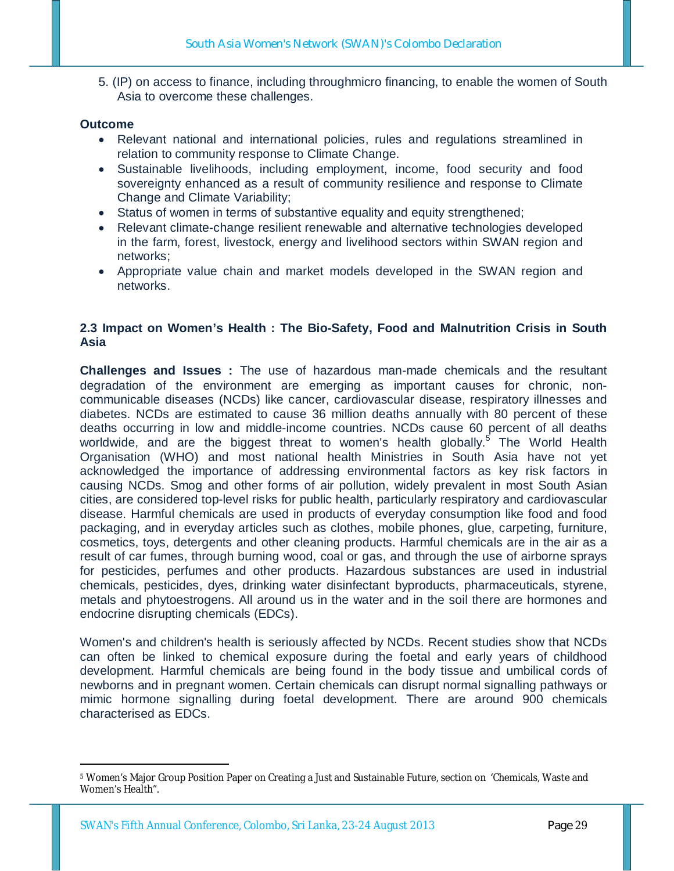5. (IP) on access to finance, including throughmicro financing, to enable the women of South Asia to overcome these challenges.

### **Outcome**

- Relevant national and international policies, rules and regulations streamlined in relation to community response to Climate Change.
- Sustainable livelihoods, including employment, income, food security and food sovereignty enhanced as a result of community resilience and response to Climate Change and Climate Variability;
- Status of women in terms of substantive equality and equity strengthened;
- Relevant climate-change resilient renewable and alternative technologies developed in the farm, forest, livestock, energy and livelihood sectors within SWAN region and networks;
- Appropriate value chain and market models developed in the SWAN region and networks.

## **2.3 Impact on Women's Health : The Bio-Safety, Food and Malnutrition Crisis in South Asia**

**Challenges and Issues :** The use of hazardous man-made chemicals and the resultant degradation of the environment are emerging as important causes for chronic, noncommunicable diseases (NCDs) like cancer, cardiovascular disease, respiratory illnesses and diabetes. NCDs are estimated to cause 36 million deaths annually with 80 percent of these deaths occurring in low and middle-income countries. NCDs cause 60 percent of all deaths worldwide, and are the biggest threat to women's health globally.<sup>5</sup> The World Health Organisation (WHO) and most national health Ministries in South Asia have not yet acknowledged the importance of addressing environmental factors as key risk factors in causing NCDs. Smog and other forms of air pollution, widely prevalent in most South Asian cities, are considered top-level risks for public health, particularly respiratory and cardiovascular disease. Harmful chemicals are used in products of everyday consumption like food and food packaging, and in everyday articles such as clothes, mobile phones, glue, carpeting, furniture, cosmetics, toys, detergents and other cleaning products. Harmful chemicals are in the air as a result of car fumes, through burning wood, coal or gas, and through the use of airborne sprays for pesticides, perfumes and other products. Hazardous substances are used in industrial chemicals, pesticides, dyes, drinking water disinfectant byproducts, pharmaceuticals, styrene, metals and phytoestrogens. All around us in the water and in the soil there are hormones and endocrine disrupting chemicals (EDCs).

Women's and children's health is seriously affected by NCDs. Recent studies show that NCDs can often be linked to chemical exposure during the foetal and early years of childhood development. Harmful chemicals are being found in the body tissue and umbilical cords of newborns and in pregnant women. Certain chemicals can disrupt normal signalling pathways or mimic hormone signalling during foetal development. There are around 900 chemicals characterised as EDCs.

<sup>-</sup><sup>5</sup> Women's Major Group Position Paper on Creating a Just and Sustainable Future, section on 'Chemicals, Waste and Women's Health".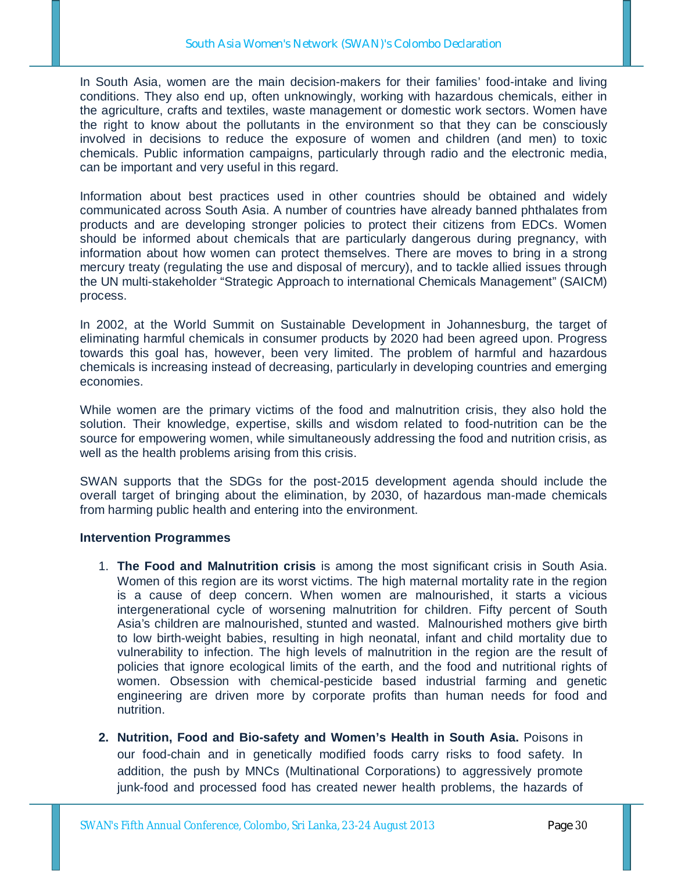In South Asia, women are the main decision-makers for their families' food-intake and living conditions. They also end up, often unknowingly, working with hazardous chemicals, either in the agriculture, crafts and textiles, waste management or domestic work sectors. Women have the right to know about the pollutants in the environment so that they can be consciously involved in decisions to reduce the exposure of women and children (and men) to toxic chemicals. Public information campaigns, particularly through radio and the electronic media, can be important and very useful in this regard.

Information about best practices used in other countries should be obtained and widely communicated across South Asia. A number of countries have already banned phthalates from products and are developing stronger policies to protect their citizens from EDCs. Women should be informed about chemicals that are particularly dangerous during pregnancy, with information about how women can protect themselves. There are moves to bring in a strong mercury treaty (regulating the use and disposal of mercury), and to tackle allied issues through the UN multi-stakeholder "Strategic Approach to international Chemicals Management" (SAICM) process.

In 2002, at the World Summit on Sustainable Development in Johannesburg, the target of eliminating harmful chemicals in consumer products by 2020 had been agreed upon. Progress towards this goal has, however, been very limited. The problem of harmful and hazardous chemicals is increasing instead of decreasing, particularly in developing countries and emerging economies.

While women are the primary victims of the food and malnutrition crisis, they also hold the solution. Their knowledge, expertise, skills and wisdom related to food-nutrition can be the source for empowering women, while simultaneously addressing the food and nutrition crisis, as well as the health problems arising from this crisis.

SWAN supports that the SDGs for the post-2015 development agenda should include the overall target of bringing about the elimination, by 2030, of hazardous man-made chemicals from harming public health and entering into the environment.

### **Intervention Programmes**

- 1. **The Food and Malnutrition crisis** is among the most significant crisis in South Asia. Women of this region are its worst victims. The high maternal mortality rate in the region is a cause of deep concern. When women are malnourished, it starts a vicious intergenerational cycle of worsening malnutrition for children. Fifty percent of South Asia's children are malnourished, stunted and wasted. Malnourished mothers give birth to low birth-weight babies, resulting in high neonatal, infant and child mortality due to vulnerability to infection. The high levels of malnutrition in the region are the result of policies that ignore ecological limits of the earth, and the food and nutritional rights of women. Obsession with chemical-pesticide based industrial farming and genetic engineering are driven more by corporate profits than human needs for food and nutrition.
- **2. Nutrition, Food and Bio-safety and Women's Health in South Asia.** Poisons in our food-chain and in genetically modified foods carry risks to food safety. In addition, the push by MNCs (Multinational Corporations) to aggressively promote junk-food and processed food has created newer health problems, the hazards of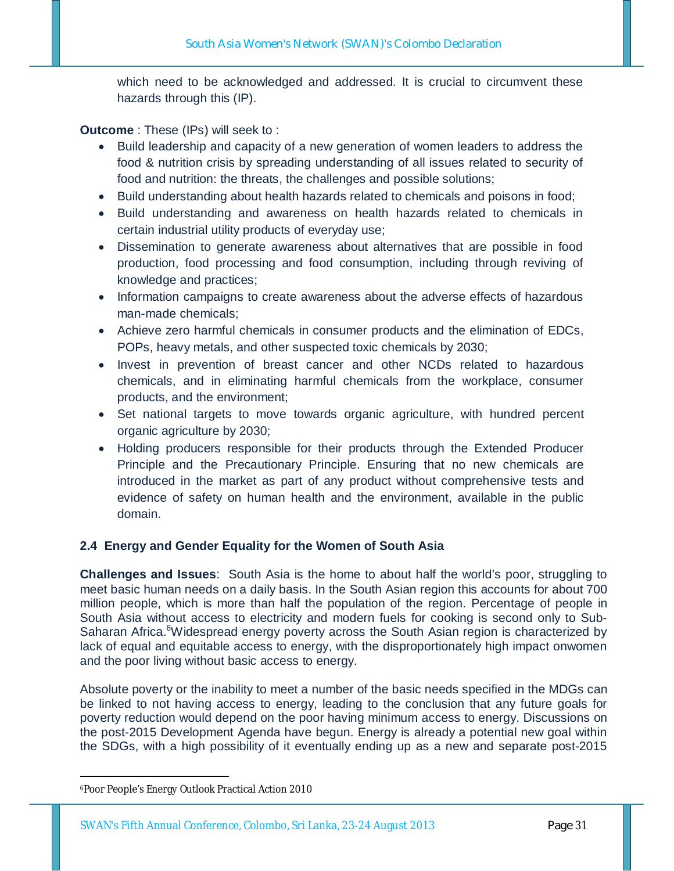which need to be acknowledged and addressed. It is crucial to circumvent these hazards through this (IP).

**Outcome** : These (IPs) will seek to :

- Build leadership and capacity of a new generation of women leaders to address the food & nutrition crisis by spreading understanding of all issues related to security of food and nutrition: the threats, the challenges and possible solutions;
- Build understanding about health hazards related to chemicals and poisons in food;
- Build understanding and awareness on health hazards related to chemicals in certain industrial utility products of everyday use;
- Dissemination to generate awareness about alternatives that are possible in food production, food processing and food consumption, including through reviving of knowledge and practices;
- Information campaigns to create awareness about the adverse effects of hazardous man-made chemicals;
- Achieve zero harmful chemicals in consumer products and the elimination of EDCs, POPs, heavy metals, and other suspected toxic chemicals by 2030;
- Invest in prevention of breast cancer and other NCDs related to hazardous chemicals, and in eliminating harmful chemicals from the workplace, consumer products, and the environment;
- Set national targets to move towards organic agriculture, with hundred percent organic agriculture by 2030;
- Holding producers responsible for their products through the Extended Producer Principle and the Precautionary Principle. Ensuring that no new chemicals are introduced in the market as part of any product without comprehensive tests and evidence of safety on human health and the environment, available in the public domain.

# **2.4 Energy and Gender Equality for the Women of South Asia**

**Challenges and Issues**: South Asia is the home to about half the world's poor, struggling to meet basic human needs on a daily basis. In the South Asian region this accounts for about 700 million people, which is more than half the population of the region. Percentage of people in South Asia without access to electricity and modern fuels for cooking is second only to Sub-Saharan Africa.<sup>6</sup>Widespread energy poverty across the South Asian region is characterized by lack of equal and equitable access to energy, with the disproportionately high impact onwomen and the poor living without basic access to energy.

Absolute poverty or the inability to meet a number of the basic needs specified in the MDGs can be linked to not having access to energy, leading to the conclusion that any future goals for poverty reduction would depend on the poor having minimum access to energy. Discussions on the post-2015 Development Agenda have begun. Energy is already a potential new goal within the SDGs, with a high possibility of it eventually ending up as a new and separate post-2015

-

<sup>6</sup>Poor People's Energy Outlook Practical Action 2010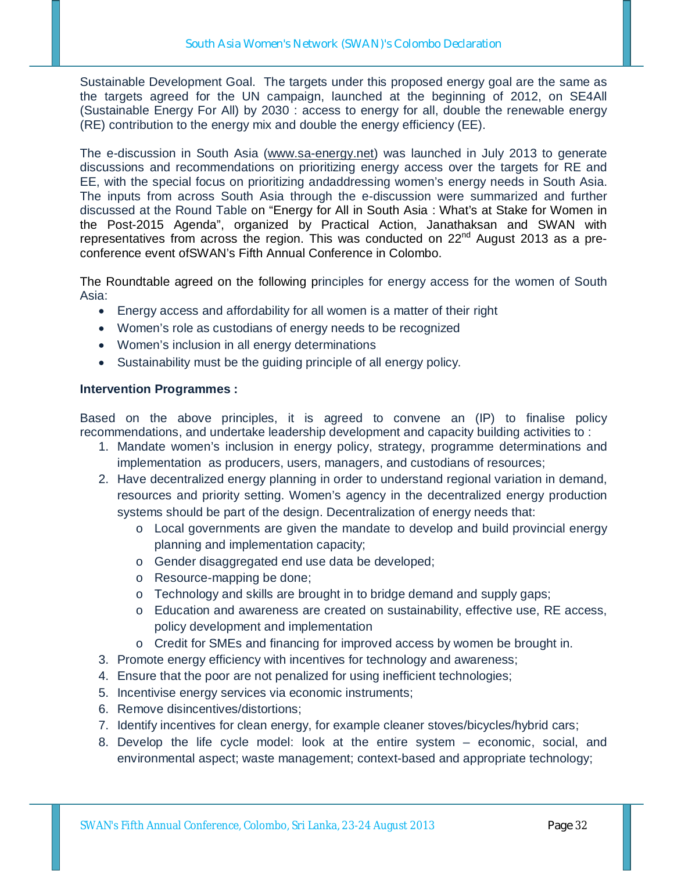Sustainable Development Goal. The targets under this proposed energy goal are the same as the targets agreed for the UN campaign, launched at the beginning of 2012, on SE4All (Sustainable Energy For All) by 2030 : access to energy for all, double the renewable energy (RE) contribution to the energy mix and double the energy efficiency (EE).

The e-discussion in South Asia (www.sa-energy.net) was launched in July 2013 to generate discussions and recommendations on prioritizing energy access over the targets for RE and EE, with the special focus on prioritizing andaddressing women's energy needs in South Asia. The inputs from across South Asia through the e-discussion were summarized and further discussed at the Round Table on "Energy for All in South Asia : What's at Stake for Women in the Post-2015 Agenda", organized by Practical Action, Janathaksan and SWAN with representatives from across the region. This was conducted on 22<sup>nd</sup> August 2013 as a preconference event ofSWAN's Fifth Annual Conference in Colombo.

The Roundtable agreed on the following principles for energy access for the women of South Asia:

- Energy access and affordability for all women is a matter of their right
- Women's role as custodians of energy needs to be recognized
- Women's inclusion in all energy determinations
- Sustainability must be the guiding principle of all energy policy.

#### **Intervention Programmes :**

Based on the above principles, it is agreed to convene an (IP) to finalise policy recommendations, and undertake leadership development and capacity building activities to :

- 1. Mandate women's inclusion in energy policy, strategy, programme determinations and implementation as producers, users, managers, and custodians of resources;
- 2. Have decentralized energy planning in order to understand regional variation in demand, resources and priority setting. Women's agency in the decentralized energy production systems should be part of the design. Decentralization of energy needs that:
	- o Local governments are given the mandate to develop and build provincial energy planning and implementation capacity;
	- o Gender disaggregated end use data be developed;
	- o Resource-mapping be done;
	- o Technology and skills are brought in to bridge demand and supply gaps;
	- o Education and awareness are created on sustainability, effective use, RE access, policy development and implementation
	- o Credit for SMEs and financing for improved access by women be brought in.
- 3. Promote energy efficiency with incentives for technology and awareness;
- 4. Ensure that the poor are not penalized for using inefficient technologies;
- 5. Incentivise energy services via economic instruments;
- 6. Remove disincentives/distortions;
- 7. Identify incentives for clean energy, for example cleaner stoves/bicycles/hybrid cars;
- 8. Develop the life cycle model: look at the entire system economic, social, and environmental aspect; waste management; context-based and appropriate technology;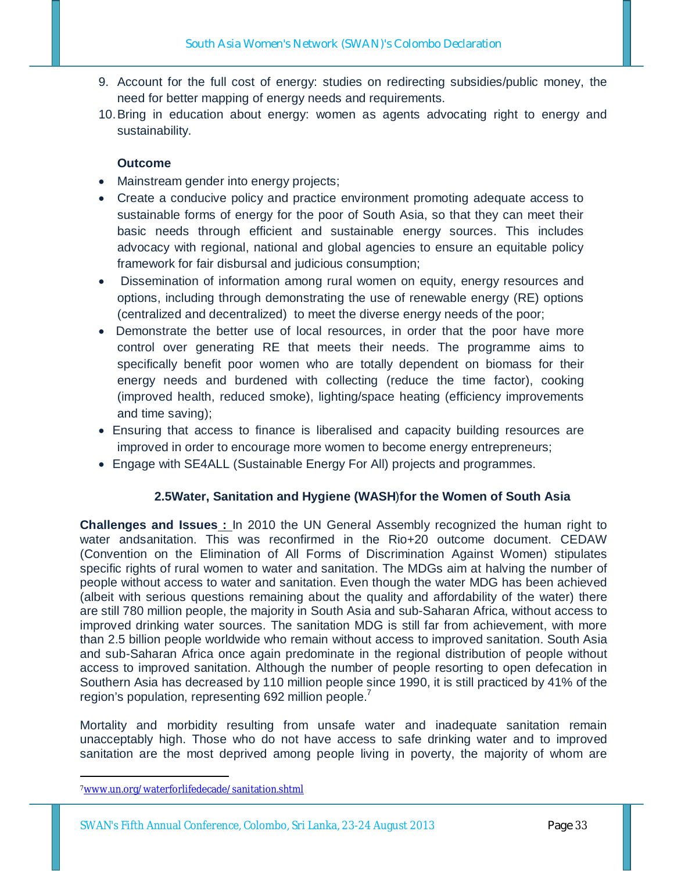- 9. Account for the full cost of energy: studies on redirecting subsidies/public money, the need for better mapping of energy needs and requirements.
- 10.Bring in education about energy: women as agents advocating right to energy and sustainability.

# **Outcome**

- Mainstream gender into energy projects;
- Create a conducive policy and practice environment promoting adequate access to sustainable forms of energy for the poor of South Asia, so that they can meet their basic needs through efficient and sustainable energy sources. This includes advocacy with regional, national and global agencies to ensure an equitable policy framework for fair disbursal and judicious consumption;
- Dissemination of information among rural women on equity, energy resources and options, including through demonstrating the use of renewable energy (RE) options (centralized and decentralized) to meet the diverse energy needs of the poor;
- Demonstrate the better use of local resources, in order that the poor have more control over generating RE that meets their needs. The programme aims to specifically benefit poor women who are totally dependent on biomass for their energy needs and burdened with collecting (reduce the time factor), cooking (improved health, reduced smoke), lighting/space heating (efficiency improvements and time saving);
- Ensuring that access to finance is liberalised and capacity building resources are improved in order to encourage more women to become energy entrepreneurs;
- Engage with SE4ALL (Sustainable Energy For All) projects and programmes.

## **2.5Water, Sanitation and Hygiene (WASH**)**for the Women of South Asia**

**Challenges and Issues :** In 2010 the UN General Assembly recognized the human right to water andsanitation. This was reconfirmed in the Rio+20 outcome document. CEDAW (Convention on the Elimination of All Forms of Discrimination Against Women) stipulates specific rights of rural women to water and sanitation. The MDGs aim at halving the number of people without access to water and sanitation. Even though the water MDG has been achieved (albeit with serious questions remaining about the quality and affordability of the water) there are still 780 million people, the majority in South Asia and sub-Saharan Africa, without access to improved drinking water sources. The sanitation MDG is still far from achievement, with more than 2.5 billion people worldwide who remain without access to improved sanitation. South Asia and sub-Saharan Africa once again predominate in the regional distribution of people without access to improved sanitation. Although the number of people resorting to open defecation in Southern Asia has decreased by 110 million people since 1990, it is still practiced by 41% of the region's population, representing 692 million people.<sup>7</sup>

Mortality and morbidity resulting from unsafe water and inadequate sanitation remain unacceptably high. Those who do not have access to safe drinking water and to improved sanitation are the most deprived among people living in poverty, the majority of whom are

-

<sup>7</sup>www.un.org/waterforlifedecade/sanitation.shtml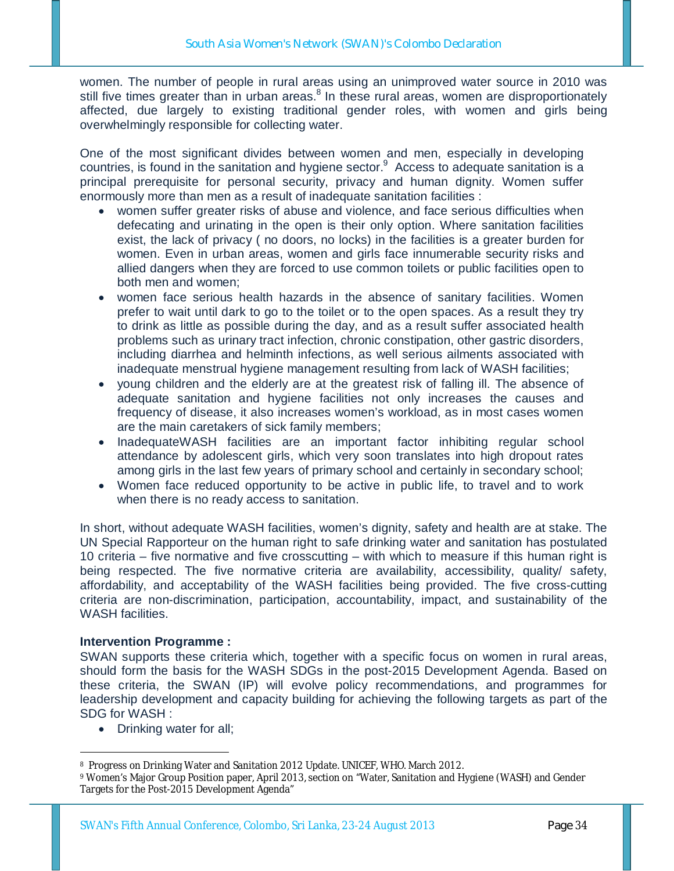women. The number of people in rural areas using an unimproved water source in 2010 was still five times greater than in urban areas.<sup>8</sup> In these rural areas, women are disproportionately affected, due largely to existing traditional gender roles, with women and girls being overwhelmingly responsible for collecting water.

One of the most significant divides between women and men, especially in developing countries, is found in the sanitation and hygiene sector.<sup>9</sup> Access to adequate sanitation is a principal prerequisite for personal security, privacy and human dignity. Women suffer enormously more than men as a result of inadequate sanitation facilities :

- women suffer greater risks of abuse and violence, and face serious difficulties when defecating and urinating in the open is their only option. Where sanitation facilities exist, the lack of privacy ( no doors, no locks) in the facilities is a greater burden for women. Even in urban areas, women and girls face innumerable security risks and allied dangers when they are forced to use common toilets or public facilities open to both men and women;
- women face serious health hazards in the absence of sanitary facilities. Women prefer to wait until dark to go to the toilet or to the open spaces. As a result they try to drink as little as possible during the day, and as a result suffer associated health problems such as urinary tract infection, chronic constipation, other gastric disorders, including diarrhea and helminth infections, as well serious ailments associated with inadequate menstrual hygiene management resulting from lack of WASH facilities;
- young children and the elderly are at the greatest risk of falling ill. The absence of adequate sanitation and hygiene facilities not only increases the causes and frequency of disease, it also increases women's workload, as in most cases women are the main caretakers of sick family members;
- InadequateWASH facilities are an important factor inhibiting regular school attendance by adolescent girls, which very soon translates into high dropout rates among girls in the last few years of primary school and certainly in secondary school;
- Women face reduced opportunity to be active in public life, to travel and to work when there is no ready access to sanitation.

In short, without adequate WASH facilities, women's dignity, safety and health are at stake. The UN Special Rapporteur on the human right to safe drinking water and sanitation has postulated 10 criteria – five normative and five crosscutting – with which to measure if this human right is being respected. The five normative criteria are availability, accessibility, quality/ safety, affordability, and acceptability of the WASH facilities being provided. The five cross-cutting criteria are non-discrimination, participation, accountability, impact, and sustainability of the WASH facilities.

### **Intervention Programme :**

SWAN supports these criteria which, together with a specific focus on women in rural areas, should form the basis for the WASH SDGs in the post-2015 Development Agenda. Based on these criteria, the SWAN (IP) will evolve policy recommendations, and programmes for leadership development and capacity building for achieving the following targets as part of the SDG for WASH :

• Drinking water for all;

<sup>-</sup><sup>8</sup> Progress on Drinking Water and Sanitation 2012 Update. UNICEF, WHO. March 2012.

<sup>9</sup> Women's Major Group Position paper, April 2013, section on "Water, Sanitation and Hygiene (WASH) and Gender Targets for the Post-2015 Development Agenda"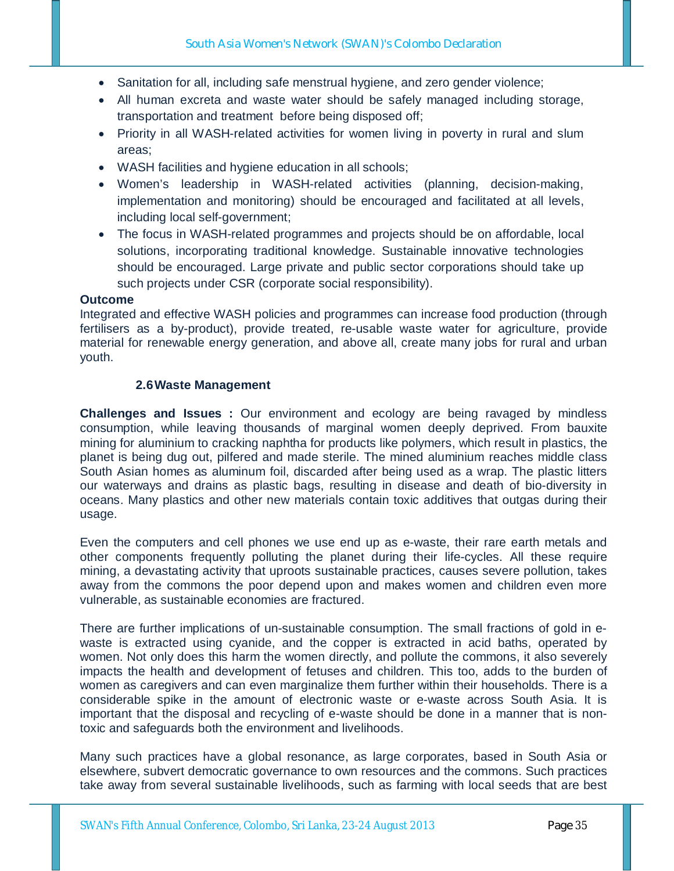- Sanitation for all, including safe menstrual hygiene, and zero gender violence;
- All human excreta and waste water should be safely managed including storage, transportation and treatment before being disposed off;
- Priority in all WASH-related activities for women living in poverty in rural and slum areas;
- WASH facilities and hygiene education in all schools;
- Women's leadership in WASH-related activities (planning, decision-making, implementation and monitoring) should be encouraged and facilitated at all levels, including local self-government;
- The focus in WASH-related programmes and projects should be on affordable, local solutions, incorporating traditional knowledge. Sustainable innovative technologies should be encouraged. Large private and public sector corporations should take up such projects under CSR (corporate social responsibility).

### **Outcome**

Integrated and effective WASH policies and programmes can increase food production (through fertilisers as a by-product), provide treated, re-usable waste water for agriculture, provide material for renewable energy generation, and above all, create many jobs for rural and urban youth.

### **2.6Waste Management**

**Challenges and Issues :** Our environment and ecology are being ravaged by mindless consumption, while leaving thousands of marginal women deeply deprived. From bauxite mining for aluminium to cracking naphtha for products like polymers, which result in plastics, the planet is being dug out, pilfered and made sterile. The mined aluminium reaches middle class South Asian homes as aluminum foil, discarded after being used as a wrap. The plastic litters our waterways and drains as plastic bags, resulting in disease and death of bio-diversity in oceans. Many plastics and other new materials contain toxic additives that outgas during their usage.

Even the computers and cell phones we use end up as e-waste, their rare earth metals and other components frequently polluting the planet during their life-cycles. All these require mining, a devastating activity that uproots sustainable practices, causes severe pollution, takes away from the commons the poor depend upon and makes women and children even more vulnerable, as sustainable economies are fractured.

There are further implications of un-sustainable consumption. The small fractions of gold in ewaste is extracted using cyanide, and the copper is extracted in acid baths, operated by women. Not only does this harm the women directly, and pollute the commons, it also severely impacts the health and development of fetuses and children. This too, adds to the burden of women as caregivers and can even marginalize them further within their households. There is a considerable spike in the amount of electronic waste or e-waste across South Asia. It is important that the disposal and recycling of e-waste should be done in a manner that is nontoxic and safeguards both the environment and livelihoods.

Many such practices have a global resonance, as large corporates, based in South Asia or elsewhere, subvert democratic governance to own resources and the commons. Such practices take away from several sustainable livelihoods, such as farming with local seeds that are best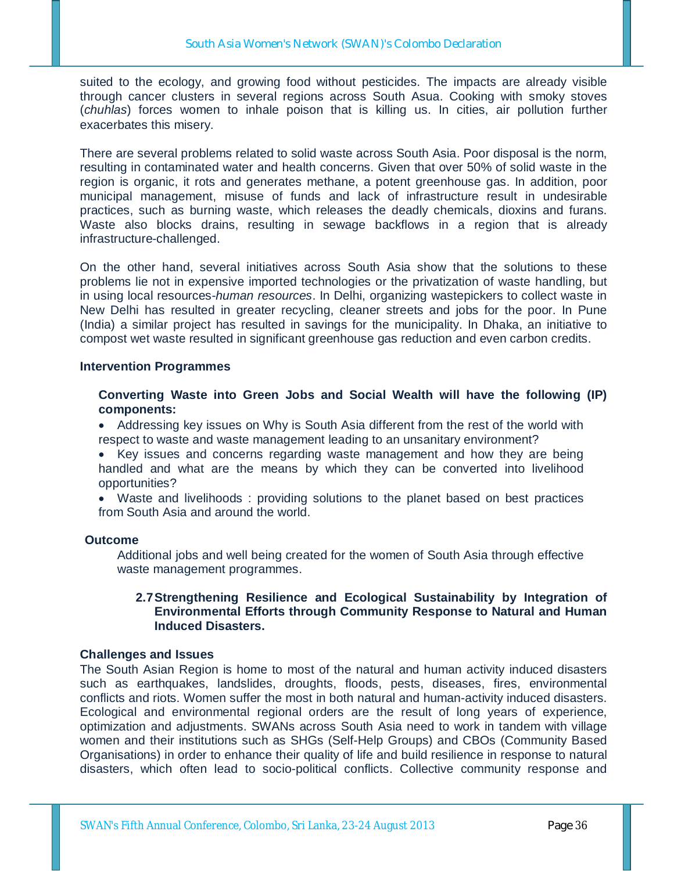suited to the ecology, and growing food without pesticides. The impacts are already visible through cancer clusters in several regions across South Asua. Cooking with smoky stoves (*chuhlas*) forces women to inhale poison that is killing us. In cities, air pollution further exacerbates this misery.

There are several problems related to solid waste across South Asia. Poor disposal is the norm, resulting in contaminated water and health concerns. Given that over 50% of solid waste in the region is organic, it rots and generates methane, a potent greenhouse gas. In addition, poor municipal management, misuse of funds and lack of infrastructure result in undesirable practices, such as burning waste, which releases the deadly chemicals, dioxins and furans. Waste also blocks drains, resulting in sewage backflows in a region that is already infrastructure-challenged.

On the other hand, several initiatives across South Asia show that the solutions to these problems lie not in expensive imported technologies or the privatization of waste handling, but in using local resources-*human resources*. In Delhi, organizing wastepickers to collect waste in New Delhi has resulted in greater recycling, cleaner streets and jobs for the poor. In Pune (India) a similar project has resulted in savings for the municipality. In Dhaka, an initiative to compost wet waste resulted in significant greenhouse gas reduction and even carbon credits.

### **Intervention Programmes**

**Converting Waste into Green Jobs and Social Wealth will have the following (IP) components:**

 Addressing key issues on Why is South Asia different from the rest of the world with respect to waste and waste management leading to an unsanitary environment?

 Key issues and concerns regarding waste management and how they are being handled and what are the means by which they can be converted into livelihood opportunities?

 Waste and livelihoods : providing solutions to the planet based on best practices from South Asia and around the world.

### **Outcome**

Additional jobs and well being created for the women of South Asia through effective waste management programmes.

### **2.7Strengthening Resilience and Ecological Sustainability by Integration of Environmental Efforts through Community Response to Natural and Human Induced Disasters.**

#### **Challenges and Issues**

The South Asian Region is home to most of the natural and human activity induced disasters such as earthquakes, landslides, droughts, floods, pests, diseases, fires, environmental conflicts and riots. Women suffer the most in both natural and human-activity induced disasters. Ecological and environmental regional orders are the result of long years of experience, optimization and adjustments. SWANs across South Asia need to work in tandem with village women and their institutions such as SHGs (Self-Help Groups) and CBOs (Community Based Organisations) in order to enhance their quality of life and build resilience in response to natural disasters, which often lead to socio-political conflicts. Collective community response and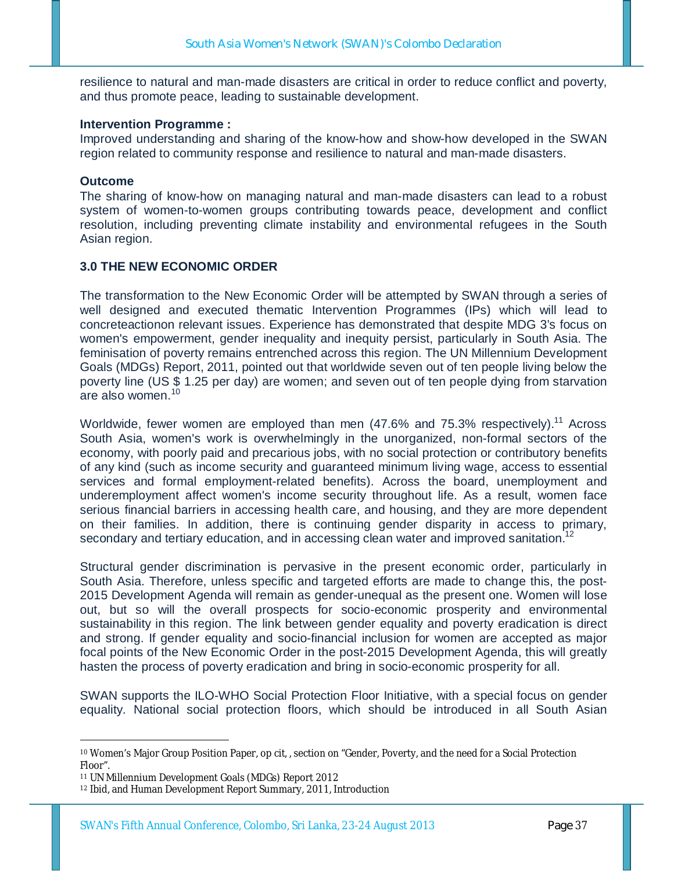resilience to natural and man-made disasters are critical in order to reduce conflict and poverty, and thus promote peace, leading to sustainable development.

### **Intervention Programme :**

Improved understanding and sharing of the know-how and show-how developed in the SWAN region related to community response and resilience to natural and man-made disasters.

### **Outcome**

The sharing of know-how on managing natural and man-made disasters can lead to a robust system of women-to-women groups contributing towards peace, development and conflict resolution, including preventing climate instability and environmental refugees in the South Asian region.

### **3.0 THE NEW ECONOMIC ORDER**

The transformation to the New Economic Order will be attempted by SWAN through a series of well designed and executed thematic Intervention Programmes (IPs) which will lead to concreteactionon relevant issues. Experience has demonstrated that despite MDG 3's focus on women's empowerment, gender inequality and inequity persist, particularly in South Asia. The feminisation of poverty remains entrenched across this region. The UN Millennium Development Goals (MDGs) Report, 2011, pointed out that worldwide seven out of ten people living below the poverty line (US \$ 1.25 per day) are women; and seven out of ten people dying from starvation are also women.<sup>10</sup>

Worldwide, fewer women are employed than men  $(47.6\%$  and  $75.3\%$  respectively).<sup>11</sup> Across South Asia, women's work is overwhelmingly in the unorganized, non-formal sectors of the economy, with poorly paid and precarious jobs, with no social protection or contributory benefits of any kind (such as income security and guaranteed minimum living wage, access to essential services and formal employment-related benefits). Across the board, unemployment and underemployment affect women's income security throughout life. As a result, women face serious financial barriers in accessing health care, and housing, and they are more dependent on their families. In addition, there is continuing gender disparity in access to primary, secondary and tertiary education, and in accessing clean water and improved sanitation.<sup>12</sup>

Structural gender discrimination is pervasive in the present economic order, particularly in South Asia. Therefore, unless specific and targeted efforts are made to change this, the post-2015 Development Agenda will remain as gender-unequal as the present one. Women will lose out, but so will the overall prospects for socio-economic prosperity and environmental sustainability in this region. The link between gender equality and poverty eradication is direct and strong. If gender equality and socio-financial inclusion for women are accepted as major focal points of the New Economic Order in the post-2015 Development Agenda, this will greatly hasten the process of poverty eradication and bring in socio-economic prosperity for all.

SWAN supports the ILO-WHO Social Protection Floor Initiative, with a special focus on gender equality. National social protection floors, which should be introduced in all South Asian

-

<sup>10</sup> Women's Major Group Position Paper, op cit, , section on "Gender, Poverty, and the need for a Social Protection Floor".

<sup>11</sup> UN Millennium Development Goals (MDGs) Report 2012

<sup>12</sup> Ibid, and Human Development Report Summary, 2011, Introduction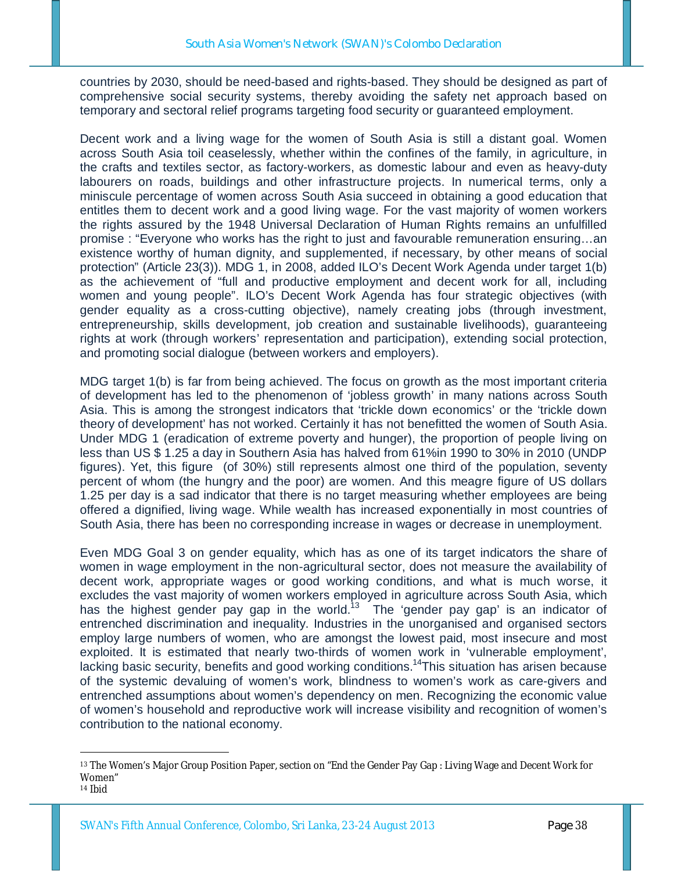countries by 2030, should be need-based and rights-based. They should be designed as part of comprehensive social security systems, thereby avoiding the safety net approach based on temporary and sectoral relief programs targeting food security or guaranteed employment.

Decent work and a living wage for the women of South Asia is still a distant goal. Women across South Asia toil ceaselessly, whether within the confines of the family, in agriculture, in the crafts and textiles sector, as factory-workers, as domestic labour and even as heavy-duty labourers on roads, buildings and other infrastructure projects. In numerical terms, only a miniscule percentage of women across South Asia succeed in obtaining a good education that entitles them to decent work and a good living wage. For the vast majority of women workers the rights assured by the 1948 Universal Declaration of Human Rights remains an unfulfilled promise : "Everyone who works has the right to just and favourable remuneration ensuring…an existence worthy of human dignity, and supplemented, if necessary, by other means of social protection" (Article 23(3)). MDG 1, in 2008, added ILO's Decent Work Agenda under target 1(b) as the achievement of "full and productive employment and decent work for all, including women and young people". ILO's Decent Work Agenda has four strategic objectives (with gender equality as a cross-cutting objective), namely creating jobs (through investment, entrepreneurship, skills development, job creation and sustainable livelihoods), guaranteeing rights at work (through workers' representation and participation), extending social protection, and promoting social dialogue (between workers and employers).

MDG target 1(b) is far from being achieved. The focus on growth as the most important criteria of development has led to the phenomenon of 'jobless growth' in many nations across South Asia. This is among the strongest indicators that 'trickle down economics' or the 'trickle down theory of development' has not worked. Certainly it has not benefitted the women of South Asia. Under MDG 1 (eradication of extreme poverty and hunger), the proportion of people living on less than US \$ 1.25 a day in Southern Asia has halved from 61%in 1990 to 30% in 2010 (UNDP figures). Yet, this figure (of 30%) still represents almost one third of the population, seventy percent of whom (the hungry and the poor) are women. And this meagre figure of US dollars 1.25 per day is a sad indicator that there is no target measuring whether employees are being offered a dignified, living wage. While wealth has increased exponentially in most countries of South Asia, there has been no corresponding increase in wages or decrease in unemployment.

Even MDG Goal 3 on gender equality, which has as one of its target indicators the share of women in wage employment in the non-agricultural sector, does not measure the availability of decent work, appropriate wages or good working conditions, and what is much worse, it excludes the vast majority of women workers employed in agriculture across South Asia, which has the highest gender pay gap in the world.<sup>13</sup> The 'gender pay gap' is an indicator of entrenched discrimination and inequality. Industries in the unorganised and organised sectors employ large numbers of women, who are amongst the lowest paid, most insecure and most exploited. It is estimated that nearly two-thirds of women work in 'vulnerable employment', lacking basic security, benefits and good working conditions.<sup>14</sup>This situation has arisen because of the systemic devaluing of women's work, blindness to women's work as care-givers and entrenched assumptions about women's dependency on men. Recognizing the economic value of women's household and reproductive work will increase visibility and recognition of women's contribution to the national economy.

-

<sup>&</sup>lt;sup>13</sup> The Women's Major Group Position Paper, section on "End the Gender Pay Gap : Living Wage and Decent Work for Women"

<sup>14</sup> Ibid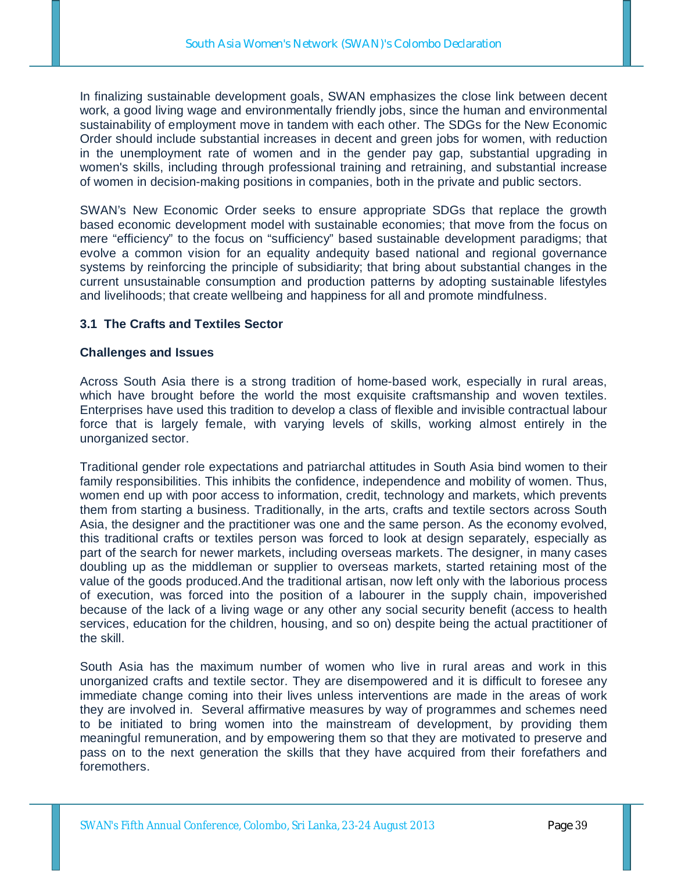In finalizing sustainable development goals, SWAN emphasizes the close link between decent work, a good living wage and environmentally friendly jobs, since the human and environmental sustainability of employment move in tandem with each other. The SDGs for the New Economic Order should include substantial increases in decent and green jobs for women, with reduction in the unemployment rate of women and in the gender pay gap, substantial upgrading in women's skills, including through professional training and retraining, and substantial increase of women in decision-making positions in companies, both in the private and public sectors.

SWAN's New Economic Order seeks to ensure appropriate SDGs that replace the growth based economic development model with sustainable economies; that move from the focus on mere "efficiency" to the focus on "sufficiency" based sustainable development paradigms; that evolve a common vision for an equality andequity based national and regional governance systems by reinforcing the principle of subsidiarity; that bring about substantial changes in the current unsustainable consumption and production patterns by adopting sustainable lifestyles and livelihoods; that create wellbeing and happiness for all and promote mindfulness.

## **3.1 The Crafts and Textiles Sector**

### **Challenges and Issues**

Across South Asia there is a strong tradition of home-based work, especially in rural areas, which have brought before the world the most exquisite craftsmanship and woven textiles. Enterprises have used this tradition to develop a class of flexible and invisible contractual labour force that is largely female, with varying levels of skills, working almost entirely in the unorganized sector.

Traditional gender role expectations and patriarchal attitudes in South Asia bind women to their family responsibilities. This inhibits the confidence, independence and mobility of women. Thus, women end up with poor access to information, credit, technology and markets, which prevents them from starting a business. Traditionally, in the arts, crafts and textile sectors across South Asia, the designer and the practitioner was one and the same person. As the economy evolved, this traditional crafts or textiles person was forced to look at design separately, especially as part of the search for newer markets, including overseas markets. The designer, in many cases doubling up as the middleman or supplier to overseas markets, started retaining most of the value of the goods produced.And the traditional artisan, now left only with the laborious process of execution, was forced into the position of a labourer in the supply chain, impoverished because of the lack of a living wage or any other any social security benefit (access to health services, education for the children, housing, and so on) despite being the actual practitioner of the skill.

South Asia has the maximum number of women who live in rural areas and work in this unorganized crafts and textile sector. They are disempowered and it is difficult to foresee any immediate change coming into their lives unless interventions are made in the areas of work they are involved in. Several affirmative measures by way of programmes and schemes need to be initiated to bring women into the mainstream of development, by providing them meaningful remuneration, and by empowering them so that they are motivated to preserve and pass on to the next generation the skills that they have acquired from their forefathers and foremothers.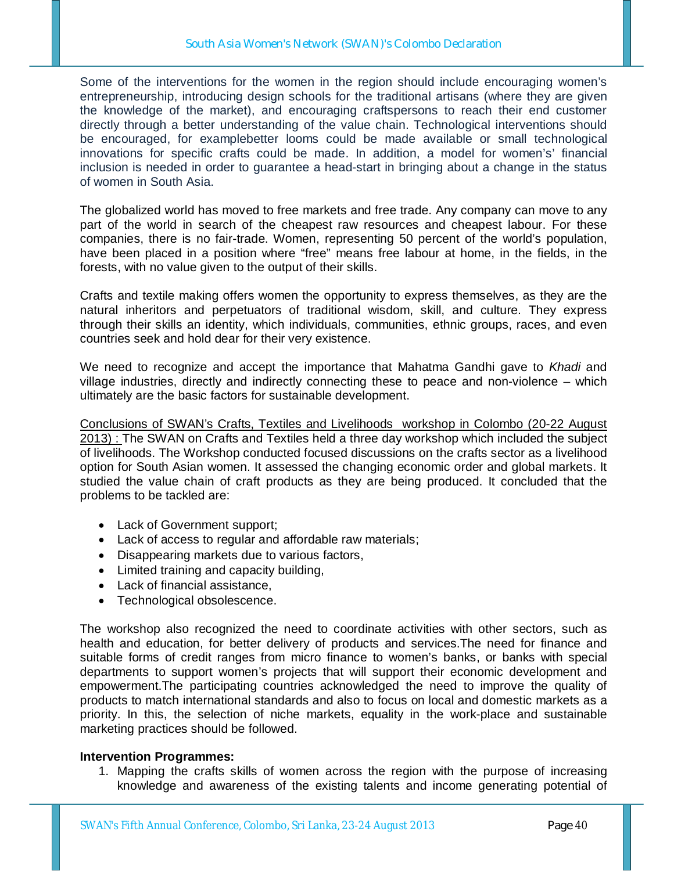Some of the interventions for the women in the region should include encouraging women's entrepreneurship, introducing design schools for the traditional artisans (where they are given the knowledge of the market), and encouraging craftspersons to reach their end customer directly through a better understanding of the value chain. Technological interventions should be encouraged, for examplebetter looms could be made available or small technological innovations for specific crafts could be made. In addition, a model for women's' financial inclusion is needed in order to guarantee a head-start in bringing about a change in the status of women in South Asia.

The globalized world has moved to free markets and free trade. Any company can move to any part of the world in search of the cheapest raw resources and cheapest labour. For these companies, there is no fair-trade. Women, representing 50 percent of the world's population, have been placed in a position where "free" means free labour at home, in the fields, in the forests, with no value given to the output of their skills.

Crafts and textile making offers women the opportunity to express themselves, as they are the natural inheritors and perpetuators of traditional wisdom, skill, and culture. They express through their skills an identity, which individuals, communities, ethnic groups, races, and even countries seek and hold dear for their very existence.

We need to recognize and accept the importance that Mahatma Gandhi gave to *Khadi* and village industries, directly and indirectly connecting these to peace and non-violence – which ultimately are the basic factors for sustainable development.

Conclusions of SWAN's Crafts, Textiles and Livelihoods workshop in Colombo (20-22 August 2013) : The SWAN on Crafts and Textiles held a three day workshop which included the subject of livelihoods. The Workshop conducted focused discussions on the crafts sector as a livelihood option for South Asian women. It assessed the changing economic order and global markets. It studied the value chain of craft products as they are being produced. It concluded that the problems to be tackled are:

- Lack of Government support;
- Lack of access to regular and affordable raw materials;
- Disappearing markets due to various factors,
- Limited training and capacity building,
- Lack of financial assistance,
- Technological obsolescence.

The workshop also recognized the need to coordinate activities with other sectors, such as health and education, for better delivery of products and services.The need for finance and suitable forms of credit ranges from micro finance to women's banks, or banks with special departments to support women's projects that will support their economic development and empowerment.The participating countries acknowledged the need to improve the quality of products to match international standards and also to focus on local and domestic markets as a priority. In this, the selection of niche markets, equality in the work-place and sustainable marketing practices should be followed.

### **Intervention Programmes:**

1. Mapping the crafts skills of women across the region with the purpose of increasing knowledge and awareness of the existing talents and income generating potential of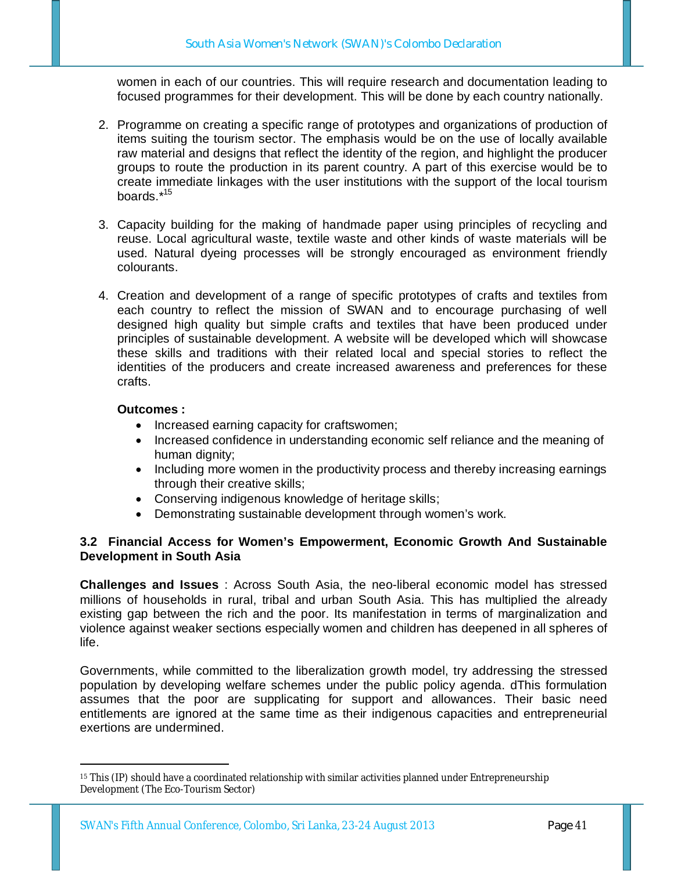women in each of our countries. This will require research and documentation leading to focused programmes for their development. This will be done by each country nationally.

- 2. Programme on creating a specific range of prototypes and organizations of production of items suiting the tourism sector. The emphasis would be on the use of locally available raw material and designs that reflect the identity of the region, and highlight the producer groups to route the production in its parent country. A part of this exercise would be to create immediate linkages with the user institutions with the support of the local tourism boards.\*<sup>15</sup>
- 3. Capacity building for the making of handmade paper using principles of recycling and reuse. Local agricultural waste, textile waste and other kinds of waste materials will be used. Natural dyeing processes will be strongly encouraged as environment friendly colourants.
- 4. Creation and development of a range of specific prototypes of crafts and textiles from each country to reflect the mission of SWAN and to encourage purchasing of well designed high quality but simple crafts and textiles that have been produced under principles of sustainable development. A website will be developed which will showcase these skills and traditions with their related local and special stories to reflect the identities of the producers and create increased awareness and preferences for these crafts.

## **Outcomes :**

- Increased earning capacity for craftswomen;
- Increased confidence in understanding economic self reliance and the meaning of human dignity;
- Including more women in the productivity process and thereby increasing earnings through their creative skills;
- Conserving indigenous knowledge of heritage skills;
- Demonstrating sustainable development through women's work.

## **3.2 Financial Access for Women's Empowerment, Economic Growth And Sustainable Development in South Asia**

**Challenges and Issues** : Across South Asia, the neo-liberal economic model has stressed millions of households in rural, tribal and urban South Asia. This has multiplied the already existing gap between the rich and the poor. Its manifestation in terms of marginalization and violence against weaker sections especially women and children has deepened in all spheres of life.

Governments, while committed to the liberalization growth model, try addressing the stressed population by developing welfare schemes under the public policy agenda. dThis formulation assumes that the poor are supplicating for support and allowances. Their basic need entitlements are ignored at the same time as their indigenous capacities and entrepreneurial exertions are undermined.

<sup>-</sup><sup>15</sup> This (IP) should have a coordinated relationship with similar activities planned under Entrepreneurship Development (The Eco-Tourism Sector)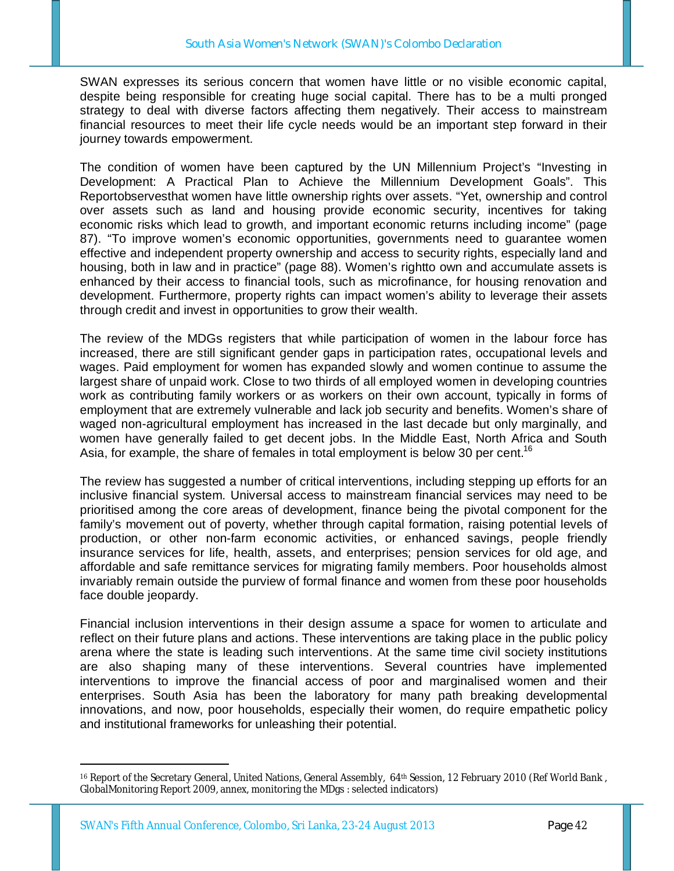SWAN expresses its serious concern that women have little or no visible economic capital, despite being responsible for creating huge social capital. There has to be a multi pronged strategy to deal with diverse factors affecting them negatively. Their access to mainstream financial resources to meet their life cycle needs would be an important step forward in their journey towards empowerment.

The condition of women have been captured by the UN Millennium Project's "Investing in Development: A Practical Plan to Achieve the Millennium Development Goals". This Reportobservesthat women have little ownership rights over assets. "Yet, ownership and control over assets such as land and housing provide economic security, incentives for taking economic risks which lead to growth, and important economic returns including income" (page 87). "To improve women's economic opportunities, governments need to guarantee women effective and independent property ownership and access to security rights, especially land and housing, both in law and in practice" (page 88). Women's rightto own and accumulate assets is enhanced by their access to financial tools, such as microfinance, for housing renovation and development. Furthermore, property rights can impact women's ability to leverage their assets through credit and invest in opportunities to grow their wealth.

The review of the MDGs registers that while participation of women in the labour force has increased, there are still significant gender gaps in participation rates, occupational levels and wages. Paid employment for women has expanded slowly and women continue to assume the largest share of unpaid work. Close to two thirds of all employed women in developing countries work as contributing family workers or as workers on their own account, typically in forms of employment that are extremely vulnerable and lack job security and benefits. Women's share of waged non-agricultural employment has increased in the last decade but only marginally, and women have generally failed to get decent jobs. In the Middle East, North Africa and South Asia, for example, the share of females in total employment is below 30 per cent.<sup>16</sup>

The review has suggested a number of critical interventions, including stepping up efforts for an inclusive financial system. Universal access to mainstream financial services may need to be prioritised among the core areas of development, finance being the pivotal component for the family's movement out of poverty, whether through capital formation, raising potential levels of production, or other non-farm economic activities, or enhanced savings, people friendly insurance services for life, health, assets, and enterprises; pension services for old age, and affordable and safe remittance services for migrating family members. Poor households almost invariably remain outside the purview of formal finance and women from these poor households face double jeopardy.

Financial inclusion interventions in their design assume a space for women to articulate and reflect on their future plans and actions. These interventions are taking place in the public policy arena where the state is leading such interventions. At the same time civil society institutions are also shaping many of these interventions. Several countries have implemented interventions to improve the financial access of poor and marginalised women and their enterprises. South Asia has been the laboratory for many path breaking developmental innovations, and now, poor households, especially their women, do require empathetic policy and institutional frameworks for unleashing their potential.

-

<sup>16</sup> Report of the Secretary General, United Nations, General Assembly, 64th Session, 12 February 2010 (Ref World Bank, GlobalMonitoring Report 2009, annex, monitoring the MDgs : selected indicators)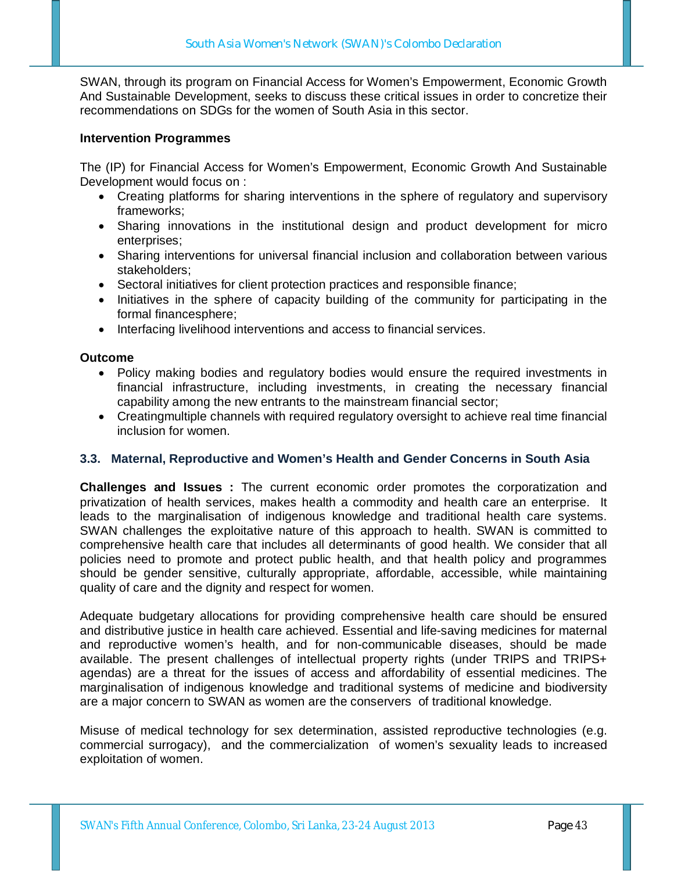SWAN, through its program on Financial Access for Women's Empowerment, Economic Growth And Sustainable Development, seeks to discuss these critical issues in order to concretize their recommendations on SDGs for the women of South Asia in this sector.

### **Intervention Programmes**

The (IP) for Financial Access for Women's Empowerment, Economic Growth And Sustainable Development would focus on :

- Creating platforms for sharing interventions in the sphere of regulatory and supervisory frameworks;
- Sharing innovations in the institutional design and product development for micro enterprises;
- Sharing interventions for universal financial inclusion and collaboration between various stakeholders;
- Sectoral initiatives for client protection practices and responsible finance;
- Initiatives in the sphere of capacity building of the community for participating in the formal financesphere;
- Interfacing livelihood interventions and access to financial services.

### **Outcome**

- Policy making bodies and regulatory bodies would ensure the required investments in financial infrastructure, including investments, in creating the necessary financial capability among the new entrants to the mainstream financial sector;
- Creatingmultiple channels with required regulatory oversight to achieve real time financial inclusion for women.

### **3.3. Maternal, Reproductive and Women's Health and Gender Concerns in South Asia**

**Challenges and Issues :** The current economic order promotes the corporatization and privatization of health services, makes health a commodity and health care an enterprise. It leads to the marginalisation of indigenous knowledge and traditional health care systems. SWAN challenges the exploitative nature of this approach to health. SWAN is committed to comprehensive health care that includes all determinants of good health. We consider that all policies need to promote and protect public health, and that health policy and programmes should be gender sensitive, culturally appropriate, affordable, accessible, while maintaining quality of care and the dignity and respect for women.

Adequate budgetary allocations for providing comprehensive health care should be ensured and distributive justice in health care achieved. Essential and life-saving medicines for maternal and reproductive women's health, and for non-communicable diseases, should be made available. The present challenges of intellectual property rights (under TRIPS and TRIPS+ agendas) are a threat for the issues of access and affordability of essential medicines. The marginalisation of indigenous knowledge and traditional systems of medicine and biodiversity are a major concern to SWAN as women are the conservers of traditional knowledge.

Misuse of medical technology for sex determination, assisted reproductive technologies (e.g. commercial surrogacy), and the commercialization of women's sexuality leads to increased exploitation of women.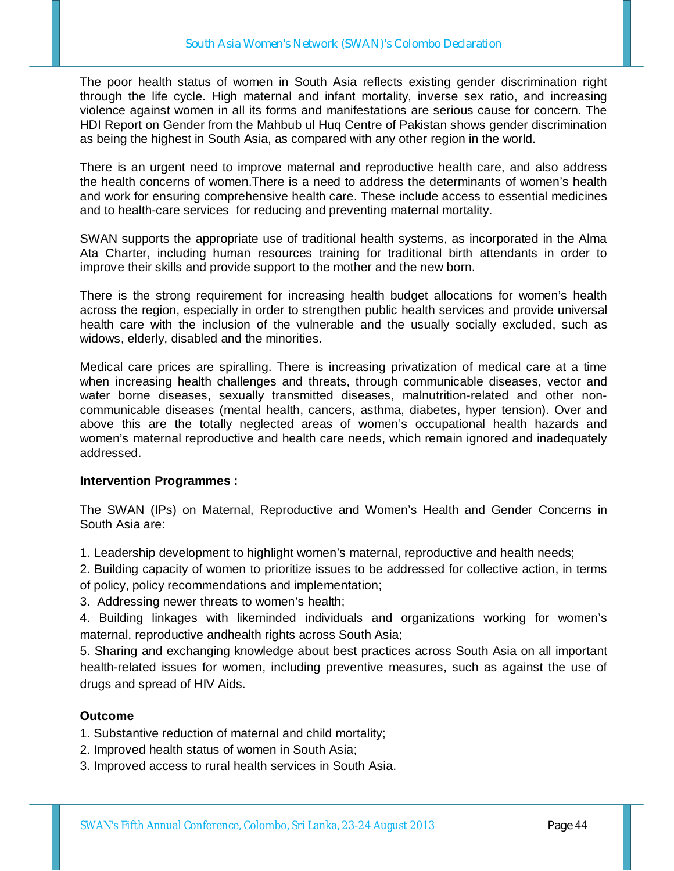The poor health status of women in South Asia reflects existing gender discrimination right through the life cycle. High maternal and infant mortality, inverse sex ratio, and increasing violence against women in all its forms and manifestations are serious cause for concern. The HDI Report on Gender from the Mahbub ul Huq Centre of Pakistan shows gender discrimination as being the highest in South Asia, as compared with any other region in the world.

There is an urgent need to improve maternal and reproductive health care, and also address the health concerns of women.There is a need to address the determinants of women's health and work for ensuring comprehensive health care. These include access to essential medicines and to health-care services for reducing and preventing maternal mortality.

SWAN supports the appropriate use of traditional health systems, as incorporated in the Alma Ata Charter, including human resources training for traditional birth attendants in order to improve their skills and provide support to the mother and the new born.

There is the strong requirement for increasing health budget allocations for women's health across the region, especially in order to strengthen public health services and provide universal health care with the inclusion of the vulnerable and the usually socially excluded, such as widows, elderly, disabled and the minorities.

Medical care prices are spiralling. There is increasing privatization of medical care at a time when increasing health challenges and threats, through communicable diseases, vector and water borne diseases, sexually transmitted diseases, malnutrition-related and other noncommunicable diseases (mental health, cancers, asthma, diabetes, hyper tension). Over and above this are the totally neglected areas of women's occupational health hazards and women's maternal reproductive and health care needs, which remain ignored and inadequately addressed.

### **Intervention Programmes :**

The SWAN (IPs) on Maternal, Reproductive and Women's Health and Gender Concerns in South Asia are:

1. Leadership development to highlight women's maternal, reproductive and health needs;

2. Building capacity of women to prioritize issues to be addressed for collective action, in terms of policy, policy recommendations and implementation;

3. Addressing newer threats to women's health;

4. Building linkages with likeminded individuals and organizations working for women's maternal, reproductive andhealth rights across South Asia;

5. Sharing and exchanging knowledge about best practices across South Asia on all important health-related issues for women, including preventive measures, such as against the use of drugs and spread of HIV Aids.

## **Outcome**

1. Substantive reduction of maternal and child mortality;

- 2. Improved health status of women in South Asia;
- 3. Improved access to rural health services in South Asia.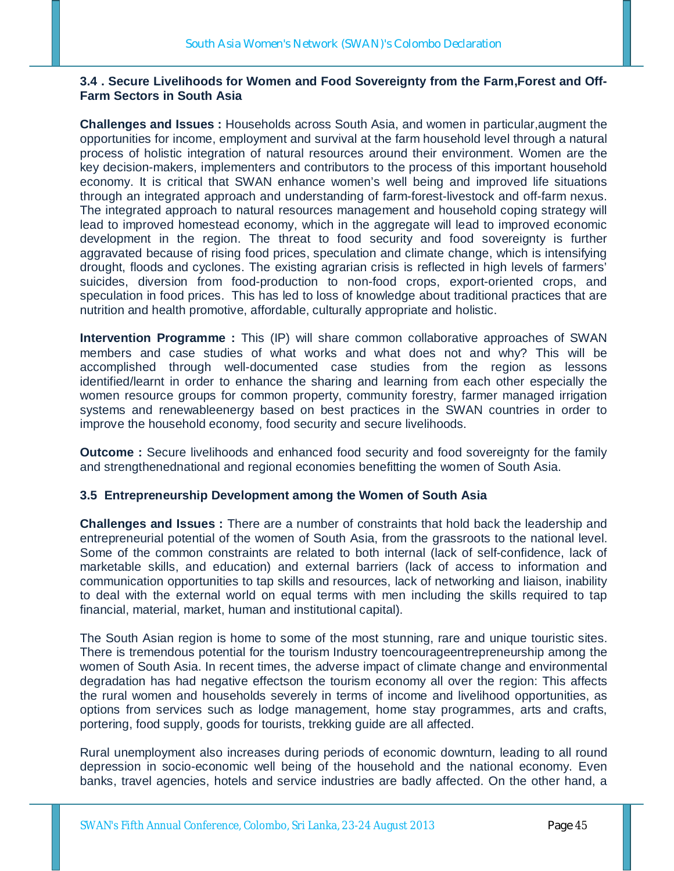## **3.4 . Secure Livelihoods for Women and Food Sovereignty from the Farm,Forest and Off-Farm Sectors in South Asia**

**Challenges and Issues :** Households across South Asia, and women in particular,augment the opportunities for income, employment and survival at the farm household level through a natural process of holistic integration of natural resources around their environment. Women are the key decision-makers, implementers and contributors to the process of this important household economy. It is critical that SWAN enhance women's well being and improved life situations through an integrated approach and understanding of farm-forest-livestock and off-farm nexus. The integrated approach to natural resources management and household coping strategy will lead to improved homestead economy, which in the aggregate will lead to improved economic development in the region. The threat to food security and food sovereignty is further aggravated because of rising food prices, speculation and climate change, which is intensifying drought, floods and cyclones. The existing agrarian crisis is reflected in high levels of farmers' suicides, diversion from food-production to non-food crops, export-oriented crops, and speculation in food prices. This has led to loss of knowledge about traditional practices that are nutrition and health promotive, affordable, culturally appropriate and holistic.

**Intervention Programme :** This (IP) will share common collaborative approaches of SWAN members and case studies of what works and what does not and why? This will be accomplished through well-documented case studies from the region as lessons identified/learnt in order to enhance the sharing and learning from each other especially the women resource groups for common property, community forestry, farmer managed irrigation systems and renewableenergy based on best practices in the SWAN countries in order to improve the household economy, food security and secure livelihoods.

**Outcome** : Secure livelihoods and enhanced food security and food sovereignty for the family and strengthenednational and regional economies benefitting the women of South Asia.

### **3.5 Entrepreneurship Development among the Women of South Asia**

**Challenges and Issues :** There are a number of constraints that hold back the leadership and entrepreneurial potential of the women of South Asia, from the grassroots to the national level. Some of the common constraints are related to both internal (lack of self-confidence, lack of marketable skills, and education) and external barriers (lack of access to information and communication opportunities to tap skills and resources, lack of networking and liaison, inability to deal with the external world on equal terms with men including the skills required to tap financial, material, market, human and institutional capital).

The South Asian region is home to some of the most stunning, rare and unique touristic sites. There is tremendous potential for the tourism Industry toencourageentrepreneurship among the women of South Asia. In recent times, the adverse impact of climate change and environmental degradation has had negative effectson the tourism economy all over the region: This affects the rural women and households severely in terms of income and livelihood opportunities, as options from services such as lodge management, home stay programmes, arts and crafts, portering, food supply, goods for tourists, trekking guide are all affected.

Rural unemployment also increases during periods of economic downturn, leading to all round depression in socio-economic well being of the household and the national economy. Even banks, travel agencies, hotels and service industries are badly affected. On the other hand, a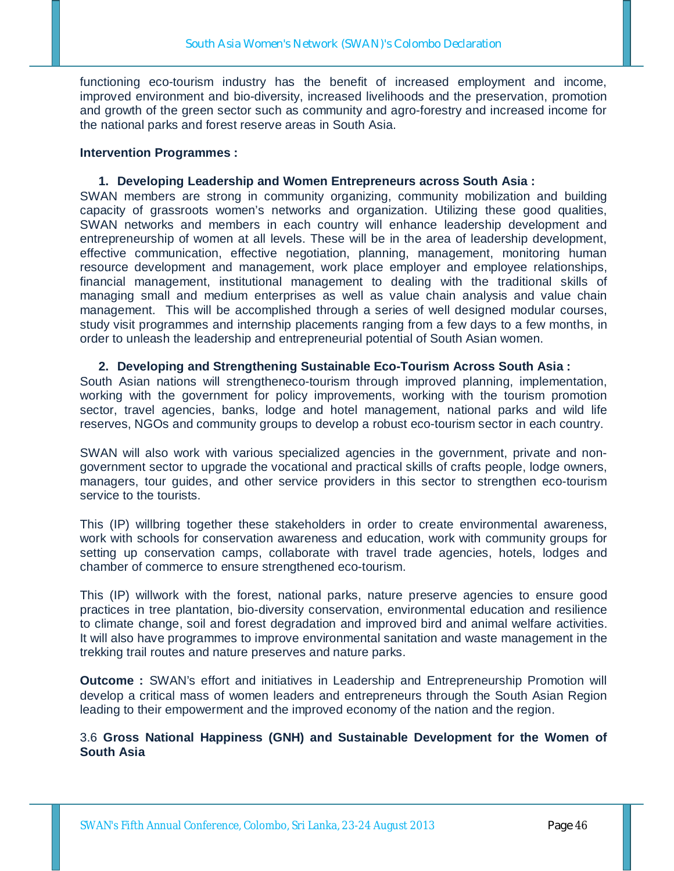functioning eco-tourism industry has the benefit of increased employment and income, improved environment and bio-diversity, increased livelihoods and the preservation, promotion and growth of the green sector such as community and agro-forestry and increased income for the national parks and forest reserve areas in South Asia.

#### **Intervention Programmes :**

#### **1. Developing Leadership and Women Entrepreneurs across South Asia :**

SWAN members are strong in community organizing, community mobilization and building capacity of grassroots women's networks and organization. Utilizing these good qualities, SWAN networks and members in each country will enhance leadership development and entrepreneurship of women at all levels. These will be in the area of leadership development, effective communication, effective negotiation, planning, management, monitoring human resource development and management, work place employer and employee relationships, financial management, institutional management to dealing with the traditional skills of managing small and medium enterprises as well as value chain analysis and value chain management. This will be accomplished through a series of well designed modular courses, study visit programmes and internship placements ranging from a few days to a few months, in order to unleash the leadership and entrepreneurial potential of South Asian women.

#### **2. Developing and Strengthening Sustainable Eco-Tourism Across South Asia :**

South Asian nations will strengtheneco-tourism through improved planning, implementation, working with the government for policy improvements, working with the tourism promotion sector, travel agencies, banks, lodge and hotel management, national parks and wild life reserves, NGOs and community groups to develop a robust eco-tourism sector in each country.

SWAN will also work with various specialized agencies in the government, private and nongovernment sector to upgrade the vocational and practical skills of crafts people, lodge owners, managers, tour guides, and other service providers in this sector to strengthen eco-tourism service to the tourists.

This (IP) willbring together these stakeholders in order to create environmental awareness, work with schools for conservation awareness and education, work with community groups for setting up conservation camps, collaborate with travel trade agencies, hotels, lodges and chamber of commerce to ensure strengthened eco-tourism.

This (IP) willwork with the forest, national parks, nature preserve agencies to ensure good practices in tree plantation, bio-diversity conservation, environmental education and resilience to climate change, soil and forest degradation and improved bird and animal welfare activities. It will also have programmes to improve environmental sanitation and waste management in the trekking trail routes and nature preserves and nature parks.

**Outcome :** SWAN's effort and initiatives in Leadership and Entrepreneurship Promotion will develop a critical mass of women leaders and entrepreneurs through the South Asian Region leading to their empowerment and the improved economy of the nation and the region.

## 3.6 **Gross National Happiness (GNH) and Sustainable Development for the Women of South Asia**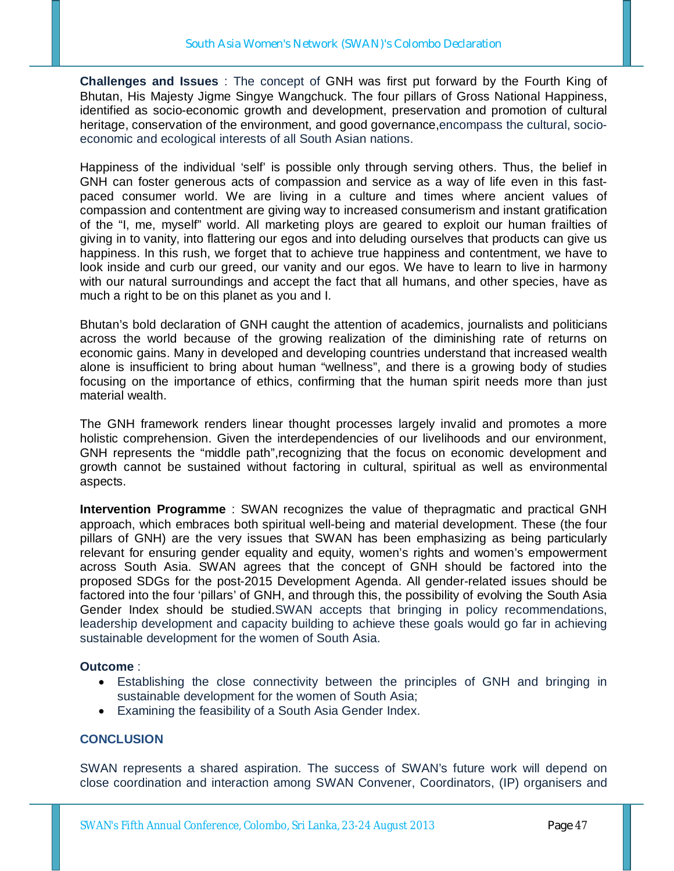**Challenges and Issues** : The concept of GNH was first put forward by the Fourth King of Bhutan, His Majesty Jigme Singye Wangchuck. The four pillars of Gross National Happiness, identified as socio-economic growth and development, preservation and promotion of cultural heritage, conservation of the environment, and good governance,encompass the cultural, socioeconomic and ecological interests of all South Asian nations.

Happiness of the individual 'self' is possible only through serving others. Thus, the belief in GNH can foster generous acts of compassion and service as a way of life even in this fastpaced consumer world. We are living in a culture and times where ancient values of compassion and contentment are giving way to increased consumerism and instant gratification of the "I, me, myself" world. All marketing ploys are geared to exploit our human frailties of giving in to vanity, into flattering our egos and into deluding ourselves that products can give us happiness. In this rush, we forget that to achieve true happiness and contentment, we have to look inside and curb our greed, our vanity and our egos. We have to learn to live in harmony with our natural surroundings and accept the fact that all humans, and other species, have as much a right to be on this planet as you and I.

Bhutan's bold declaration of GNH caught the attention of academics, journalists and politicians across the world because of the growing realization of the diminishing rate of returns on economic gains. Many in developed and developing countries understand that increased wealth alone is insufficient to bring about human "wellness", and there is a growing body of studies focusing on the importance of ethics, confirming that the human spirit needs more than just material wealth.

The GNH framework renders linear thought processes largely invalid and promotes a more holistic comprehension. Given the interdependencies of our livelihoods and our environment, GNH represents the "middle path",recognizing that the focus on economic development and growth cannot be sustained without factoring in cultural, spiritual as well as environmental aspects.

**Intervention Programme** : SWAN recognizes the value of thepragmatic and practical GNH approach, which embraces both spiritual well-being and material development. These (the four pillars of GNH) are the very issues that SWAN has been emphasizing as being particularly relevant for ensuring gender equality and equity, women's rights and women's empowerment across South Asia. SWAN agrees that the concept of GNH should be factored into the proposed SDGs for the post-2015 Development Agenda. All gender-related issues should be factored into the four 'pillars' of GNH, and through this, the possibility of evolving the South Asia Gender Index should be studied.SWAN accepts that bringing in policy recommendations, leadership development and capacity building to achieve these goals would go far in achieving sustainable development for the women of South Asia.

### **Outcome** :

- Establishing the close connectivity between the principles of GNH and bringing in sustainable development for the women of South Asia;
- Examining the feasibility of a South Asia Gender Index.

## **CONCLUSION**

SWAN represents a shared aspiration. The success of SWAN's future work will depend on close coordination and interaction among SWAN Convener, Coordinators, (IP) organisers and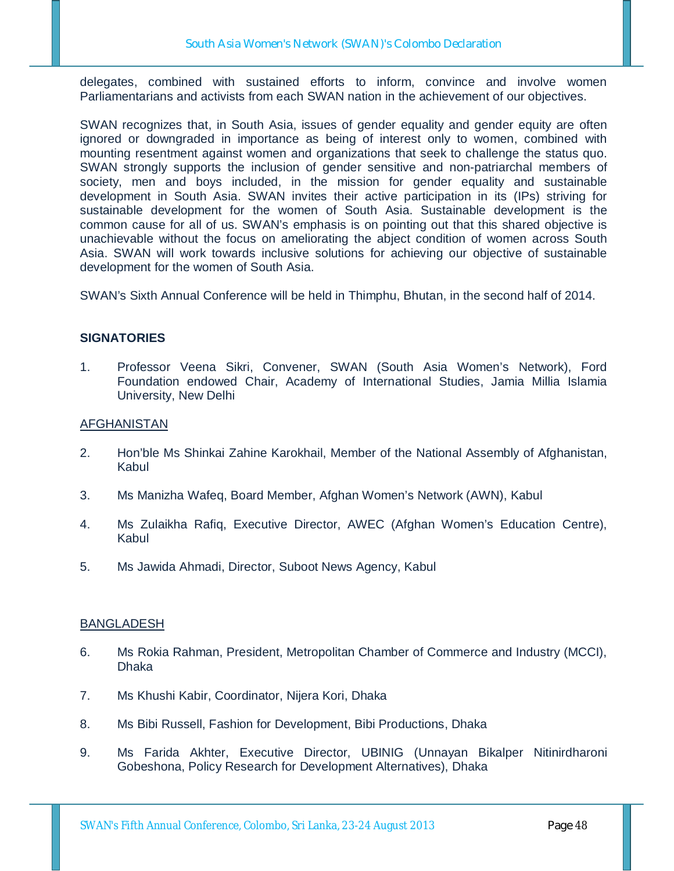delegates, combined with sustained efforts to inform, convince and involve women Parliamentarians and activists from each SWAN nation in the achievement of our objectives.

SWAN recognizes that, in South Asia, issues of gender equality and gender equity are often ignored or downgraded in importance as being of interest only to women, combined with mounting resentment against women and organizations that seek to challenge the status quo. SWAN strongly supports the inclusion of gender sensitive and non-patriarchal members of society, men and boys included, in the mission for gender equality and sustainable development in South Asia. SWAN invites their active participation in its (IPs) striving for sustainable development for the women of South Asia. Sustainable development is the common cause for all of us. SWAN's emphasis is on pointing out that this shared objective is unachievable without the focus on ameliorating the abject condition of women across South Asia. SWAN will work towards inclusive solutions for achieving our objective of sustainable development for the women of South Asia.

SWAN's Sixth Annual Conference will be held in Thimphu, Bhutan, in the second half of 2014.

### **SIGNATORIES**

1. Professor Veena Sikri, Convener, SWAN (South Asia Women's Network), Ford Foundation endowed Chair, Academy of International Studies, Jamia Millia Islamia University, New Delhi

### AFGHANISTAN

- 2. Hon'ble Ms Shinkai Zahine Karokhail, Member of the National Assembly of Afghanistan, Kabul
- 3. Ms Manizha Wafeq, Board Member, Afghan Women's Network (AWN), Kabul
- 4. Ms Zulaikha Rafiq, Executive Director, AWEC (Afghan Women's Education Centre), Kabul
- 5. Ms Jawida Ahmadi, Director, Suboot News Agency, Kabul

### BANGLADESH

- 6. Ms Rokia Rahman, President, Metropolitan Chamber of Commerce and Industry (MCCI), Dhaka
- 7. Ms Khushi Kabir, Coordinator, Nijera Kori, Dhaka
- 8. Ms Bibi Russell, Fashion for Development, Bibi Productions, Dhaka
- 9. Ms Farida Akhter, Executive Director, UBINIG (Unnayan Bikalper Nitinirdharoni Gobeshona, Policy Research for Development Alternatives), Dhaka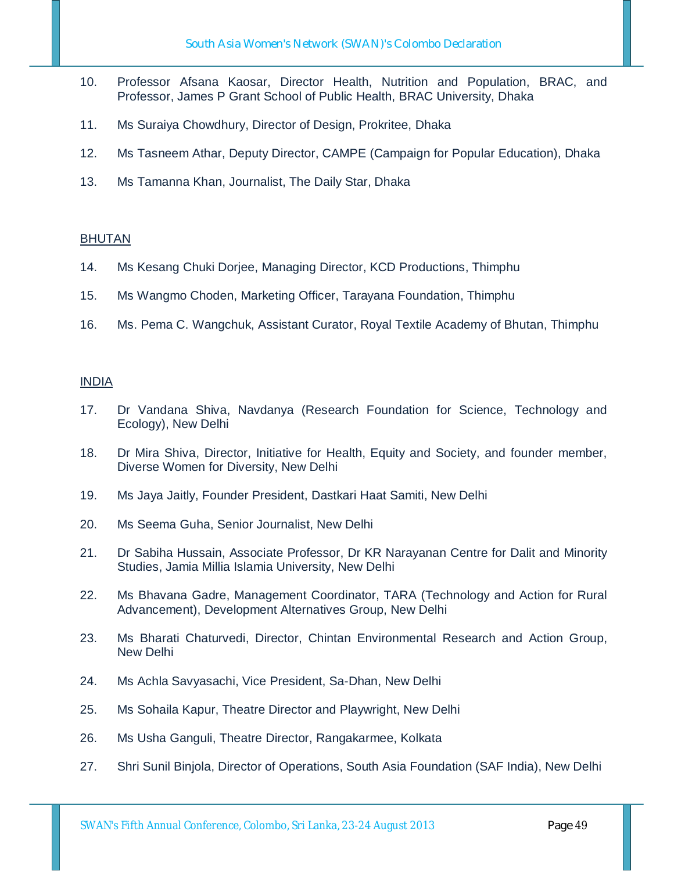- 10. Professor Afsana Kaosar, Director Health, Nutrition and Population, BRAC, and Professor, James P Grant School of Public Health, BRAC University, Dhaka
- 11. Ms Suraiya Chowdhury, Director of Design, Prokritee, Dhaka
- 12. Ms Tasneem Athar, Deputy Director, CAMPE (Campaign for Popular Education), Dhaka
- 13. Ms Tamanna Khan, Journalist, The Daily Star, Dhaka

### BHUTAN

- 14. Ms Kesang Chuki Dorjee, Managing Director, KCD Productions, Thimphu
- 15. Ms Wangmo Choden, Marketing Officer, Tarayana Foundation, Thimphu
- 16. Ms. Pema C. Wangchuk, Assistant Curator, Royal Textile Academy of Bhutan, Thimphu

### INDIA

- 17. Dr Vandana Shiva, Navdanya (Research Foundation for Science, Technology and Ecology), New Delhi
- 18. Dr Mira Shiva, Director, Initiative for Health, Equity and Society, and founder member, Diverse Women for Diversity, New Delhi
- 19. Ms Jaya Jaitly, Founder President, Dastkari Haat Samiti, New Delhi
- 20. Ms Seema Guha, Senior Journalist, New Delhi
- 21. Dr Sabiha Hussain, Associate Professor, Dr KR Narayanan Centre for Dalit and Minority Studies, Jamia Millia Islamia University, New Delhi
- 22. Ms Bhavana Gadre, Management Coordinator, TARA (Technology and Action for Rural Advancement), Development Alternatives Group, New Delhi
- 23. Ms Bharati Chaturvedi, Director, Chintan Environmental Research and Action Group, New Delhi
- 24. Ms Achla Savyasachi, Vice President, Sa-Dhan, New Delhi
- 25. Ms Sohaila Kapur, Theatre Director and Playwright, New Delhi
- 26. Ms Usha Ganguli, Theatre Director, Rangakarmee, Kolkata
- 27. Shri Sunil Binjola, Director of Operations, South Asia Foundation (SAF India), New Delhi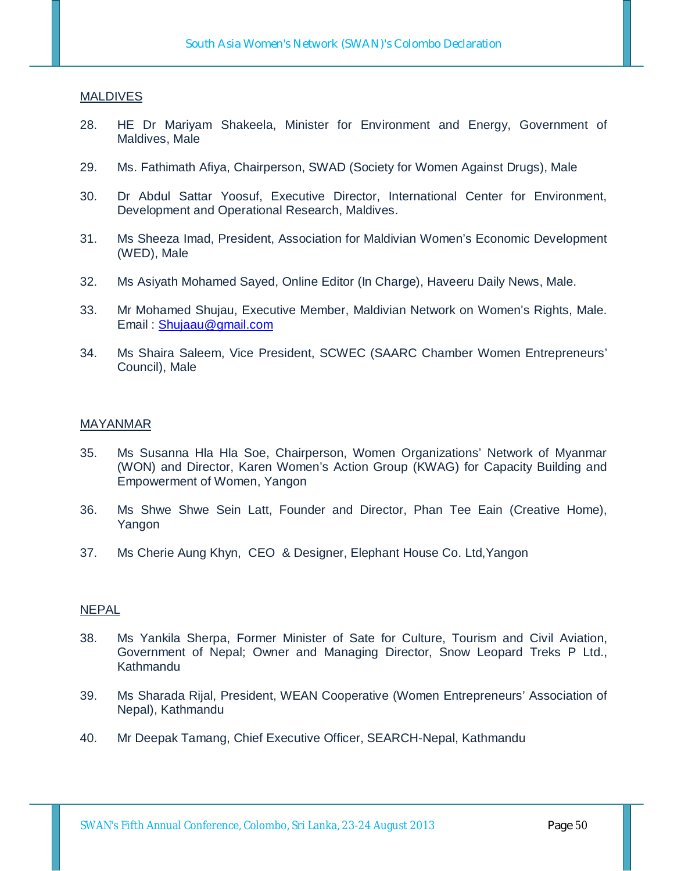#### **MALDIVES**

- 28. HE Dr Mariyam Shakeela, Minister for Environment and Energy, Government of Maldives, Male
- 29. Ms. Fathimath Afiya, Chairperson, SWAD (Society for Women Against Drugs), Male
- 30. Dr Abdul Sattar Yoosuf, Executive Director, International Center for Environment, Development and Operational Research, Maldives.
- 31. Ms Sheeza Imad, President, Association for Maldivian Women's Economic Development (WED), Male
- 32. Ms Asiyath Mohamed Sayed, Online Editor (In Charge), Haveeru Daily News, Male.
- 33. Mr Mohamed Shujau, Executive Member, Maldivian Network on Women's Rights, Male. Email : Shujaau@gmail.com
- 34. Ms Shaira Saleem, Vice President, SCWEC (SAARC Chamber Women Entrepreneurs' Council), Male

#### MAYANMAR

- 35. Ms Susanna Hla Hla Soe, Chairperson, Women Organizations' Network of Myanmar (WON) and Director, Karen Women's Action Group (KWAG) for Capacity Building and Empowerment of Women, Yangon
- 36. Ms Shwe Shwe Sein Latt, Founder and Director, Phan Tee Eain (Creative Home), Yangon
- 37. Ms Cherie Aung Khyn, CEO & Designer, Elephant House Co. Ltd,Yangon

#### **NEPAL**

- 38. Ms Yankila Sherpa, Former Minister of Sate for Culture, Tourism and Civil Aviation, Government of Nepal; Owner and Managing Director, Snow Leopard Treks P Ltd., Kathmandu
- 39. Ms Sharada Rijal, President, WEAN Cooperative (Women Entrepreneurs' Association of Nepal), Kathmandu
- 40. Mr Deepak Tamang, Chief Executive Officer, SEARCH-Nepal, Kathmandu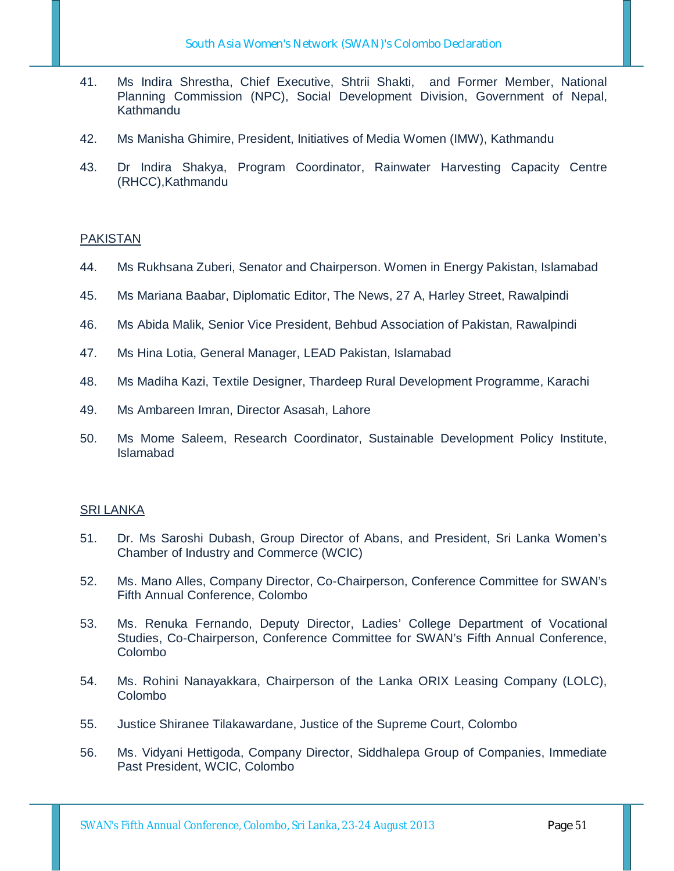- 41. Ms Indira Shrestha, Chief Executive, Shtrii Shakti, and Former Member, National Planning Commission (NPC), Social Development Division, Government of Nepal, Kathmandu
- 42. Ms Manisha Ghimire, President, Initiatives of Media Women (IMW), Kathmandu
- 43. Dr Indira Shakya, Program Coordinator, Rainwater Harvesting Capacity Centre (RHCC),Kathmandu

### PAKISTAN

- 44. Ms Rukhsana Zuberi, Senator and Chairperson. Women in Energy Pakistan, Islamabad
- 45. Ms Mariana Baabar, Diplomatic Editor, The News, 27 A, Harley Street, Rawalpindi
- 46. Ms Abida Malik, Senior Vice President, Behbud Association of Pakistan, Rawalpindi
- 47. Ms Hina Lotia, General Manager, LEAD Pakistan, Islamabad
- 48. Ms Madiha Kazi, Textile Designer, Thardeep Rural Development Programme, Karachi
- 49. Ms Ambareen Imran, Director Asasah, Lahore
- 50. Ms Mome Saleem, Research Coordinator, Sustainable Development Policy Institute, Islamabad

### SRI LANKA

- 51. Dr. Ms Saroshi Dubash, Group Director of Abans, and President, Sri Lanka Women's Chamber of Industry and Commerce (WCIC)
- 52. Ms. Mano Alles, Company Director, Co-Chairperson, Conference Committee for SWAN's Fifth Annual Conference, Colombo
- 53. Ms. Renuka Fernando, Deputy Director, Ladies' College Department of Vocational Studies, Co-Chairperson, Conference Committee for SWAN's Fifth Annual Conference, Colombo
- 54. Ms. Rohini Nanayakkara, Chairperson of the Lanka ORIX Leasing Company (LOLC), Colombo
- 55. Justice Shiranee Tilakawardane, Justice of the Supreme Court, Colombo
- 56. Ms. Vidyani Hettigoda, Company Director, Siddhalepa Group of Companies, Immediate Past President, WCIC, Colombo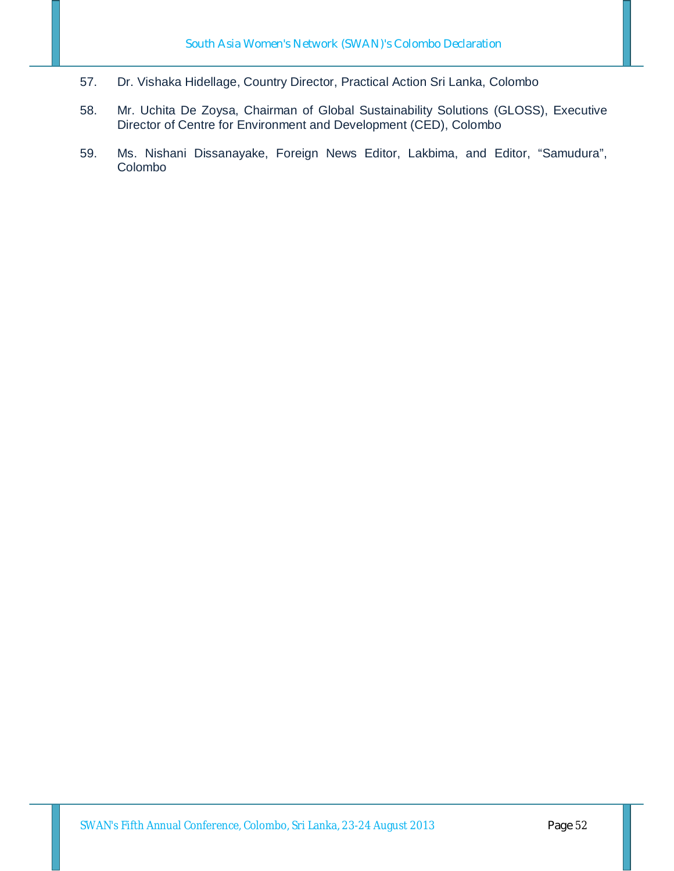- 57. Dr. Vishaka Hidellage, Country Director, Practical Action Sri Lanka, Colombo
- 58. Mr. Uchita De Zoysa, Chairman of Global Sustainability Solutions (GLOSS), Executive Director of Centre for Environment and Development (CED), Colombo
- 59. Ms. Nishani Dissanayake, Foreign News Editor, Lakbima, and Editor, "Samudura", Colombo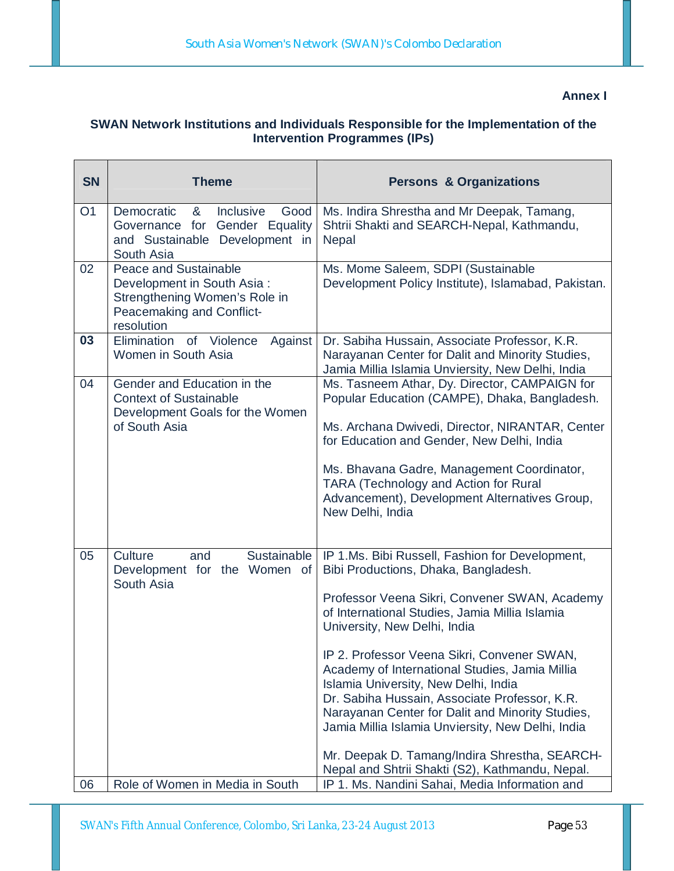## **Annex I**

# **SWAN Network Institutions and Individuals Responsible for the Implementation of the Intervention Programmes (IPs)**

| <b>SN</b>      | <b>Theme</b>                                                                                                                    | <b>Persons &amp; Organizations</b>                                                                                                                                                                                                                                                                                                                                                                                                                                                                                                                                                                                                |
|----------------|---------------------------------------------------------------------------------------------------------------------------------|-----------------------------------------------------------------------------------------------------------------------------------------------------------------------------------------------------------------------------------------------------------------------------------------------------------------------------------------------------------------------------------------------------------------------------------------------------------------------------------------------------------------------------------------------------------------------------------------------------------------------------------|
| O <sub>1</sub> | Democratic<br>&<br>Inclusive<br>Good<br>Governance for<br>Gender Equality<br>and Sustainable Development in<br>South Asia       | Ms. Indira Shrestha and Mr Deepak, Tamang,<br>Shtrii Shakti and SEARCH-Nepal, Kathmandu,<br><b>Nepal</b>                                                                                                                                                                                                                                                                                                                                                                                                                                                                                                                          |
| 02             | Peace and Sustainable<br>Development in South Asia:<br>Strengthening Women's Role in<br>Peacemaking and Conflict-<br>resolution | Ms. Mome Saleem, SDPI (Sustainable<br>Development Policy Institute), Islamabad, Pakistan.                                                                                                                                                                                                                                                                                                                                                                                                                                                                                                                                         |
| 03             | Elimination of Violence<br>Against<br>Women in South Asia                                                                       | Dr. Sabiha Hussain, Associate Professor, K.R.<br>Narayanan Center for Dalit and Minority Studies,<br>Jamia Millia Islamia Unviersity, New Delhi, India                                                                                                                                                                                                                                                                                                                                                                                                                                                                            |
| 04             | Gender and Education in the<br><b>Context of Sustainable</b><br>Development Goals for the Women<br>of South Asia                | Ms. Tasneem Athar, Dy. Director, CAMPAIGN for<br>Popular Education (CAMPE), Dhaka, Bangladesh.<br>Ms. Archana Dwivedi, Director, NIRANTAR, Center<br>for Education and Gender, New Delhi, India<br>Ms. Bhavana Gadre, Management Coordinator,<br><b>TARA (Technology and Action for Rural</b><br>Advancement), Development Alternatives Group,<br>New Delhi, India                                                                                                                                                                                                                                                                |
| 05             | Sustainable<br>Culture<br>and<br>Development for the Women of<br>South Asia                                                     | IP 1.Ms. Bibi Russell, Fashion for Development,<br>Bibi Productions, Dhaka, Bangladesh.<br>Professor Veena Sikri, Convener SWAN, Academy<br>of International Studies, Jamia Millia Islamia<br>University, New Delhi, India<br>IP 2. Professor Veena Sikri, Convener SWAN,<br>Academy of International Studies, Jamia Millia<br>Islamia University, New Delhi, India<br>Dr. Sabiha Hussain, Associate Professor, K.R.<br>Narayanan Center for Dalit and Minority Studies,<br>Jamia Millia Islamia Unviersity, New Delhi, India<br>Mr. Deepak D. Tamang/Indira Shrestha, SEARCH-<br>Nepal and Shtrii Shakti (S2), Kathmandu, Nepal. |
| 06             | Role of Women in Media in South                                                                                                 | IP 1. Ms. Nandini Sahai, Media Information and                                                                                                                                                                                                                                                                                                                                                                                                                                                                                                                                                                                    |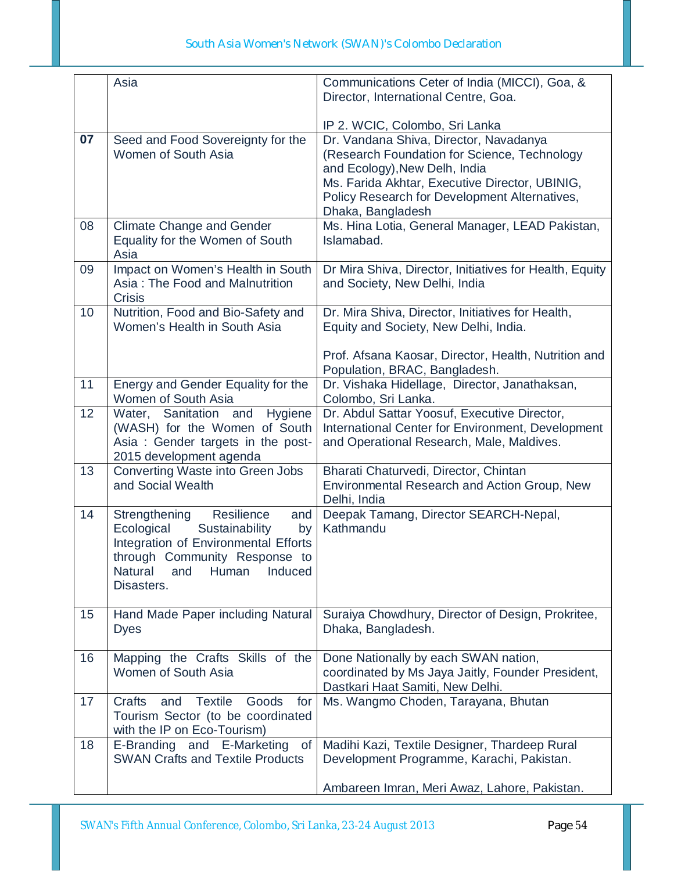|    | Asia                                                                                                                                                                                                         | Communications Ceter of India (MICCI), Goa, &<br>Director, International Centre, Goa.                                                                                                                                                           |
|----|--------------------------------------------------------------------------------------------------------------------------------------------------------------------------------------------------------------|-------------------------------------------------------------------------------------------------------------------------------------------------------------------------------------------------------------------------------------------------|
|    |                                                                                                                                                                                                              | IP 2. WCIC, Colombo, Sri Lanka                                                                                                                                                                                                                  |
| 07 | Seed and Food Sovereignty for the<br>Women of South Asia                                                                                                                                                     | Dr. Vandana Shiva, Director, Navadanya<br>(Research Foundation for Science, Technology<br>and Ecology), New Delh, India<br>Ms. Farida Akhtar, Executive Director, UBINIG,<br>Policy Research for Development Alternatives,<br>Dhaka, Bangladesh |
| 08 | <b>Climate Change and Gender</b><br>Equality for the Women of South<br>Asia                                                                                                                                  | Ms. Hina Lotia, General Manager, LEAD Pakistan,<br>Islamabad.                                                                                                                                                                                   |
| 09 | Impact on Women's Health in South<br>Asia: The Food and Malnutrition<br><b>Crisis</b>                                                                                                                        | Dr Mira Shiva, Director, Initiatives for Health, Equity<br>and Society, New Delhi, India                                                                                                                                                        |
| 10 | Nutrition, Food and Bio-Safety and<br>Women's Health in South Asia                                                                                                                                           | Dr. Mira Shiva, Director, Initiatives for Health,<br>Equity and Society, New Delhi, India.                                                                                                                                                      |
|    |                                                                                                                                                                                                              | Prof. Afsana Kaosar, Director, Health, Nutrition and<br>Population, BRAC, Bangladesh.                                                                                                                                                           |
| 11 | Energy and Gender Equality for the<br>Women of South Asia                                                                                                                                                    | Dr. Vishaka Hidellage, Director, Janathaksan,<br>Colombo, Sri Lanka.                                                                                                                                                                            |
| 12 | Water, Sanitation and<br>Hygiene<br>(WASH) for the Women of South<br>Asia: Gender targets in the post-<br>2015 development agenda                                                                            | Dr. Abdul Sattar Yoosuf, Executive Director,<br>International Center for Environment, Development<br>and Operational Research, Male, Maldives.                                                                                                  |
| 13 | Converting Waste into Green Jobs<br>and Social Wealth                                                                                                                                                        | Bharati Chaturvedi, Director, Chintan<br>Environmental Research and Action Group, New<br>Delhi, India                                                                                                                                           |
| 14 | Resilience<br>Strengthening<br>and<br>Ecological<br>Sustainability<br>by<br>Integration of Environmental Efforts<br>through Community Response to<br><b>Natural</b><br>Human<br>Induced<br>and<br>Disasters. | Deepak Tamang, Director SEARCH-Nepal,<br>Kathmandu                                                                                                                                                                                              |
| 15 | Hand Made Paper including Natural<br><b>Dyes</b>                                                                                                                                                             | Suraiya Chowdhury, Director of Design, Prokritee,<br>Dhaka, Bangladesh.                                                                                                                                                                         |
| 16 | Mapping the Crafts Skills of the<br>Women of South Asia                                                                                                                                                      | Done Nationally by each SWAN nation,<br>coordinated by Ms Jaya Jaitly, Founder President,<br>Dastkari Haat Samiti, New Delhi.                                                                                                                   |
| 17 | <b>Textile</b><br>Goods<br>Crafts<br>and<br>for<br>Tourism Sector (to be coordinated<br>with the IP on Eco-Tourism)                                                                                          | Ms. Wangmo Choden, Tarayana, Bhutan                                                                                                                                                                                                             |
| 18 | E-Branding and E-Marketing<br><b>of</b><br><b>SWAN Crafts and Textile Products</b>                                                                                                                           | Madihi Kazi, Textile Designer, Thardeep Rural<br>Development Programme, Karachi, Pakistan.                                                                                                                                                      |
|    |                                                                                                                                                                                                              | Ambareen Imran, Meri Awaz, Lahore, Pakistan.                                                                                                                                                                                                    |